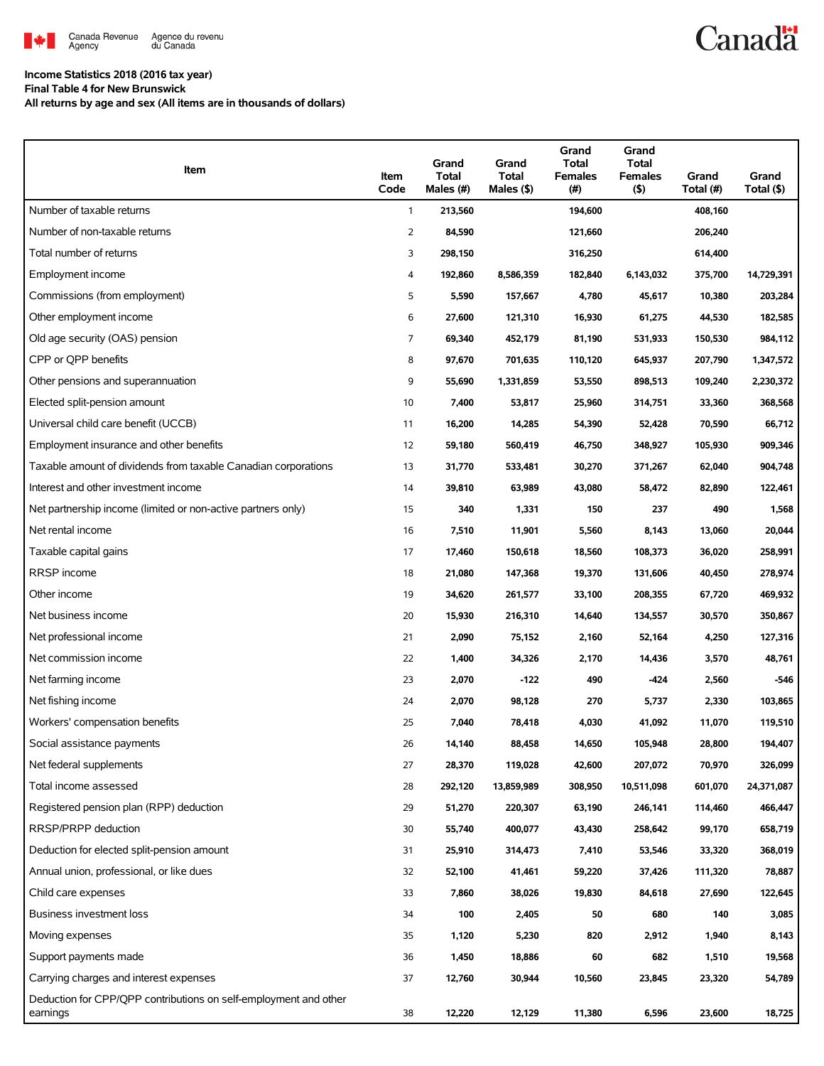

## **Canadä**

#### **Income Statistics 2018 (2016 tax year)**

**Final Table 4 for New Brunswick**

**All returns by age and sex (All items are in thousands of dollars)**

| Item                                                                         | Item<br>Code   | Grand<br><b>Total</b><br>Males (#) | Grand<br><b>Total</b><br>Males (\$) | Grand<br><b>Total</b><br><b>Females</b><br>(# ) | Grand<br>Total<br><b>Females</b><br>$($ \$) | Grand<br>Total (#) | Grand<br>Total (\$) |
|------------------------------------------------------------------------------|----------------|------------------------------------|-------------------------------------|-------------------------------------------------|---------------------------------------------|--------------------|---------------------|
| Number of taxable returns                                                    | 1              | 213,560                            |                                     | 194,600                                         |                                             | 408,160            |                     |
| Number of non-taxable returns                                                | $\overline{2}$ | 84,590                             |                                     | 121,660                                         |                                             | 206,240            |                     |
| Total number of returns                                                      | 3              | 298,150                            |                                     | 316,250                                         |                                             | 614,400            |                     |
| Employment income                                                            | 4              | 192,860                            | 8,586,359                           | 182,840                                         | 6,143,032                                   | 375,700            | 14,729,391          |
| Commissions (from employment)                                                | 5              | 5,590                              | 157,667                             | 4,780                                           | 45,617                                      | 10,380             | 203,284             |
| Other employment income                                                      | 6              | 27,600                             | 121,310                             | 16,930                                          | 61,275                                      | 44,530             | 182,585             |
| Old age security (OAS) pension                                               | 7              | 69,340                             | 452,179                             | 81,190                                          | 531,933                                     | 150,530            | 984,112             |
| CPP or QPP benefits                                                          | 8              | 97,670                             | 701,635                             | 110,120                                         | 645,937                                     | 207,790            | 1,347,572           |
| Other pensions and superannuation                                            | 9              | 55,690                             | 1,331,859                           | 53,550                                          | 898,513                                     | 109,240            | 2,230,372           |
| Elected split-pension amount                                                 | 10             | 7,400                              | 53,817                              | 25,960                                          | 314,751                                     | 33,360             | 368,568             |
| Universal child care benefit (UCCB)                                          | 11             | 16,200                             | 14,285                              | 54,390                                          | 52,428                                      | 70,590             | 66,712              |
| Employment insurance and other benefits                                      | 12             | 59,180                             | 560,419                             | 46,750                                          | 348,927                                     | 105,930            | 909,346             |
| Taxable amount of dividends from taxable Canadian corporations               | 13             | 31,770                             | 533,481                             | 30,270                                          | 371,267                                     | 62,040             | 904,748             |
| Interest and other investment income                                         | 14             | 39,810                             | 63,989                              | 43,080                                          | 58,472                                      | 82,890             | 122,461             |
| Net partnership income (limited or non-active partners only)                 | 15             | 340                                | 1,331                               | 150                                             | 237                                         | 490                | 1,568               |
| Net rental income                                                            | 16             | 7,510                              | 11,901                              | 5,560                                           | 8,143                                       | 13,060             | 20,044              |
| Taxable capital gains                                                        | 17             | 17,460                             | 150,618                             | 18,560                                          | 108,373                                     | 36,020             | 258,991             |
| RRSP income                                                                  | 18             | 21,080                             | 147,368                             | 19,370                                          | 131,606                                     | 40,450             | 278,974             |
| Other income                                                                 | 19             | 34,620                             | 261,577                             | 33,100                                          | 208,355                                     | 67,720             | 469,932             |
| Net business income                                                          | 20             | 15,930                             | 216,310                             | 14,640                                          | 134,557                                     | 30,570             | 350,867             |
| Net professional income                                                      | 21             | 2,090                              | 75,152                              | 2,160                                           | 52,164                                      | 4,250              | 127,316             |
| Net commission income                                                        | 22             | 1,400                              | 34,326                              | 2,170                                           | 14,436                                      | 3,570              | 48,761              |
| Net farming income                                                           | 23             | 2,070                              | -122                                | 490                                             | -424                                        | 2,560              | -546                |
| Net fishing income                                                           | 24             | 2,070                              | 98,128                              | 270                                             | 5,737                                       | 2,330              | 103,865             |
| Workers' compensation benefits                                               | 25             | 7,040                              | 78,418                              | 4,030                                           | 41,092                                      | 11,070             | 119,510             |
| Social assistance payments                                                   | 26             | 14,140                             | 88,458                              | 14,650                                          | 105,948                                     | 28,800             | 194,407             |
| Net federal supplements                                                      | 27             | 28,370                             | 119,028                             | 42,600                                          | 207,072                                     | 70,970             | 326,099             |
| Total income assessed                                                        | 28             | 292,120                            | 13,859,989                          | 308,950                                         | 10,511,098                                  | 601,070            | 24,371,087          |
| Registered pension plan (RPP) deduction                                      | 29             | 51,270                             | 220,307                             | 63,190                                          | 246,141                                     | 114,460            | 466,447             |
| RRSP/PRPP deduction                                                          | 30             | 55,740                             | 400,077                             | 43,430                                          | 258,642                                     | 99,170             | 658,719             |
| Deduction for elected split-pension amount                                   | 31             | 25,910                             | 314,473                             | 7,410                                           | 53,546                                      | 33,320             | 368,019             |
| Annual union, professional, or like dues                                     | 32             | 52,100                             | 41,461                              | 59,220                                          | 37,426                                      | 111,320            | 78,887              |
| Child care expenses                                                          | 33             | 7,860                              | 38,026                              | 19,830                                          | 84,618                                      | 27,690             | 122,645             |
| Business investment loss                                                     | 34             | 100                                | 2,405                               | 50                                              | 680                                         | 140                | 3,085               |
| Moving expenses                                                              | 35             | 1,120                              | 5,230                               | 820                                             | 2,912                                       | 1,940              | 8,143               |
| Support payments made                                                        | 36             | 1,450                              | 18,886                              | 60                                              | 682                                         | 1,510              | 19,568              |
| Carrying charges and interest expenses                                       | 37             | 12,760                             | 30,944                              | 10,560                                          | 23,845                                      | 23,320             | 54,789              |
| Deduction for CPP/QPP contributions on self-employment and other<br>earnings | 38             | 12,220                             | 12,129                              | 11,380                                          | 6,596                                       | 23,600             | 18,725              |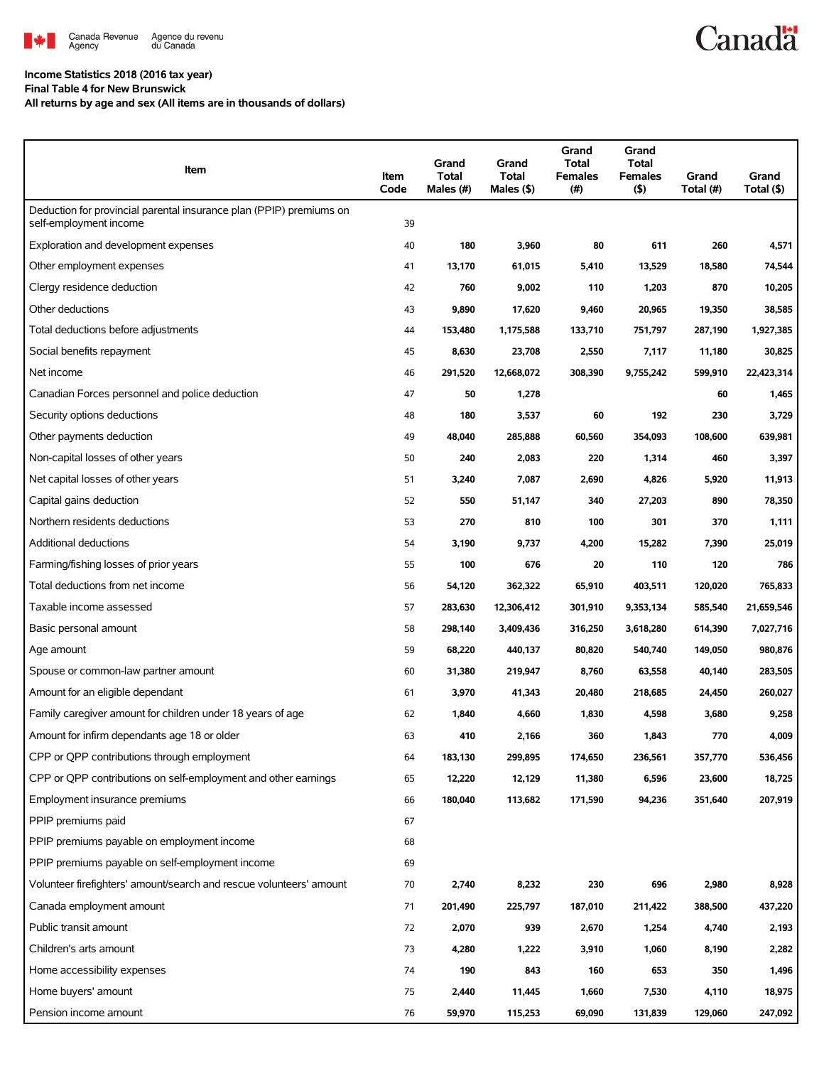

# **Canadä**

### **Income Statistics 2018 (2016 tax year)**

**Final Table 4 for New Brunswick**

**All returns by age and sex (All items are in thousands of dollars)**

| Item                                                                                          | Item<br>Code | Grand<br>Total<br>Males (#) | Grand<br>Total<br>Males $(\$)$ | Grand<br>Total<br>Females<br>$(\#)$ | Grand<br>Total<br><b>Females</b><br>$($ \$) | Grand<br>Total (#) | Grand<br>Total (\$) |
|-----------------------------------------------------------------------------------------------|--------------|-----------------------------|--------------------------------|-------------------------------------|---------------------------------------------|--------------------|---------------------|
| Deduction for provincial parental insurance plan (PPIP) premiums on<br>self-employment income | 39           |                             |                                |                                     |                                             |                    |                     |
| Exploration and development expenses                                                          | 40           | 180                         | 3,960                          | 80                                  | 611                                         | 260                | 4,571               |
| Other employment expenses                                                                     | 41           | 13,170                      | 61,015                         | 5,410                               | 13,529                                      | 18,580             | 74,544              |
| Clergy residence deduction                                                                    | 42           | 760                         | 9,002                          | 110                                 | 1,203                                       | 870                | 10,205              |
| Other deductions                                                                              | 43           | 9,890                       | 17,620                         | 9,460                               | 20,965                                      | 19,350             | 38,585              |
| Total deductions before adjustments                                                           | 44           | 153,480                     | 1,175,588                      | 133,710                             | 751,797                                     | 287,190            | 1,927,385           |
| Social benefits repayment                                                                     | 45           | 8,630                       | 23,708                         | 2,550                               | 7,117                                       | 11,180             | 30,825              |
| Net income                                                                                    | 46           | 291,520                     | 12,668,072                     | 308,390                             | 9,755,242                                   | 599,910            | 22,423,314          |
| Canadian Forces personnel and police deduction                                                | 47           | 50                          | 1,278                          |                                     |                                             | 60                 | 1,465               |
| Security options deductions                                                                   | 48           | 180                         | 3,537                          | 60                                  | 192                                         | 230                | 3,729               |
| Other payments deduction                                                                      | 49           | 48,040                      | 285,888                        | 60,560                              | 354,093                                     | 108,600            | 639,981             |
| Non-capital losses of other years                                                             | 50           | 240                         | 2,083                          | 220                                 | 1,314                                       | 460                | 3,397               |
| Net capital losses of other years                                                             | 51           | 3,240                       | 7,087                          | 2,690                               | 4,826                                       | 5,920              | 11,913              |
| Capital gains deduction                                                                       | 52           | 550                         | 51,147                         | 340                                 | 27,203                                      | 890                | 78,350              |
| Northern residents deductions                                                                 | 53           | 270                         | 810                            | 100                                 | 301                                         | 370                | 1,111               |
| Additional deductions                                                                         | 54           | 3,190                       | 9,737                          | 4,200                               | 15,282                                      | 7,390              | 25,019              |
| Farming/fishing losses of prior years                                                         | 55           | 100                         | 676                            | 20                                  | 110                                         | 120                | 786                 |
| Total deductions from net income                                                              | 56           | 54,120                      | 362,322                        | 65,910                              | 403,511                                     | 120,020            | 765,833             |
| Taxable income assessed                                                                       | 57           | 283,630                     | 12,306,412                     | 301,910                             | 9,353,134                                   | 585,540            | 21,659,546          |
| Basic personal amount                                                                         | 58           | 298,140                     | 3,409,436                      | 316,250                             | 3,618,280                                   | 614,390            | 7,027,716           |
| Age amount                                                                                    | 59           | 68,220                      | 440,137                        | 80,820                              | 540,740                                     | 149,050            | 980,876             |
| Spouse or common-law partner amount                                                           | 60           | 31,380                      | 219,947                        | 8,760                               | 63,558                                      | 40,140             | 283,505             |
| Amount for an eligible dependant                                                              | 61           | 3,970                       | 41,343                         | 20,480                              | 218,685                                     | 24,450             | 260,027             |
| Family caregiver amount for children under 18 years of age                                    | 62           | 1,840                       | 4,660                          | 1,830                               | 4,598                                       | 3,680              | 9,258               |
| Amount for infirm dependants age 18 or older                                                  | 63           | 410                         | 2,166                          | 360                                 | 1,843                                       | 770                | 4,009               |
| CPP or QPP contributions through employment                                                   | 64           | 183,130                     | 299,895                        | 174,650                             | 236,561                                     | 357,770            | 536,456             |
| CPP or OPP contributions on self-employment and other earnings                                | 65           | 12,220                      | 12,129                         | 11,380                              | 6,596                                       | 23,600             | 18,725              |
| Employment insurance premiums                                                                 | 66           | 180,040                     | 113,682                        | 171,590                             | 94,236                                      | 351,640            | 207,919             |
| PPIP premiums paid                                                                            | 67           |                             |                                |                                     |                                             |                    |                     |
| PPIP premiums payable on employment income                                                    | 68           |                             |                                |                                     |                                             |                    |                     |
| PPIP premiums payable on self-employment income                                               | 69           |                             |                                |                                     |                                             |                    |                     |
| Volunteer firefighters' amount/search and rescue volunteers' amount                           | 70           | 2,740                       | 8,232                          | 230                                 | 696                                         | 2,980              | 8,928               |
| Canada employment amount                                                                      | 71           | 201,490                     | 225,797                        | 187,010                             | 211,422                                     | 388,500            | 437,220             |
| Public transit amount                                                                         | 72           | 2,070                       | 939                            | 2,670                               | 1,254                                       | 4,740              | 2,193               |
| Children's arts amount                                                                        | 73           | 4,280                       | 1,222                          | 3,910                               | 1,060                                       | 8,190              | 2,282               |
| Home accessibility expenses                                                                   | 74           | 190                         | 843                            | 160                                 | 653                                         | 350                | 1,496               |
| Home buyers' amount                                                                           | 75           | 2,440                       | 11,445                         | 1,660                               | 7,530                                       | 4,110              | 18,975              |
| Pension income amount                                                                         | 76           | 59,970                      | 115,253                        | 69,090                              | 131,839                                     | 129,060            | 247,092             |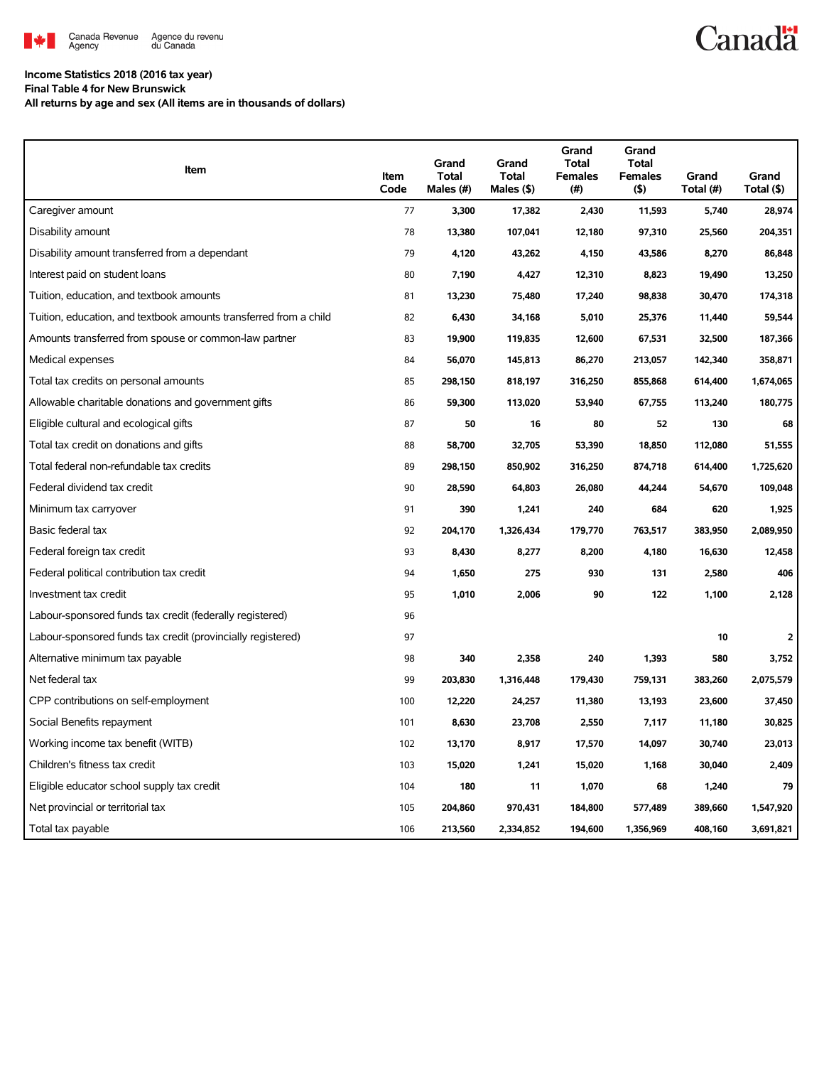

## **Canadä**

#### **Income Statistics 2018 (2016 tax year)**

**Final Table 4 for New Brunswick**

**All returns by age and sex (All items are in thousands of dollars)**

| Item                                                              | Item<br>Code | Grand<br><b>Total</b><br>Males (#) | Grand<br><b>Total</b><br>Males $(\$)$ | Grand<br><b>Total</b><br><b>Females</b><br>(#) | Grand<br><b>Total</b><br><b>Females</b><br>(5) | Grand<br>Total (#) | Grand<br>Total (\$) |
|-------------------------------------------------------------------|--------------|------------------------------------|---------------------------------------|------------------------------------------------|------------------------------------------------|--------------------|---------------------|
| Caregiver amount                                                  | 77           | 3,300                              | 17,382                                | 2,430                                          | 11,593                                         | 5,740              | 28,974              |
| Disability amount                                                 | 78           | 13,380                             | 107,041                               | 12,180                                         | 97,310                                         | 25,560             | 204,351             |
| Disability amount transferred from a dependant                    | 79           | 4,120                              | 43,262                                | 4,150                                          | 43,586                                         | 8,270              | 86,848              |
| Interest paid on student loans                                    | 80           | 7,190                              | 4,427                                 | 12,310                                         | 8,823                                          | 19,490             | 13,250              |
| Tuition, education, and textbook amounts                          | 81           | 13,230                             | 75,480                                | 17,240                                         | 98,838                                         | 30,470             | 174,318             |
| Tuition, education, and textbook amounts transferred from a child | 82           | 6,430                              | 34,168                                | 5,010                                          | 25,376                                         | 11,440             | 59,544              |
| Amounts transferred from spouse or common-law partner             | 83           | 19,900                             | 119,835                               | 12,600                                         | 67,531                                         | 32,500             | 187,366             |
| Medical expenses                                                  | 84           | 56,070                             | 145,813                               | 86,270                                         | 213,057                                        | 142,340            | 358,871             |
| Total tax credits on personal amounts                             | 85           | 298,150                            | 818,197                               | 316,250                                        | 855,868                                        | 614,400            | 1,674,065           |
| Allowable charitable donations and government gifts               | 86           | 59,300                             | 113,020                               | 53,940                                         | 67,755                                         | 113,240            | 180,775             |
| Eligible cultural and ecological gifts                            | 87           | 50                                 | 16                                    | 80                                             | 52                                             | 130                | 68                  |
| Total tax credit on donations and gifts                           | 88           | 58,700                             | 32,705                                | 53,390                                         | 18,850                                         | 112,080            | 51,555              |
| Total federal non-refundable tax credits                          | 89           | 298,150                            | 850,902                               | 316,250                                        | 874,718                                        | 614,400            | 1,725,620           |
| Federal dividend tax credit                                       | 90           | 28,590                             | 64,803                                | 26,080                                         | 44,244                                         | 54,670             | 109,048             |
| Minimum tax carryover                                             | 91           | 390                                | 1,241                                 | 240                                            | 684                                            | 620                | 1,925               |
| Basic federal tax                                                 | 92           | 204,170                            | 1,326,434                             | 179,770                                        | 763,517                                        | 383,950            | 2,089,950           |
| Federal foreign tax credit                                        | 93           | 8,430                              | 8,277                                 | 8,200                                          | 4,180                                          | 16,630             | 12,458              |
| Federal political contribution tax credit                         | 94           | 1,650                              | 275                                   | 930                                            | 131                                            | 2,580              | 406                 |
| Investment tax credit                                             | 95           | 1,010                              | 2,006                                 | 90                                             | 122                                            | 1,100              | 2,128               |
| Labour-sponsored funds tax credit (federally registered)          | 96           |                                    |                                       |                                                |                                                |                    |                     |
| Labour-sponsored funds tax credit (provincially registered)       | 97           |                                    |                                       |                                                |                                                | 10                 | 2                   |
| Alternative minimum tax payable                                   | 98           | 340                                | 2,358                                 | 240                                            | 1,393                                          | 580                | 3,752               |
| Net federal tax                                                   | 99           | 203,830                            | 1,316,448                             | 179,430                                        | 759,131                                        | 383,260            | 2,075,579           |
| CPP contributions on self-employment                              | 100          | 12,220                             | 24,257                                | 11,380                                         | 13,193                                         | 23,600             | 37,450              |
| Social Benefits repayment                                         | 101          | 8,630                              | 23,708                                | 2,550                                          | 7,117                                          | 11,180             | 30,825              |
| Working income tax benefit (WITB)                                 | 102          | 13,170                             | 8,917                                 | 17,570                                         | 14,097                                         | 30,740             | 23,013              |
| Children's fitness tax credit                                     | 103          | 15,020                             | 1,241                                 | 15,020                                         | 1,168                                          | 30,040             | 2,409               |
| Eligible educator school supply tax credit                        | 104          | 180                                | 11                                    | 1,070                                          | 68                                             | 1,240              | 79                  |
| Net provincial or territorial tax                                 | 105          | 204,860                            | 970,431                               | 184,800                                        | 577,489                                        | 389,660            | 1,547,920           |
| Total tax payable                                                 | 106          | 213,560                            | 2,334,852                             | 194,600                                        | 1,356,969                                      | 408,160            | 3,691,821           |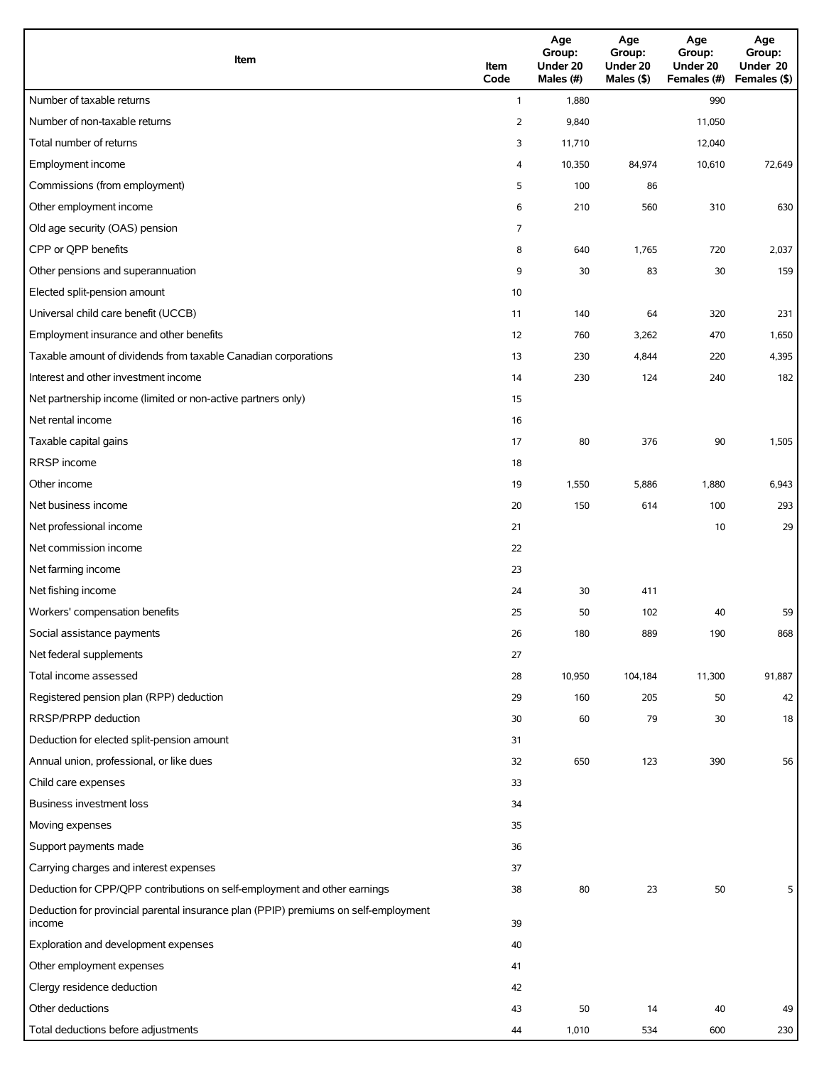| Item                                                                                          | Item<br>Code   | Age<br>Group:<br>Under 20<br>Males (#) | Age<br>Group:<br>Under 20<br>Males (\$) | Age<br>Group:<br>Under 20<br>Females (#) | Age<br>Group:<br>Under 20<br>Females (\$) |
|-----------------------------------------------------------------------------------------------|----------------|----------------------------------------|-----------------------------------------|------------------------------------------|-------------------------------------------|
| Number of taxable returns                                                                     | $\mathbf{1}$   | 1,880                                  |                                         | 990                                      |                                           |
| Number of non-taxable returns                                                                 | $\overline{2}$ | 9,840                                  |                                         | 11,050                                   |                                           |
| Total number of returns                                                                       | 3              | 11,710                                 |                                         | 12,040                                   |                                           |
| Employment income                                                                             | 4              | 10,350                                 | 84,974                                  | 10,610                                   | 72,649                                    |
| Commissions (from employment)                                                                 | 5              | 100                                    | 86                                      |                                          |                                           |
| Other employment income                                                                       | 6              | 210                                    | 560                                     | 310                                      | 630                                       |
| Old age security (OAS) pension                                                                | 7              |                                        |                                         |                                          |                                           |
| CPP or QPP benefits                                                                           | 8              | 640                                    | 1,765                                   | 720                                      | 2,037                                     |
| Other pensions and superannuation                                                             | 9              | 30                                     | 83                                      | 30                                       | 159                                       |
| Elected split-pension amount                                                                  | 10             |                                        |                                         |                                          |                                           |
| Universal child care benefit (UCCB)                                                           | 11             | 140                                    | 64                                      | 320                                      | 231                                       |
| Employment insurance and other benefits                                                       | 12             | 760                                    | 3,262                                   | 470                                      | 1,650                                     |
| Taxable amount of dividends from taxable Canadian corporations                                | 13             | 230                                    | 4,844                                   | 220                                      | 4,395                                     |
| Interest and other investment income                                                          | 14             | 230                                    | 124                                     | 240                                      | 182                                       |
| Net partnership income (limited or non-active partners only)                                  | 15             |                                        |                                         |                                          |                                           |
| Net rental income                                                                             | 16             |                                        |                                         |                                          |                                           |
| Taxable capital gains                                                                         | 17             | 80                                     | 376                                     | 90                                       | 1,505                                     |
| RRSP income                                                                                   | 18             |                                        |                                         |                                          |                                           |
| Other income                                                                                  | 19             | 1,550                                  | 5,886                                   | 1,880                                    | 6,943                                     |
| Net business income                                                                           | 20             | 150                                    | 614                                     | 100                                      | 293                                       |
| Net professional income                                                                       | 21             |                                        |                                         | 10                                       | 29                                        |
| Net commission income                                                                         | 22             |                                        |                                         |                                          |                                           |
| Net farming income                                                                            | 23             |                                        |                                         |                                          |                                           |
| Net fishing income                                                                            | 24             | 30                                     | 411                                     |                                          |                                           |
| Workers' compensation benefits                                                                | 25             | 50                                     | 102                                     | 40                                       | 59                                        |
| Social assistance payments                                                                    | 26             | 180                                    | 889                                     | 190                                      | 868                                       |
| Net federal supplements                                                                       | 27             |                                        |                                         |                                          |                                           |
| Total income assessed                                                                         | 28             | 10,950                                 | 104,184                                 | 11,300                                   | 91,887                                    |
| Registered pension plan (RPP) deduction                                                       | 29             | 160                                    | 205                                     | 50                                       | 42                                        |
| RRSP/PRPP deduction                                                                           | 30             | 60                                     | 79                                      | 30                                       | 18                                        |
| Deduction for elected split-pension amount                                                    | 31             |                                        |                                         |                                          |                                           |
| Annual union, professional, or like dues                                                      | 32             | 650                                    | 123                                     | 390                                      | 56                                        |
| Child care expenses                                                                           | 33             |                                        |                                         |                                          |                                           |
| Business investment loss                                                                      | 34             |                                        |                                         |                                          |                                           |
| Moving expenses                                                                               | 35             |                                        |                                         |                                          |                                           |
| Support payments made                                                                         | 36             |                                        |                                         |                                          |                                           |
| Carrying charges and interest expenses                                                        | 37             |                                        |                                         |                                          |                                           |
| Deduction for CPP/QPP contributions on self-employment and other earnings                     | 38             | 80                                     | 23                                      | 50                                       | 5                                         |
| Deduction for provincial parental insurance plan (PPIP) premiums on self-employment<br>income | 39             |                                        |                                         |                                          |                                           |
| Exploration and development expenses                                                          | 40             |                                        |                                         |                                          |                                           |
| Other employment expenses                                                                     | 41             |                                        |                                         |                                          |                                           |
| Clergy residence deduction                                                                    | 42             |                                        |                                         |                                          |                                           |
| Other deductions                                                                              | 43             | 50                                     | 14                                      | 40                                       | 49                                        |
| Total deductions before adjustments                                                           | 44             | 1,010                                  | 534                                     | 600                                      | 230                                       |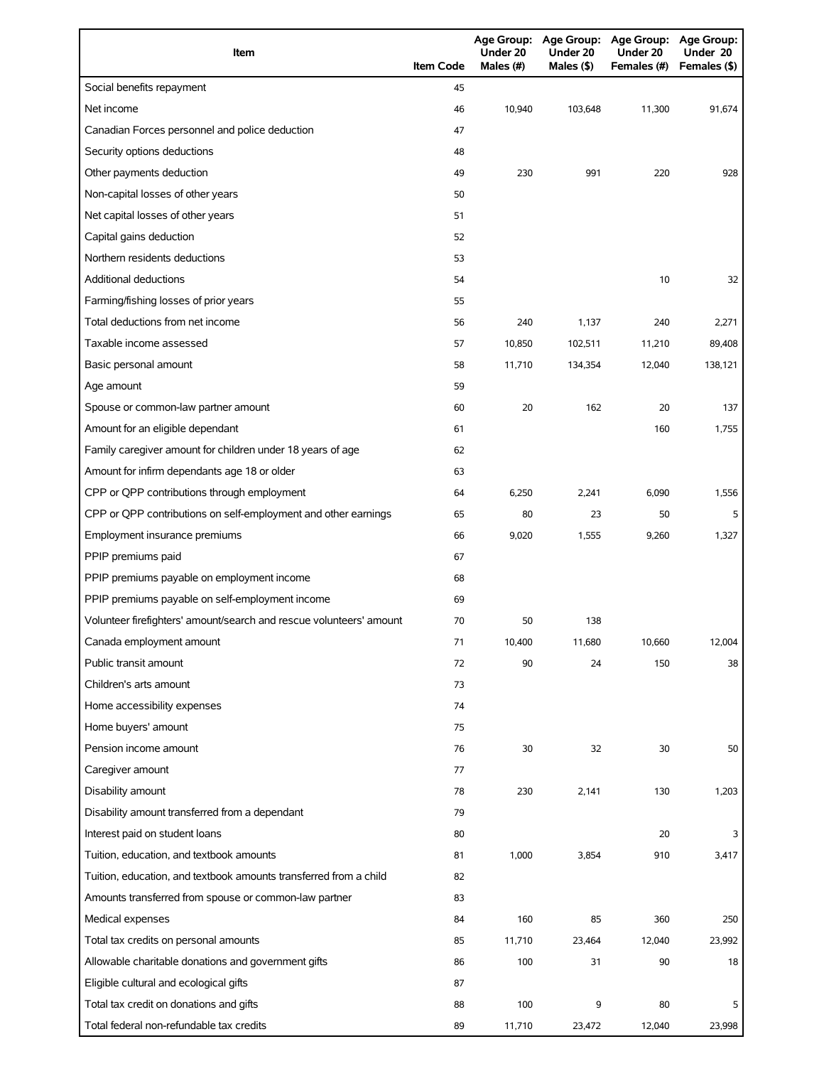| Item                                                                | <b>Item Code</b> | Under 20<br>Males (#) | Under 20<br>Males (\$) | Age Group: Age Group: Age Group: Age Group:<br>Under 20<br>Females (#) | Under 20<br>Females (\$) |
|---------------------------------------------------------------------|------------------|-----------------------|------------------------|------------------------------------------------------------------------|--------------------------|
| Social benefits repayment                                           | 45               |                       |                        |                                                                        |                          |
| Net income                                                          | 46               | 10,940                | 103,648                | 11,300                                                                 | 91,674                   |
| Canadian Forces personnel and police deduction                      | 47               |                       |                        |                                                                        |                          |
| Security options deductions                                         | 48               |                       |                        |                                                                        |                          |
| Other payments deduction                                            | 49               | 230                   | 991                    | 220                                                                    | 928                      |
| Non-capital losses of other years                                   | 50               |                       |                        |                                                                        |                          |
| Net capital losses of other years                                   | 51               |                       |                        |                                                                        |                          |
| Capital gains deduction                                             | 52               |                       |                        |                                                                        |                          |
| Northern residents deductions                                       | 53               |                       |                        |                                                                        |                          |
| <b>Additional deductions</b>                                        | 54               |                       |                        | 10                                                                     | 32                       |
| Farming/fishing losses of prior years                               | 55               |                       |                        |                                                                        |                          |
| Total deductions from net income                                    | 56               | 240                   | 1,137                  | 240                                                                    | 2,271                    |
| Taxable income assessed                                             | 57               | 10,850                | 102,511                | 11,210                                                                 | 89,408                   |
| Basic personal amount                                               | 58               | 11,710                | 134,354                | 12,040                                                                 | 138,121                  |
| Age amount                                                          | 59               |                       |                        |                                                                        |                          |
| Spouse or common-law partner amount                                 | 60               | 20                    | 162                    | 20                                                                     | 137                      |
| Amount for an eligible dependant                                    | 61               |                       |                        | 160                                                                    | 1,755                    |
| Family caregiver amount for children under 18 years of age          | 62               |                       |                        |                                                                        |                          |
| Amount for infirm dependants age 18 or older                        | 63               |                       |                        |                                                                        |                          |
| CPP or QPP contributions through employment                         | 64               | 6,250                 | 2,241                  | 6,090                                                                  | 1,556                    |
| CPP or QPP contributions on self-employment and other earnings      | 65               | 80                    | 23                     | 50                                                                     | 5                        |
| Employment insurance premiums                                       | 66               | 9,020                 | 1,555                  | 9,260                                                                  | 1,327                    |
| PPIP premiums paid                                                  | 67               |                       |                        |                                                                        |                          |
| PPIP premiums payable on employment income                          | 68               |                       |                        |                                                                        |                          |
| PPIP premiums payable on self-employment income                     | 69               |                       |                        |                                                                        |                          |
| Volunteer firefighters' amount/search and rescue volunteers' amount | 70               | 50                    | 138                    |                                                                        |                          |
| Canada employment amount                                            | 71               | 10,400                | 11,680                 | 10,660                                                                 | 12,004                   |
| Public transit amount                                               | 72               | 90                    | 24                     | 150                                                                    | 38                       |
| Children's arts amount                                              | 73               |                       |                        |                                                                        |                          |
| Home accessibility expenses                                         | 74               |                       |                        |                                                                        |                          |
| Home buyers' amount                                                 | 75               |                       |                        |                                                                        |                          |
| Pension income amount                                               | 76               | 30                    | 32                     | 30                                                                     | 50                       |
| Caregiver amount                                                    | 77               |                       |                        |                                                                        |                          |
| Disability amount                                                   | 78               | 230                   | 2,141                  | 130                                                                    | 1,203                    |
| Disability amount transferred from a dependant                      | 79               |                       |                        |                                                                        |                          |
| Interest paid on student loans                                      | 80               |                       |                        | 20                                                                     | 3                        |
| Tuition, education, and textbook amounts                            | 81               | 1,000                 | 3,854                  | 910                                                                    | 3,417                    |
| Tuition, education, and textbook amounts transferred from a child   | 82               |                       |                        |                                                                        |                          |
| Amounts transferred from spouse or common-law partner               | 83               |                       |                        |                                                                        |                          |
| Medical expenses                                                    | 84               | 160                   | 85                     | 360                                                                    | 250                      |
| Total tax credits on personal amounts                               | 85               | 11,710                | 23,464                 | 12,040                                                                 | 23,992                   |
| Allowable charitable donations and government gifts                 | 86               | 100                   | 31                     | 90                                                                     | 18                       |
| Eligible cultural and ecological gifts                              | 87               |                       |                        |                                                                        |                          |
| Total tax credit on donations and gifts                             | 88               | 100                   | 9                      | 80                                                                     | 5                        |
| Total federal non-refundable tax credits                            | 89               | 11,710                | 23,472                 | 12,040                                                                 | 23,998                   |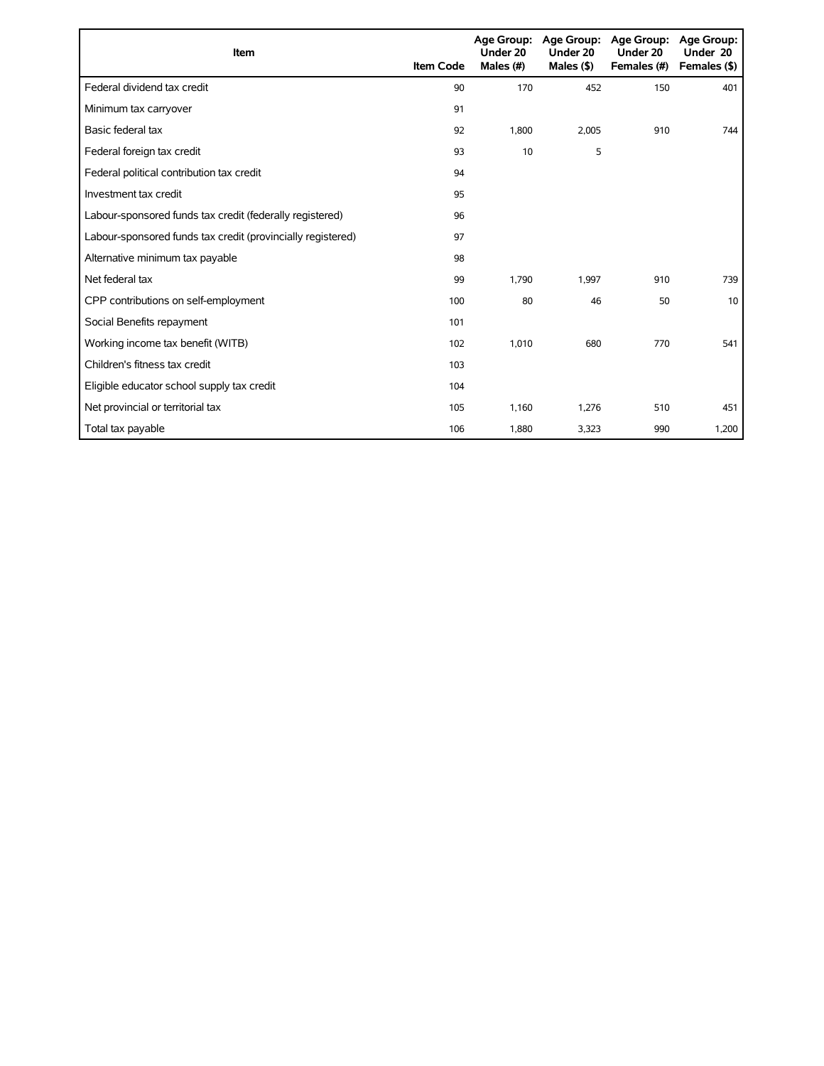| Item                                                        | <b>Item Code</b> | Under 20<br>Males (#) | Age Group: Age Group:<br>Under 20<br>Males $($ \$ $)$ | <b>Age Group:</b><br>Under 20<br>Females (#) | <b>Age Group:</b><br>Under 20<br>Females (\$) |
|-------------------------------------------------------------|------------------|-----------------------|-------------------------------------------------------|----------------------------------------------|-----------------------------------------------|
| Federal dividend tax credit                                 | 90               | 170                   | 452                                                   | 150                                          | 401                                           |
| Minimum tax carryover                                       | 91               |                       |                                                       |                                              |                                               |
| Basic federal tax                                           | 92               | 1,800                 | 2,005                                                 | 910                                          | 744                                           |
| Federal foreign tax credit                                  | 93               | 10                    | 5                                                     |                                              |                                               |
| Federal political contribution tax credit                   | 94               |                       |                                                       |                                              |                                               |
| Investment tax credit                                       | 95               |                       |                                                       |                                              |                                               |
| Labour-sponsored funds tax credit (federally registered)    | 96               |                       |                                                       |                                              |                                               |
| Labour-sponsored funds tax credit (provincially registered) | 97               |                       |                                                       |                                              |                                               |
| Alternative minimum tax payable                             | 98               |                       |                                                       |                                              |                                               |
| Net federal tax                                             | 99               | 1.790                 | 1,997                                                 | 910                                          | 739                                           |
| CPP contributions on self-employment                        | 100              | 80                    | 46                                                    | 50                                           | 10                                            |
| Social Benefits repayment                                   | 101              |                       |                                                       |                                              |                                               |
| Working income tax benefit (WITB)                           | 102              | 1,010                 | 680                                                   | 770                                          | 541                                           |
| Children's fitness tax credit                               | 103              |                       |                                                       |                                              |                                               |
| Eligible educator school supply tax credit                  | 104              |                       |                                                       |                                              |                                               |
| Net provincial or territorial tax                           | 105              | 1.160                 | 1,276                                                 | 510                                          | 451                                           |
| Total tax payable                                           | 106              | 1,880                 | 3,323                                                 | 990                                          | 1,200                                         |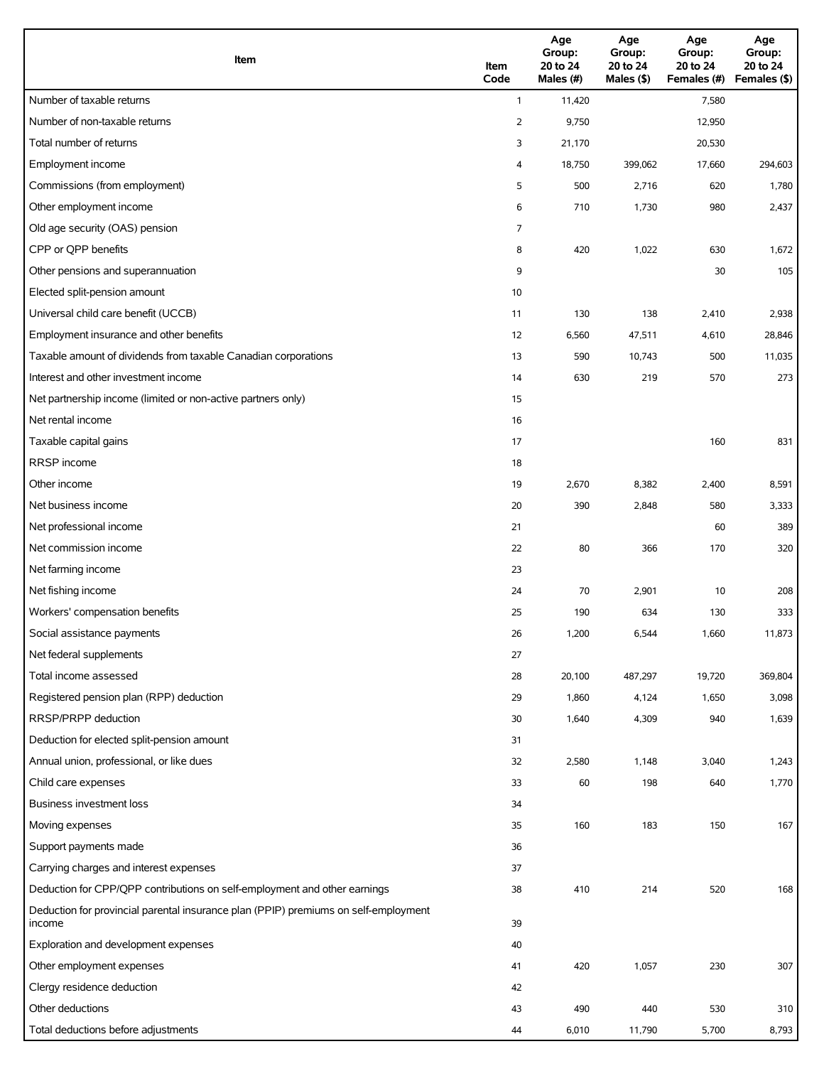| Item                                                                                          | Item<br>Code   | Age<br>Group:<br>20 to 24<br>Males (#) | Age<br>Group:<br>20 to 24<br>Males (\$) | Age<br>Group:<br>20 to 24<br>Females (#) | Age<br>Group:<br>20 to 24<br>Females (\$) |
|-----------------------------------------------------------------------------------------------|----------------|----------------------------------------|-----------------------------------------|------------------------------------------|-------------------------------------------|
| Number of taxable returns                                                                     | $\mathbf{1}$   | 11,420                                 |                                         | 7,580                                    |                                           |
| Number of non-taxable returns                                                                 | $\overline{2}$ | 9,750                                  |                                         | 12,950                                   |                                           |
| Total number of returns                                                                       | 3              | 21,170                                 |                                         | 20,530                                   |                                           |
| Employment income                                                                             | 4              | 18,750                                 | 399,062                                 | 17,660                                   | 294,603                                   |
| Commissions (from employment)                                                                 | 5              | 500                                    | 2,716                                   | 620                                      | 1,780                                     |
| Other employment income                                                                       | 6              | 710                                    | 1,730                                   | 980                                      | 2,437                                     |
| Old age security (OAS) pension                                                                | 7              |                                        |                                         |                                          |                                           |
| CPP or QPP benefits                                                                           | 8              | 420                                    | 1,022                                   | 630                                      | 1,672                                     |
| Other pensions and superannuation                                                             | 9              |                                        |                                         | 30                                       | 105                                       |
| Elected split-pension amount                                                                  | 10             |                                        |                                         |                                          |                                           |
| Universal child care benefit (UCCB)                                                           | 11             | 130                                    | 138                                     | 2,410                                    | 2,938                                     |
| Employment insurance and other benefits                                                       | 12             | 6,560                                  | 47,511                                  | 4,610                                    | 28,846                                    |
| Taxable amount of dividends from taxable Canadian corporations                                | 13             | 590                                    | 10,743                                  | 500                                      | 11,035                                    |
| Interest and other investment income                                                          | 14             | 630                                    | 219                                     | 570                                      | 273                                       |
| Net partnership income (limited or non-active partners only)                                  | 15             |                                        |                                         |                                          |                                           |
| Net rental income                                                                             | 16             |                                        |                                         |                                          |                                           |
| Taxable capital gains                                                                         | 17             |                                        |                                         | 160                                      | 831                                       |
| <b>RRSP</b> income                                                                            | 18             |                                        |                                         |                                          |                                           |
| Other income                                                                                  | 19             | 2,670                                  | 8,382                                   | 2,400                                    | 8,591                                     |
| Net business income                                                                           | 20             | 390                                    | 2,848                                   | 580                                      | 3,333                                     |
| Net professional income                                                                       | 21             |                                        |                                         | 60                                       | 389                                       |
| Net commission income                                                                         | 22             | 80                                     | 366                                     | 170                                      | 320                                       |
| Net farming income                                                                            | 23             |                                        |                                         |                                          |                                           |
| Net fishing income                                                                            | 24             | 70                                     | 2,901                                   | 10                                       | 208                                       |
| Workers' compensation benefits                                                                | 25             | 190                                    | 634                                     | 130                                      | 333                                       |
| Social assistance payments                                                                    | 26             | 1,200                                  | 6,544                                   | 1,660                                    | 11,873                                    |
| Net federal supplements                                                                       | 27             |                                        |                                         |                                          |                                           |
| Total income assessed                                                                         | 28             | 20,100                                 | 487,297                                 | 19,720                                   | 369,804                                   |
| Registered pension plan (RPP) deduction                                                       | 29             | 1,860                                  | 4,124                                   | 1,650                                    | 3,098                                     |
| RRSP/PRPP deduction                                                                           | 30             | 1,640                                  | 4,309                                   | 940                                      | 1,639                                     |
| Deduction for elected split-pension amount                                                    | 31             |                                        |                                         |                                          |                                           |
| Annual union, professional, or like dues                                                      | 32             | 2,580                                  | 1,148                                   | 3,040                                    | 1,243                                     |
| Child care expenses                                                                           | 33             | 60                                     | 198                                     | 640                                      | 1,770                                     |
| <b>Business investment loss</b>                                                               | 34             |                                        |                                         |                                          |                                           |
| Moving expenses                                                                               | 35             | 160                                    | 183                                     | 150                                      | 167                                       |
| Support payments made                                                                         | 36             |                                        |                                         |                                          |                                           |
| Carrying charges and interest expenses                                                        | 37             |                                        |                                         |                                          |                                           |
| Deduction for CPP/QPP contributions on self-employment and other earnings                     | 38             | 410                                    | 214                                     | 520                                      | 168                                       |
| Deduction for provincial parental insurance plan (PPIP) premiums on self-employment<br>income | 39             |                                        |                                         |                                          |                                           |
| Exploration and development expenses                                                          | 40             |                                        |                                         |                                          |                                           |
| Other employment expenses                                                                     | 41             | 420                                    | 1,057                                   | 230                                      | 307                                       |
| Clergy residence deduction                                                                    | 42             |                                        |                                         |                                          |                                           |
| Other deductions                                                                              | 43             | 490                                    | 440                                     | 530                                      | 310                                       |
| Total deductions before adjustments                                                           | 44             | 6,010                                  | 11,790                                  | 5,700                                    | 8,793                                     |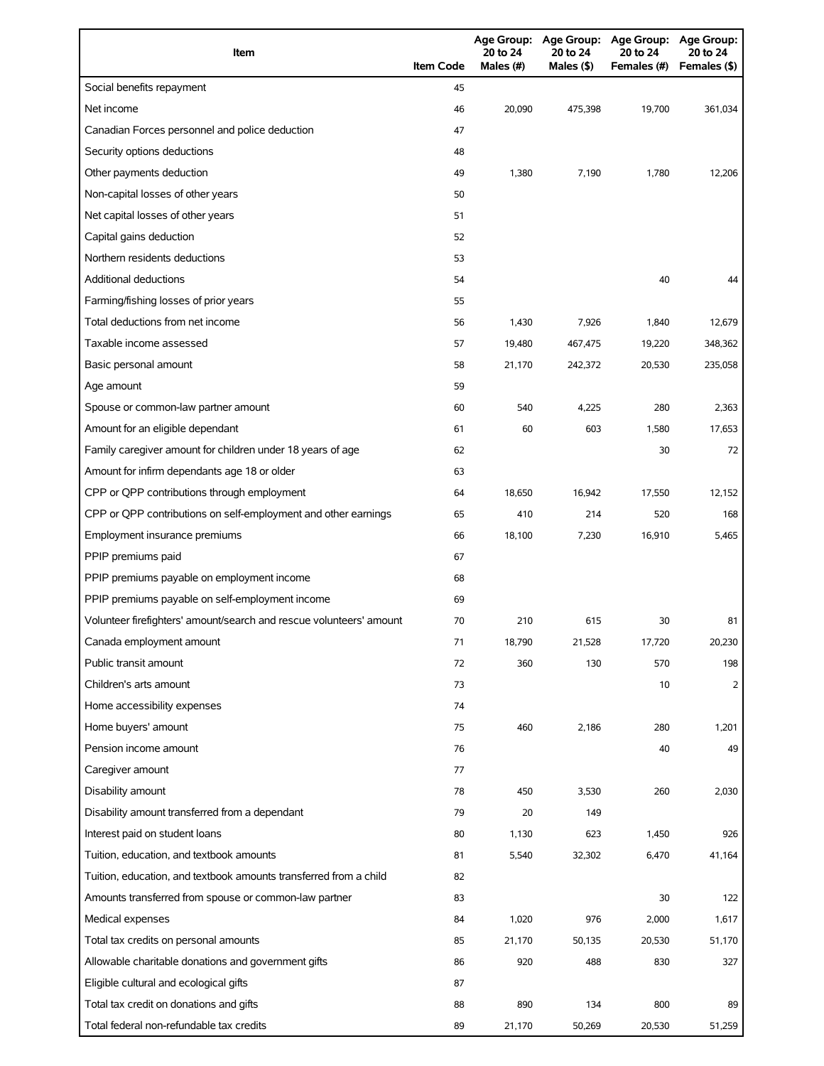| Item                                                                | <b>Item Code</b> | 20 to 24<br>Males (#) | 20 to 24<br>Males (\$) | Age Group: Age Group: Age Group: Age Group:<br>20 to 24<br>Females (#) | 20 to 24<br>Females (\$) |
|---------------------------------------------------------------------|------------------|-----------------------|------------------------|------------------------------------------------------------------------|--------------------------|
| Social benefits repayment                                           | 45               |                       |                        |                                                                        |                          |
| Net income                                                          | 46               | 20,090                | 475,398                | 19,700                                                                 | 361,034                  |
| Canadian Forces personnel and police deduction                      | 47               |                       |                        |                                                                        |                          |
| Security options deductions                                         | 48               |                       |                        |                                                                        |                          |
| Other payments deduction                                            | 49               | 1,380                 | 7,190                  | 1,780                                                                  | 12,206                   |
| Non-capital losses of other years                                   | 50               |                       |                        |                                                                        |                          |
| Net capital losses of other years                                   | 51               |                       |                        |                                                                        |                          |
| Capital gains deduction                                             | 52               |                       |                        |                                                                        |                          |
| Northern residents deductions                                       | 53               |                       |                        |                                                                        |                          |
| Additional deductions                                               | 54               |                       |                        | 40                                                                     | 44                       |
| Farming/fishing losses of prior years                               | 55               |                       |                        |                                                                        |                          |
| Total deductions from net income                                    | 56               | 1,430                 | 7,926                  | 1,840                                                                  | 12,679                   |
| Taxable income assessed                                             | 57               | 19,480                | 467,475                | 19,220                                                                 | 348,362                  |
| Basic personal amount                                               | 58               | 21,170                | 242,372                | 20,530                                                                 | 235,058                  |
| Age amount                                                          | 59               |                       |                        |                                                                        |                          |
| Spouse or common-law partner amount                                 | 60               | 540                   | 4,225                  | 280                                                                    | 2,363                    |
| Amount for an eligible dependant                                    | 61               | 60                    | 603                    | 1,580                                                                  | 17,653                   |
| Family caregiver amount for children under 18 years of age          | 62               |                       |                        | 30                                                                     | 72                       |
| Amount for infirm dependants age 18 or older                        | 63               |                       |                        |                                                                        |                          |
| CPP or QPP contributions through employment                         | 64               | 18,650                | 16,942                 | 17,550                                                                 | 12,152                   |
| CPP or QPP contributions on self-employment and other earnings      | 65               | 410                   | 214                    | 520                                                                    | 168                      |
| Employment insurance premiums                                       | 66               | 18,100                | 7,230                  | 16,910                                                                 | 5,465                    |
| PPIP premiums paid                                                  | 67               |                       |                        |                                                                        |                          |
| PPIP premiums payable on employment income                          | 68               |                       |                        |                                                                        |                          |
| PPIP premiums payable on self-employment income                     | 69               |                       |                        |                                                                        |                          |
| Volunteer firefighters' amount/search and rescue volunteers' amount | 70               | 210                   | 615                    | 30                                                                     | 81                       |
| Canada employment amount                                            | 71               | 18,790                | 21,528                 | 17,720                                                                 | 20,230                   |
| Public transit amount                                               | 72               | 360                   | 130                    | 570                                                                    | 198                      |
| Children's arts amount                                              | 73               |                       |                        | 10                                                                     | 2                        |
| Home accessibility expenses                                         | 74               |                       |                        |                                                                        |                          |
| Home buyers' amount                                                 | 75               | 460                   | 2,186                  | 280                                                                    | 1,201                    |
| Pension income amount                                               | 76               |                       |                        | 40                                                                     | 49                       |
| Caregiver amount                                                    | 77               |                       |                        |                                                                        |                          |
| Disability amount                                                   | 78               | 450                   | 3,530                  | 260                                                                    | 2,030                    |
| Disability amount transferred from a dependant                      | 79               | 20                    | 149                    |                                                                        |                          |
| Interest paid on student loans                                      | 80               | 1,130                 | 623                    | 1,450                                                                  | 926                      |
| Tuition, education, and textbook amounts                            | 81               | 5,540                 | 32,302                 | 6,470                                                                  | 41,164                   |
| Tuition, education, and textbook amounts transferred from a child   | 82               |                       |                        |                                                                        |                          |
| Amounts transferred from spouse or common-law partner               | 83               |                       |                        | 30                                                                     | 122                      |
| Medical expenses                                                    | 84               | 1,020                 | 976                    | 2,000                                                                  | 1,617                    |
| Total tax credits on personal amounts                               | 85               | 21,170                | 50,135                 | 20,530                                                                 | 51,170                   |
| Allowable charitable donations and government gifts                 | 86               | 920                   | 488                    | 830                                                                    | 327                      |
| Eligible cultural and ecological gifts                              | 87               |                       |                        |                                                                        |                          |
| Total tax credit on donations and gifts                             | 88               | 890                   | 134                    | 800                                                                    | 89                       |
| Total federal non-refundable tax credits                            | 89               | 21,170                | 50,269                 | 20,530                                                                 | 51,259                   |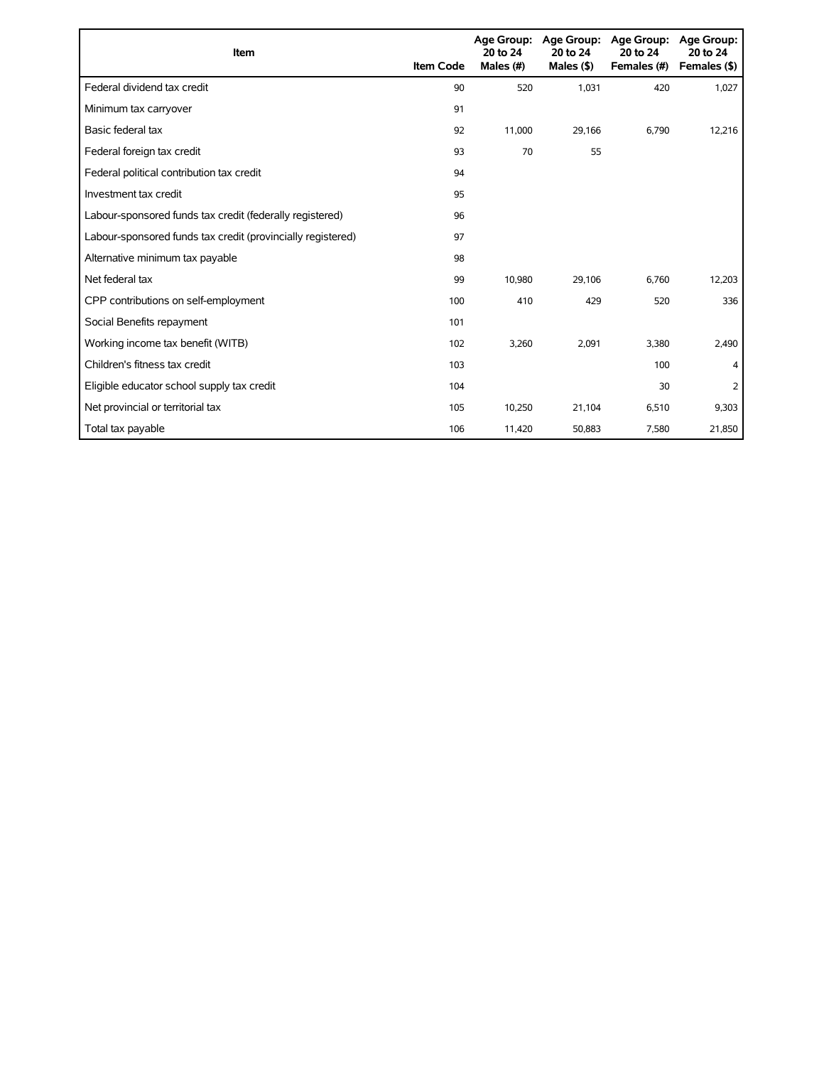| Item                                                        | <b>Item Code</b> | 20 to 24<br>Males (#) | Age Group: Age Group:<br>20 to 24<br>Males $($ \$) | Age Group:<br>20 to 24<br>Females (#) | <b>Age Group:</b><br>20 to 24<br>Females (\$) |
|-------------------------------------------------------------|------------------|-----------------------|----------------------------------------------------|---------------------------------------|-----------------------------------------------|
| Federal dividend tax credit                                 | 90               | 520                   | 1,031                                              | 420                                   | 1,027                                         |
| Minimum tax carryover                                       | 91               |                       |                                                    |                                       |                                               |
| Basic federal tax                                           | 92               | 11,000                | 29,166                                             | 6,790                                 | 12,216                                        |
| Federal foreign tax credit                                  | 93               | 70                    | 55                                                 |                                       |                                               |
| Federal political contribution tax credit                   | 94               |                       |                                                    |                                       |                                               |
| Investment tax credit                                       | 95               |                       |                                                    |                                       |                                               |
| Labour-sponsored funds tax credit (federally registered)    | 96               |                       |                                                    |                                       |                                               |
| Labour-sponsored funds tax credit (provincially registered) | 97               |                       |                                                    |                                       |                                               |
| Alternative minimum tax payable                             | 98               |                       |                                                    |                                       |                                               |
| Net federal tax                                             | 99               | 10,980                | 29,106                                             | 6,760                                 | 12,203                                        |
| CPP contributions on self-employment                        | 100              | 410                   | 429                                                | 520                                   | 336                                           |
| Social Benefits repayment                                   | 101              |                       |                                                    |                                       |                                               |
| Working income tax benefit (WITB)                           | 102              | 3,260                 | 2,091                                              | 3,380                                 | 2,490                                         |
| Children's fitness tax credit                               | 103              |                       |                                                    | 100                                   | 4                                             |
| Eligible educator school supply tax credit                  | 104              |                       |                                                    | 30                                    | 2                                             |
| Net provincial or territorial tax                           | 105              | 10,250                | 21,104                                             | 6,510                                 | 9,303                                         |
| Total tax payable                                           | 106              | 11,420                | 50,883                                             | 7,580                                 | 21,850                                        |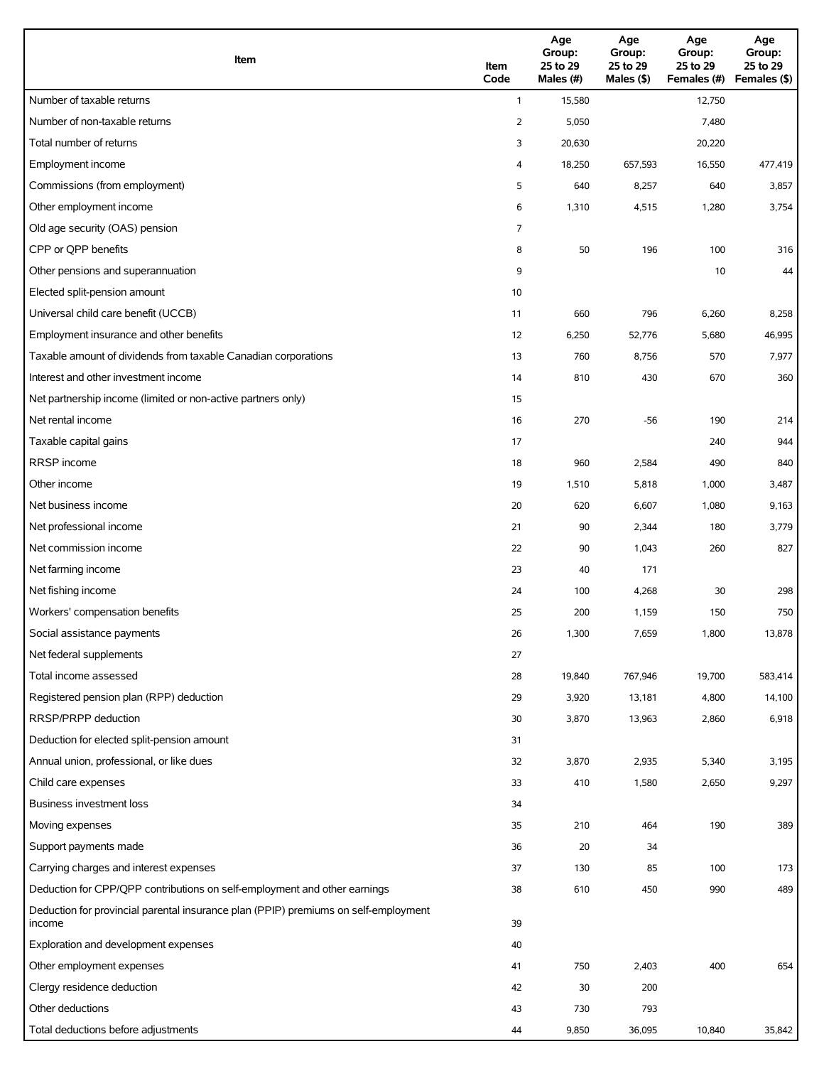| Item                                                                                          | Item<br>Code | Age<br>Group:<br>25 to 29<br>Males (#) | Age<br>Group:<br>25 to 29<br>Males (\$) | Age<br>Group:<br>25 to 29<br>Females (#) | Age<br>Group:<br>25 to 29<br>Females (\$) |
|-----------------------------------------------------------------------------------------------|--------------|----------------------------------------|-----------------------------------------|------------------------------------------|-------------------------------------------|
| Number of taxable returns                                                                     | $\mathbf{1}$ | 15,580                                 |                                         | 12,750                                   |                                           |
| Number of non-taxable returns                                                                 | 2            | 5,050                                  |                                         | 7,480                                    |                                           |
| Total number of returns                                                                       | 3            | 20,630                                 |                                         | 20,220                                   |                                           |
| Employment income                                                                             | 4            | 18,250                                 | 657,593                                 | 16,550                                   | 477,419                                   |
| Commissions (from employment)                                                                 | 5            | 640                                    | 8,257                                   | 640                                      | 3,857                                     |
| Other employment income                                                                       | 6            | 1,310                                  | 4,515                                   | 1,280                                    | 3,754                                     |
| Old age security (OAS) pension                                                                | 7            |                                        |                                         |                                          |                                           |
| CPP or QPP benefits                                                                           | 8            | 50                                     | 196                                     | 100                                      | 316                                       |
| Other pensions and superannuation                                                             | 9            |                                        |                                         | 10                                       | 44                                        |
| Elected split-pension amount                                                                  | 10           |                                        |                                         |                                          |                                           |
| Universal child care benefit (UCCB)                                                           | 11           | 660                                    | 796                                     | 6,260                                    | 8,258                                     |
| Employment insurance and other benefits                                                       | 12           | 6,250                                  | 52,776                                  | 5,680                                    | 46,995                                    |
| Taxable amount of dividends from taxable Canadian corporations                                | 13           | 760                                    | 8,756                                   | 570                                      | 7,977                                     |
| Interest and other investment income                                                          | 14           | 810                                    | 430                                     | 670                                      | 360                                       |
| Net partnership income (limited or non-active partners only)                                  | 15           |                                        |                                         |                                          |                                           |
| Net rental income                                                                             | 16           | 270                                    | $-56$                                   | 190                                      | 214                                       |
| Taxable capital gains                                                                         | 17           |                                        |                                         | 240                                      | 944                                       |
| <b>RRSP</b> income                                                                            | 18           | 960                                    | 2,584                                   | 490                                      | 840                                       |
| Other income                                                                                  | 19           | 1,510                                  | 5,818                                   | 1,000                                    | 3,487                                     |
| Net business income                                                                           | 20           | 620                                    | 6,607                                   | 1,080                                    | 9,163                                     |
| Net professional income                                                                       | 21           | 90                                     | 2,344                                   | 180                                      | 3,779                                     |
| Net commission income                                                                         | 22           | 90                                     | 1,043                                   | 260                                      | 827                                       |
| Net farming income                                                                            | 23           | 40                                     | 171                                     |                                          |                                           |
| Net fishing income                                                                            | 24           | 100                                    | 4,268                                   | 30                                       | 298                                       |
| Workers' compensation benefits                                                                | 25           | 200                                    | 1,159                                   | 150                                      | 750                                       |
| Social assistance payments                                                                    | 26           | 1,300                                  | 7,659                                   | 1,800                                    | 13,878                                    |
| Net federal supplements                                                                       | 27           |                                        |                                         |                                          |                                           |
| Total income assessed                                                                         | 28           | 19,840                                 | 767,946                                 | 19,700                                   | 583,414                                   |
| Registered pension plan (RPP) deduction                                                       | 29           | 3,920                                  | 13,181                                  | 4,800                                    | 14,100                                    |
| RRSP/PRPP deduction                                                                           | 30           | 3,870                                  | 13,963                                  | 2,860                                    | 6,918                                     |
| Deduction for elected split-pension amount                                                    | 31           |                                        |                                         |                                          |                                           |
| Annual union, professional, or like dues                                                      | 32           | 3,870                                  | 2,935                                   | 5,340                                    | 3,195                                     |
| Child care expenses                                                                           | 33           | 410                                    | 1,580                                   | 2,650                                    | 9,297                                     |
| Business investment loss                                                                      | 34           |                                        |                                         |                                          |                                           |
| Moving expenses                                                                               | 35           | 210                                    | 464                                     | 190                                      | 389                                       |
| Support payments made                                                                         | 36           | 20                                     | 34                                      |                                          |                                           |
| Carrying charges and interest expenses                                                        | 37           | 130                                    | 85                                      | 100                                      | 173                                       |
| Deduction for CPP/QPP contributions on self-employment and other earnings                     | 38           | 610                                    | 450                                     | 990                                      | 489                                       |
| Deduction for provincial parental insurance plan (PPIP) premiums on self-employment<br>income | 39           |                                        |                                         |                                          |                                           |
| Exploration and development expenses                                                          | 40           |                                        |                                         |                                          |                                           |
| Other employment expenses                                                                     | 41           | 750                                    | 2,403                                   | 400                                      | 654                                       |
| Clergy residence deduction                                                                    | 42           | 30                                     | 200                                     |                                          |                                           |
| Other deductions                                                                              | 43           | 730                                    | 793                                     |                                          |                                           |
| Total deductions before adjustments                                                           | 44           | 9,850                                  | 36,095                                  | 10,840                                   | 35,842                                    |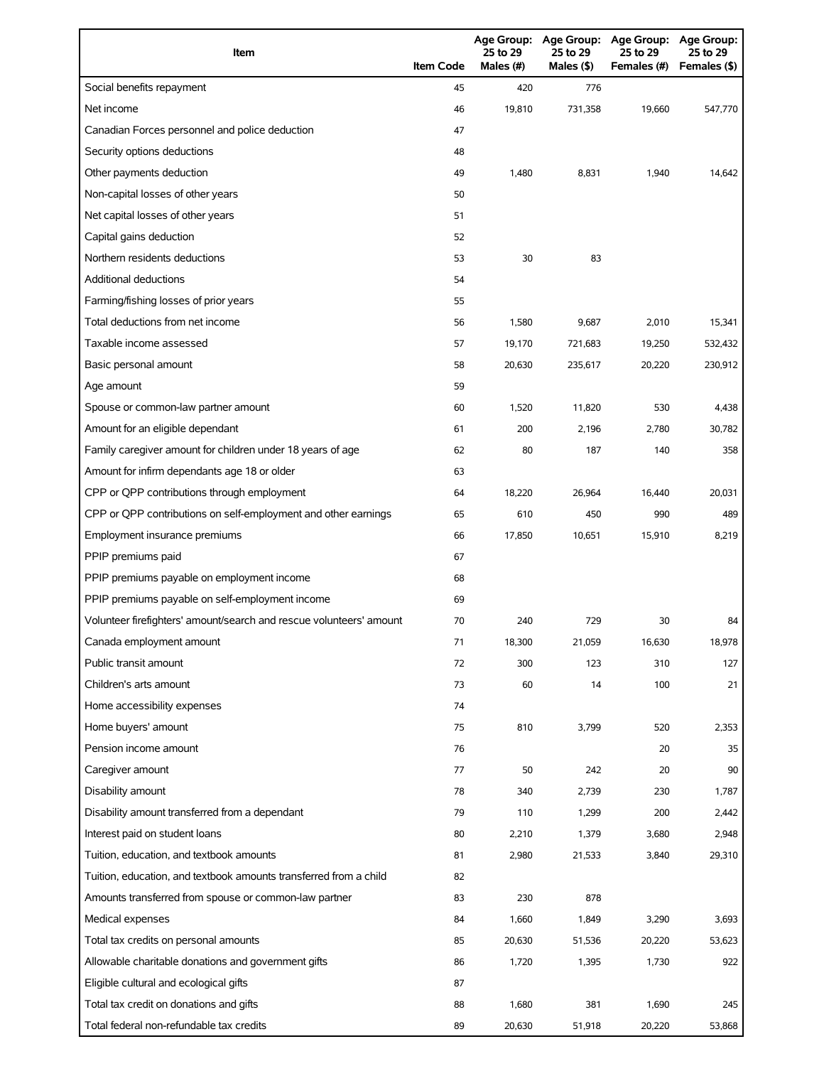| Item                                                                | <b>Item Code</b> | 25 to 29<br>Males (#) | 25 to 29<br>Males $(§)$ | Age Group: Age Group: Age Group:<br>25 to 29<br>Females (#) | <b>Age Group:</b><br>25 to 29<br>Females (\$) |
|---------------------------------------------------------------------|------------------|-----------------------|-------------------------|-------------------------------------------------------------|-----------------------------------------------|
| Social benefits repayment                                           | 45               | 420                   | 776                     |                                                             |                                               |
| Net income                                                          | 46               | 19,810                | 731,358                 | 19,660                                                      | 547,770                                       |
| Canadian Forces personnel and police deduction                      | 47               |                       |                         |                                                             |                                               |
| Security options deductions                                         | 48               |                       |                         |                                                             |                                               |
| Other payments deduction                                            | 49               | 1,480                 | 8,831                   | 1,940                                                       | 14,642                                        |
| Non-capital losses of other years                                   | 50               |                       |                         |                                                             |                                               |
| Net capital losses of other years                                   | 51               |                       |                         |                                                             |                                               |
| Capital gains deduction                                             | 52               |                       |                         |                                                             |                                               |
| Northern residents deductions                                       | 53               | 30                    | 83                      |                                                             |                                               |
| Additional deductions                                               | 54               |                       |                         |                                                             |                                               |
| Farming/fishing losses of prior years                               | 55               |                       |                         |                                                             |                                               |
| Total deductions from net income                                    | 56               | 1,580                 | 9,687                   | 2,010                                                       | 15,341                                        |
| Taxable income assessed                                             | 57               | 19,170                | 721,683                 | 19,250                                                      | 532,432                                       |
| Basic personal amount                                               | 58               | 20.630                | 235,617                 | 20,220                                                      | 230,912                                       |
| Age amount                                                          | 59               |                       |                         |                                                             |                                               |
| Spouse or common-law partner amount                                 | 60               | 1,520                 | 11,820                  | 530                                                         | 4,438                                         |
| Amount for an eligible dependant                                    | 61               | 200                   | 2,196                   | 2,780                                                       | 30,782                                        |
| Family caregiver amount for children under 18 years of age          | 62               | 80                    | 187                     | 140                                                         | 358                                           |
| Amount for infirm dependants age 18 or older                        | 63               |                       |                         |                                                             |                                               |
| CPP or QPP contributions through employment                         | 64               | 18,220                | 26,964                  | 16,440                                                      | 20,031                                        |
| CPP or QPP contributions on self-employment and other earnings      | 65               | 610                   | 450                     | 990                                                         | 489                                           |
| Employment insurance premiums                                       | 66               | 17,850                | 10,651                  | 15,910                                                      | 8,219                                         |
| PPIP premiums paid                                                  | 67               |                       |                         |                                                             |                                               |
| PPIP premiums payable on employment income                          | 68               |                       |                         |                                                             |                                               |
| PPIP premiums payable on self-employment income                     | 69               |                       |                         |                                                             |                                               |
| Volunteer firefighters' amount/search and rescue volunteers' amount | 70               | 240                   | 729                     | 30                                                          | 84                                            |
| Canada employment amount                                            | 71               | 18,300                | 21,059                  | 16,630                                                      | 18,978                                        |
| Public transit amount                                               | 72               | 300                   | 123                     | 310                                                         | 127                                           |
| Children's arts amount                                              | 73               | 60                    | 14                      | 100                                                         | 21                                            |
| Home accessibility expenses                                         | 74               |                       |                         |                                                             |                                               |
| Home buyers' amount                                                 | 75               | 810                   | 3,799                   | 520                                                         | 2,353                                         |
| Pension income amount                                               | 76               |                       |                         | 20                                                          | 35                                            |
| Caregiver amount                                                    | 77               | 50                    | 242                     | 20                                                          | 90                                            |
| Disability amount                                                   | 78               | 340                   | 2,739                   | 230                                                         | 1,787                                         |
| Disability amount transferred from a dependant                      | 79               | 110                   | 1,299                   | 200                                                         | 2,442                                         |
| Interest paid on student loans                                      | 80               | 2,210                 | 1,379                   | 3,680                                                       | 2,948                                         |
| Tuition, education, and textbook amounts                            | 81               | 2,980                 | 21,533                  | 3,840                                                       | 29,310                                        |
| Tuition, education, and textbook amounts transferred from a child   | 82               |                       |                         |                                                             |                                               |
| Amounts transferred from spouse or common-law partner               | 83               | 230                   | 878                     |                                                             |                                               |
| Medical expenses                                                    | 84               | 1,660                 | 1,849                   | 3,290                                                       | 3,693                                         |
| Total tax credits on personal amounts                               | 85               | 20,630                | 51,536                  | 20,220                                                      | 53,623                                        |
| Allowable charitable donations and government gifts                 | 86               | 1,720                 | 1,395                   | 1,730                                                       | 922                                           |
| Eligible cultural and ecological gifts                              | 87               |                       |                         |                                                             |                                               |
| Total tax credit on donations and gifts                             | 88               | 1,680                 | 381                     | 1,690                                                       | 245                                           |
| Total federal non-refundable tax credits                            | 89               | 20,630                | 51,918                  | 20,220                                                      | 53,868                                        |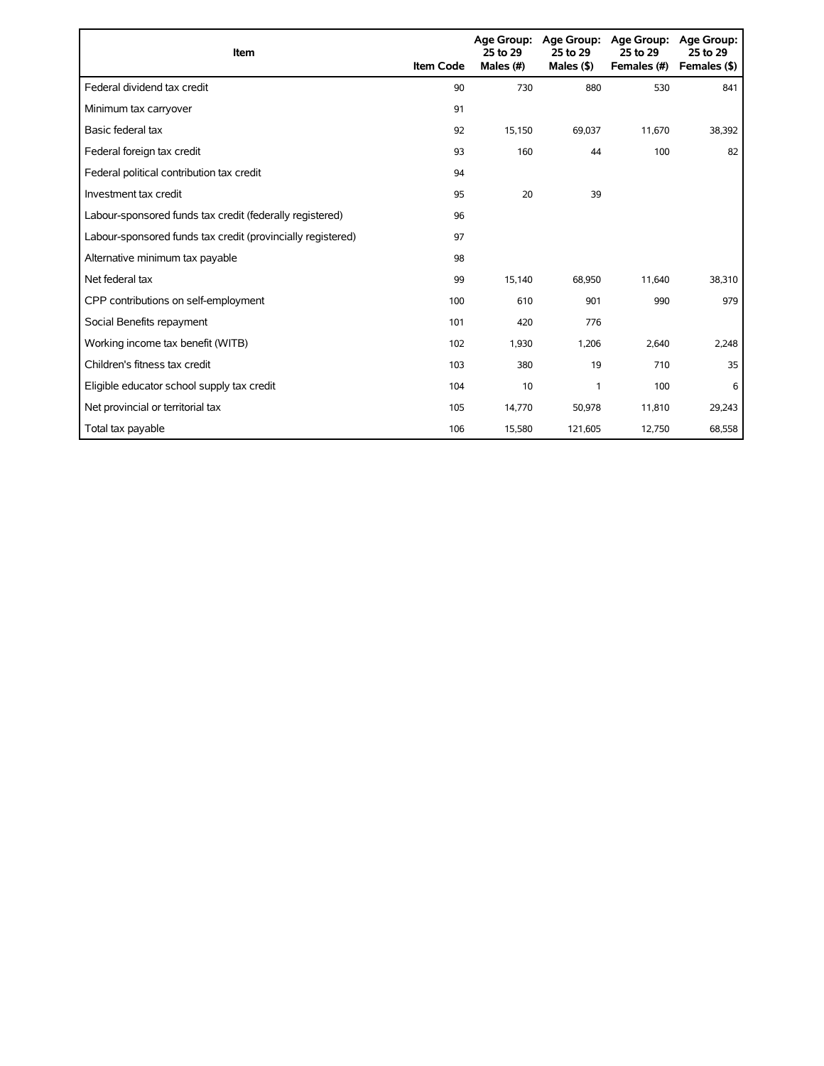| Item                                                        | <b>Item Code</b> | 25 to 29<br>Males (#) | Age Group: Age Group:<br>25 to 29<br>Males $($ \$) | <b>Age Group:</b><br>25 to 29<br>Females (#) | <b>Age Group:</b><br>25 to 29<br>Females (\$) |
|-------------------------------------------------------------|------------------|-----------------------|----------------------------------------------------|----------------------------------------------|-----------------------------------------------|
| Federal dividend tax credit                                 | 90               | 730                   | 880                                                | 530                                          | 841                                           |
| Minimum tax carryover                                       | 91               |                       |                                                    |                                              |                                               |
| Basic federal tax                                           | 92               | 15,150                | 69,037                                             | 11,670                                       | 38,392                                        |
| Federal foreign tax credit                                  | 93               | 160                   | 44                                                 | 100                                          | 82                                            |
| Federal political contribution tax credit                   | 94               |                       |                                                    |                                              |                                               |
| Investment tax credit                                       | 95               | 20                    | 39                                                 |                                              |                                               |
| Labour-sponsored funds tax credit (federally registered)    | 96               |                       |                                                    |                                              |                                               |
| Labour-sponsored funds tax credit (provincially registered) | 97               |                       |                                                    |                                              |                                               |
| Alternative minimum tax payable                             | 98               |                       |                                                    |                                              |                                               |
| Net federal tax                                             | 99               | 15,140                | 68,950                                             | 11,640                                       | 38,310                                        |
| CPP contributions on self-employment                        | 100              | 610                   | 901                                                | 990                                          | 979                                           |
| Social Benefits repayment                                   | 101              | 420                   | 776                                                |                                              |                                               |
| Working income tax benefit (WITB)                           | 102              | 1,930                 | 1,206                                              | 2,640                                        | 2,248                                         |
| Children's fitness tax credit                               | 103              | 380                   | 19                                                 | 710                                          | 35                                            |
| Eligible educator school supply tax credit                  | 104              | 10                    | 1                                                  | 100                                          | 6                                             |
| Net provincial or territorial tax                           | 105              | 14,770                | 50,978                                             | 11,810                                       | 29,243                                        |
| Total tax payable                                           | 106              | 15,580                | 121,605                                            | 12,750                                       | 68,558                                        |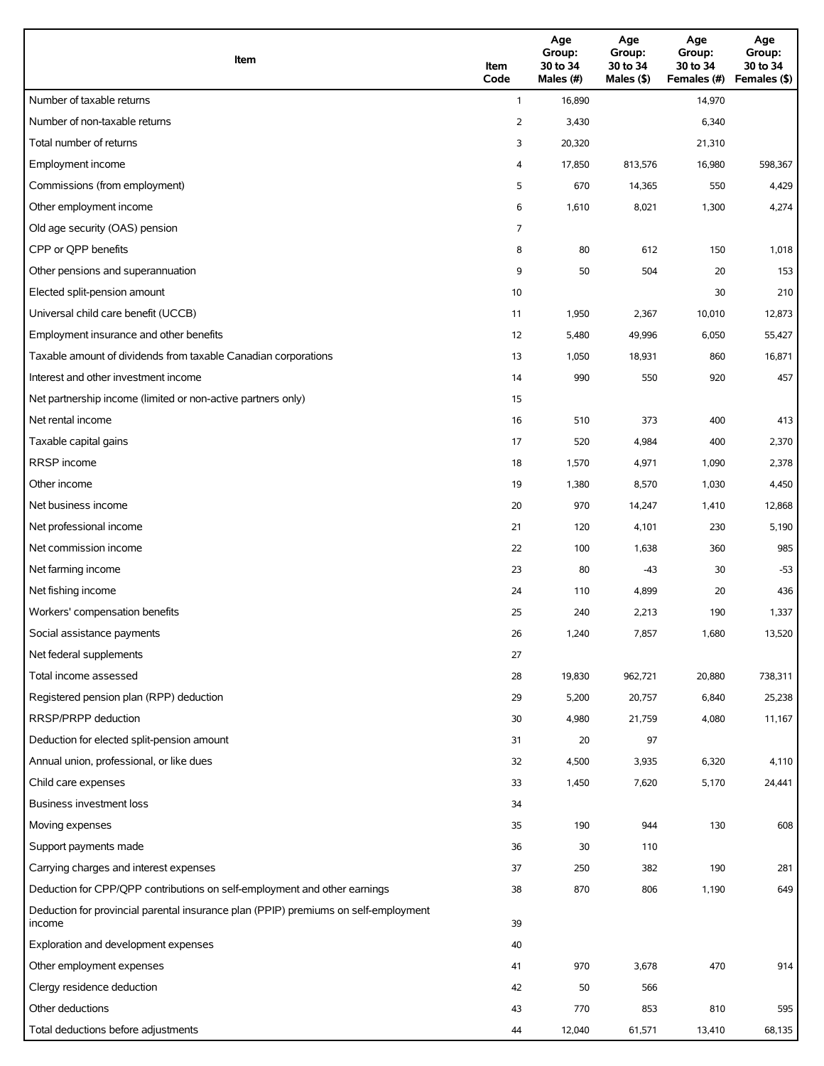| Item                                                                                          | Item<br>Code   | Age<br>Group:<br>30 to 34<br>Males (#) | Age<br>Group:<br>30 to 34<br>Males (\$) | Age<br>Group:<br>30 to 34<br>Females (#) | Age<br>Group:<br>30 to 34<br>Females (\$) |
|-----------------------------------------------------------------------------------------------|----------------|----------------------------------------|-----------------------------------------|------------------------------------------|-------------------------------------------|
| Number of taxable returns                                                                     | $\mathbf{1}$   | 16,890                                 |                                         | 14,970                                   |                                           |
| Number of non-taxable returns                                                                 | $\overline{2}$ | 3,430                                  |                                         | 6,340                                    |                                           |
| Total number of returns                                                                       | 3              | 20,320                                 |                                         | 21,310                                   |                                           |
| Employment income                                                                             | 4              | 17,850                                 | 813,576                                 | 16,980                                   | 598,367                                   |
| Commissions (from employment)                                                                 | 5              | 670                                    | 14,365                                  | 550                                      | 4,429                                     |
| Other employment income                                                                       | 6              | 1,610                                  | 8,021                                   | 1,300                                    | 4,274                                     |
| Old age security (OAS) pension                                                                | 7              |                                        |                                         |                                          |                                           |
| CPP or QPP benefits                                                                           | 8              | 80                                     | 612                                     | 150                                      | 1,018                                     |
| Other pensions and superannuation                                                             | 9              | 50                                     | 504                                     | 20                                       | 153                                       |
| Elected split-pension amount                                                                  | 10             |                                        |                                         | 30                                       | 210                                       |
| Universal child care benefit (UCCB)                                                           | 11             | 1,950                                  | 2,367                                   | 10,010                                   | 12,873                                    |
| Employment insurance and other benefits                                                       | 12             | 5,480                                  | 49,996                                  | 6,050                                    | 55,427                                    |
| Taxable amount of dividends from taxable Canadian corporations                                | 13             | 1,050                                  | 18,931                                  | 860                                      | 16,871                                    |
| Interest and other investment income                                                          | 14             | 990                                    | 550                                     | 920                                      | 457                                       |
| Net partnership income (limited or non-active partners only)                                  | 15             |                                        |                                         |                                          |                                           |
| Net rental income                                                                             | 16             | 510                                    | 373                                     | 400                                      | 413                                       |
| Taxable capital gains                                                                         | 17             | 520                                    | 4,984                                   | 400                                      | 2,370                                     |
| <b>RRSP</b> income                                                                            | 18             | 1,570                                  | 4,971                                   | 1,090                                    | 2,378                                     |
| Other income                                                                                  | 19             | 1,380                                  | 8,570                                   | 1,030                                    | 4,450                                     |
| Net business income                                                                           | 20             | 970                                    | 14,247                                  | 1,410                                    | 12,868                                    |
| Net professional income                                                                       | 21             | 120                                    | 4,101                                   | 230                                      | 5,190                                     |
| Net commission income                                                                         | 22             | 100                                    | 1,638                                   | 360                                      | 985                                       |
| Net farming income                                                                            | 23             | 80                                     | $-43$                                   | 30                                       | $-53$                                     |
| Net fishing income                                                                            | 24             | 110                                    | 4,899                                   | 20                                       | 436                                       |
| Workers' compensation benefits                                                                | 25             | 240                                    | 2,213                                   | 190                                      | 1,337                                     |
| Social assistance payments                                                                    | 26             | 1,240                                  | 7,857                                   | 1,680                                    | 13,520                                    |
| Net federal supplements                                                                       | 27             |                                        |                                         |                                          |                                           |
| Total income assessed                                                                         | 28             | 19,830                                 | 962,721                                 | 20,880                                   | 738,311                                   |
| Registered pension plan (RPP) deduction                                                       | 29             | 5,200                                  | 20,757                                  | 6,840                                    | 25,238                                    |
| RRSP/PRPP deduction                                                                           | 30             | 4,980                                  | 21,759                                  | 4,080                                    | 11,167                                    |
| Deduction for elected split-pension amount                                                    | 31             | 20                                     | 97                                      |                                          |                                           |
| Annual union, professional, or like dues                                                      | 32             | 4,500                                  | 3,935                                   | 6,320                                    | 4,110                                     |
| Child care expenses                                                                           | 33             | 1,450                                  | 7,620                                   | 5,170                                    | 24,441                                    |
| Business investment loss                                                                      | 34             |                                        |                                         |                                          |                                           |
| Moving expenses                                                                               | 35             | 190                                    | 944                                     | 130                                      | 608                                       |
| Support payments made                                                                         | 36             | 30                                     | 110                                     |                                          |                                           |
| Carrying charges and interest expenses                                                        | 37             | 250                                    | 382                                     | 190                                      | 281                                       |
| Deduction for CPP/QPP contributions on self-employment and other earnings                     | 38             | 870                                    | 806                                     | 1,190                                    | 649                                       |
| Deduction for provincial parental insurance plan (PPIP) premiums on self-employment<br>income | 39             |                                        |                                         |                                          |                                           |
| Exploration and development expenses                                                          | 40             |                                        |                                         |                                          |                                           |
| Other employment expenses                                                                     | 41             | 970                                    | 3,678                                   | 470                                      | 914                                       |
| Clergy residence deduction                                                                    | 42             | 50                                     | 566                                     |                                          |                                           |
| Other deductions                                                                              | 43             | 770                                    | 853                                     | 810                                      | 595                                       |
| Total deductions before adjustments                                                           | 44             | 12,040                                 | 61,571                                  | 13,410                                   | 68,135                                    |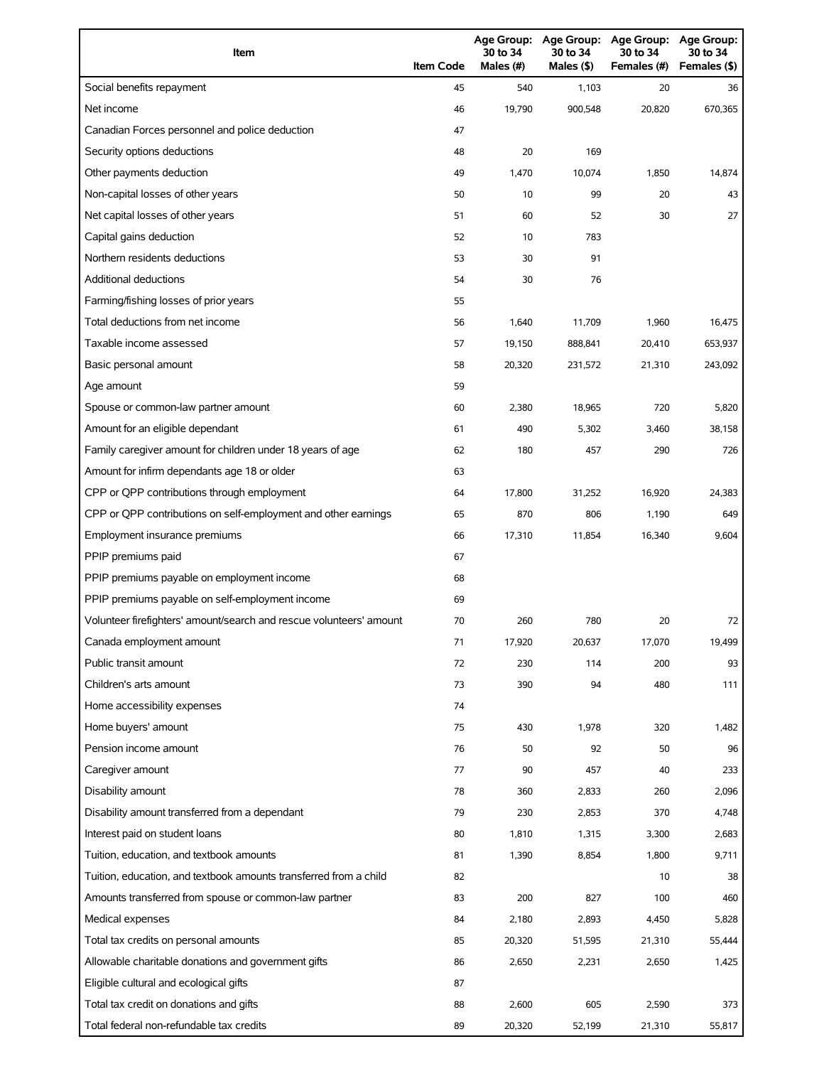| Item                                                                | <b>Item Code</b> | 30 to 34<br>Males (#) | Age Group: Age Group:<br>30 to 34<br>Males (\$) | <b>Age Group:</b><br>30 to 34<br>Females (#) | Age Group:<br>30 to 34<br>Females (\$) |
|---------------------------------------------------------------------|------------------|-----------------------|-------------------------------------------------|----------------------------------------------|----------------------------------------|
| Social benefits repayment                                           | 45               | 540                   | 1,103                                           | 20                                           | 36                                     |
| Net income                                                          | 46               | 19.790                | 900,548                                         | 20,820                                       | 670,365                                |
| Canadian Forces personnel and police deduction                      | 47               |                       |                                                 |                                              |                                        |
| Security options deductions                                         | 48               | 20                    | 169                                             |                                              |                                        |
| Other payments deduction                                            | 49               | 1,470                 | 10,074                                          | 1,850                                        | 14,874                                 |
| Non-capital losses of other years                                   | 50               | 10                    | 99                                              | 20                                           | 43                                     |
| Net capital losses of other years                                   | 51               | 60                    | 52                                              | 30                                           | 27                                     |
| Capital gains deduction                                             | 52               | 10                    | 783                                             |                                              |                                        |
| Northern residents deductions                                       | 53               | 30                    | 91                                              |                                              |                                        |
| <b>Additional deductions</b>                                        | 54               | 30                    | 76                                              |                                              |                                        |
| Farming/fishing losses of prior years                               | 55               |                       |                                                 |                                              |                                        |
| Total deductions from net income                                    | 56               | 1,640                 | 11,709                                          | 1,960                                        | 16,475                                 |
| Taxable income assessed                                             | 57               | 19.150                | 888,841                                         | 20,410                                       | 653,937                                |
| Basic personal amount                                               | 58               | 20,320                | 231,572                                         | 21,310                                       | 243,092                                |
| Age amount                                                          | 59               |                       |                                                 |                                              |                                        |
| Spouse or common-law partner amount                                 | 60               | 2,380                 | 18,965                                          | 720                                          | 5,820                                  |
| Amount for an eligible dependant                                    | 61               | 490                   | 5,302                                           | 3,460                                        | 38,158                                 |
| Family caregiver amount for children under 18 years of age          | 62               | 180                   | 457                                             | 290                                          | 726                                    |
| Amount for infirm dependants age 18 or older                        | 63               |                       |                                                 |                                              |                                        |
| CPP or QPP contributions through employment                         | 64               | 17,800                | 31,252                                          | 16,920                                       | 24,383                                 |
| CPP or QPP contributions on self-employment and other earnings      | 65               | 870                   | 806                                             | 1,190                                        | 649                                    |
| Employment insurance premiums                                       | 66               | 17,310                | 11,854                                          | 16,340                                       | 9,604                                  |
| PPIP premiums paid                                                  | 67               |                       |                                                 |                                              |                                        |
| PPIP premiums payable on employment income                          | 68               |                       |                                                 |                                              |                                        |
| PPIP premiums payable on self-employment income                     | 69               |                       |                                                 |                                              |                                        |
| Volunteer firefighters' amount/search and rescue volunteers' amount | 70               | 260                   | 780                                             | 20                                           | 72                                     |
| Canada employment amount                                            | 71               | 17,920                | 20,637                                          | 17,070                                       | 19,499                                 |
| Public transit amount                                               | 72               | 230                   | 114                                             | 200                                          | 93                                     |
| Children's arts amount                                              | 73               | 390                   | 94                                              | 480                                          | 111                                    |
| Home accessibility expenses                                         | 74               |                       |                                                 |                                              |                                        |
| Home buyers' amount                                                 | 75               | 430                   | 1,978                                           | 320                                          | 1,482                                  |
| Pension income amount                                               | 76               | 50                    | 92                                              | 50                                           | 96                                     |
| Caregiver amount                                                    | 77               | 90                    | 457                                             | 40                                           | 233                                    |
| Disability amount                                                   | 78               | 360                   | 2,833                                           | 260                                          | 2,096                                  |
| Disability amount transferred from a dependant                      | 79               | 230                   | 2,853                                           | 370                                          | 4,748                                  |
| Interest paid on student loans                                      | 80               | 1,810                 | 1,315                                           | 3,300                                        | 2,683                                  |
| Tuition, education, and textbook amounts                            | 81               | 1,390                 | 8,854                                           | 1,800                                        | 9,711                                  |
| Tuition, education, and textbook amounts transferred from a child   | 82               |                       |                                                 | 10                                           | 38                                     |
| Amounts transferred from spouse or common-law partner               | 83               | 200                   | 827                                             | 100                                          | 460                                    |
| Medical expenses                                                    | 84               | 2,180                 | 2,893                                           | 4,450                                        | 5,828                                  |
| Total tax credits on personal amounts                               | 85               | 20,320                | 51,595                                          | 21,310                                       | 55,444                                 |
| Allowable charitable donations and government gifts                 | 86               | 2,650                 | 2,231                                           | 2,650                                        | 1,425                                  |
| Eligible cultural and ecological gifts                              | 87               |                       |                                                 |                                              |                                        |
| Total tax credit on donations and gifts                             | 88               | 2,600                 | 605                                             | 2,590                                        | 373                                    |
| Total federal non-refundable tax credits                            | 89               | 20,320                | 52,199                                          | 21,310                                       | 55,817                                 |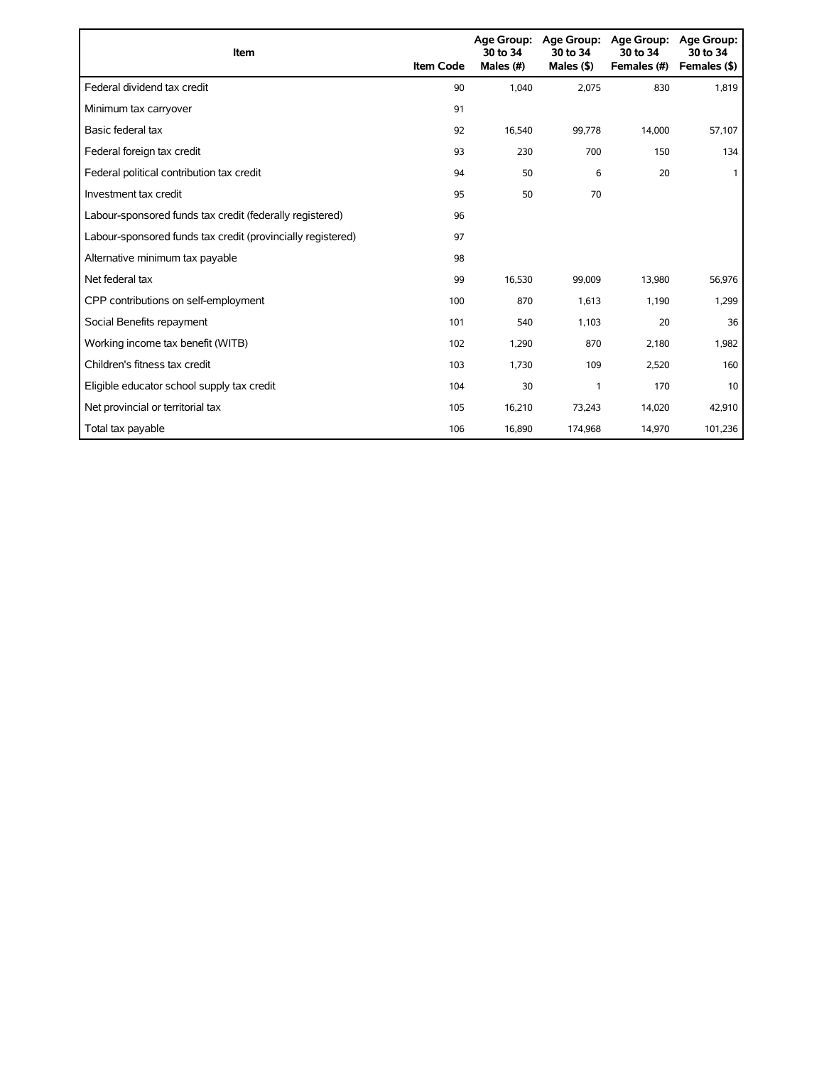| Item                                                        | <b>Item Code</b> | 30 to 34<br>Males (#) | Age Group: Age Group:<br>30 to 34<br>Males $(§)$ | Age Group:<br>30 to 34<br>Females (#) | Age Group:<br>30 to 34<br>Females (\$) |
|-------------------------------------------------------------|------------------|-----------------------|--------------------------------------------------|---------------------------------------|----------------------------------------|
| Federal dividend tax credit                                 | 90               | 1,040                 | 2,075                                            | 830                                   | 1,819                                  |
| Minimum tax carryover                                       | 91               |                       |                                                  |                                       |                                        |
| Basic federal tax                                           | 92               | 16.540                | 99,778                                           | 14,000                                | 57,107                                 |
| Federal foreign tax credit                                  | 93               | 230                   | 700                                              | 150                                   | 134                                    |
| Federal political contribution tax credit                   | 94               | 50                    | 6                                                | 20                                    |                                        |
| Investment tax credit                                       | 95               | 50                    | 70                                               |                                       |                                        |
| Labour-sponsored funds tax credit (federally registered)    | 96               |                       |                                                  |                                       |                                        |
| Labour-sponsored funds tax credit (provincially registered) | 97               |                       |                                                  |                                       |                                        |
| Alternative minimum tax payable                             | 98               |                       |                                                  |                                       |                                        |
| Net federal tax                                             | 99               | 16,530                | 99,009                                           | 13,980                                | 56,976                                 |
| CPP contributions on self-employment                        | 100              | 870                   | 1,613                                            | 1,190                                 | 1,299                                  |
| Social Benefits repayment                                   | 101              | 540                   | 1,103                                            | 20                                    | 36                                     |
| Working income tax benefit (WITB)                           | 102              | 1,290                 | 870                                              | 2,180                                 | 1,982                                  |
| Children's fitness tax credit                               | 103              | 1,730                 | 109                                              | 2,520                                 | 160                                    |
| Eligible educator school supply tax credit                  | 104              | 30                    | 1                                                | 170                                   | 10                                     |
| Net provincial or territorial tax                           | 105              | 16,210                | 73,243                                           | 14,020                                | 42,910                                 |
| Total tax payable                                           | 106              | 16,890                | 174,968                                          | 14,970                                | 101,236                                |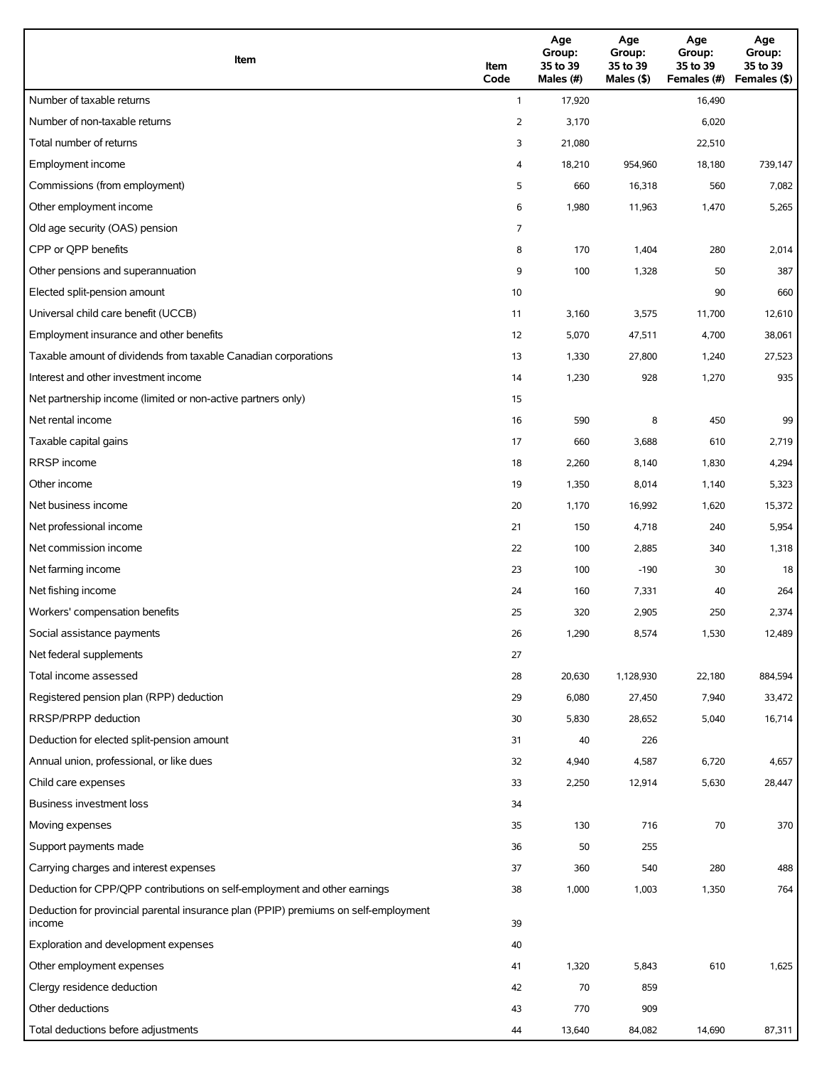| Item                                                                                          | Item<br>Code | Age<br>Group:<br>35 to 39<br>Males (#) | Age<br>Group:<br>35 to 39<br>Males (\$) | Age<br>Group:<br>35 to 39<br>Females (#) | Age<br>Group:<br>35 to 39<br>Females (\$) |
|-----------------------------------------------------------------------------------------------|--------------|----------------------------------------|-----------------------------------------|------------------------------------------|-------------------------------------------|
| Number of taxable returns                                                                     | $\mathbf{1}$ | 17,920                                 |                                         | 16,490                                   |                                           |
| Number of non-taxable returns                                                                 | 2            | 3,170                                  |                                         | 6,020                                    |                                           |
| Total number of returns                                                                       | 3            | 21,080                                 |                                         | 22,510                                   |                                           |
| Employment income                                                                             | 4            | 18,210                                 | 954,960                                 | 18,180                                   | 739,147                                   |
| Commissions (from employment)                                                                 | 5            | 660                                    | 16,318                                  | 560                                      | 7,082                                     |
| Other employment income                                                                       | 6            | 1,980                                  | 11,963                                  | 1,470                                    | 5,265                                     |
| Old age security (OAS) pension                                                                | 7            |                                        |                                         |                                          |                                           |
| CPP or QPP benefits                                                                           | 8            | 170                                    | 1,404                                   | 280                                      | 2,014                                     |
| Other pensions and superannuation                                                             | 9            | 100                                    | 1,328                                   | 50                                       | 387                                       |
| Elected split-pension amount                                                                  | 10           |                                        |                                         | 90                                       | 660                                       |
| Universal child care benefit (UCCB)                                                           | 11           | 3,160                                  | 3,575                                   | 11,700                                   | 12,610                                    |
| Employment insurance and other benefits                                                       | 12           | 5,070                                  | 47,511                                  | 4,700                                    | 38,061                                    |
| Taxable amount of dividends from taxable Canadian corporations                                | 13           | 1,330                                  | 27,800                                  | 1,240                                    | 27,523                                    |
| Interest and other investment income                                                          | 14           | 1,230                                  | 928                                     | 1,270                                    | 935                                       |
| Net partnership income (limited or non-active partners only)                                  | 15           |                                        |                                         |                                          |                                           |
| Net rental income                                                                             | 16           | 590                                    | 8                                       | 450                                      | 99                                        |
| Taxable capital gains                                                                         | 17           | 660                                    | 3,688                                   | 610                                      | 2,719                                     |
| <b>RRSP</b> income                                                                            | 18           | 2,260                                  | 8,140                                   | 1,830                                    | 4,294                                     |
| Other income                                                                                  | 19           | 1,350                                  | 8,014                                   | 1,140                                    | 5,323                                     |
| Net business income                                                                           | 20           | 1,170                                  | 16,992                                  | 1,620                                    | 15,372                                    |
| Net professional income                                                                       | 21           | 150                                    | 4,718                                   | 240                                      | 5,954                                     |
| Net commission income                                                                         | 22           | 100                                    | 2,885                                   | 340                                      | 1,318                                     |
| Net farming income                                                                            | 23           | 100                                    | $-190$                                  | 30                                       | 18                                        |
| Net fishing income                                                                            | 24           | 160                                    | 7,331                                   | 40                                       | 264                                       |
| Workers' compensation benefits                                                                | 25           | 320                                    | 2,905                                   | 250                                      | 2,374                                     |
| Social assistance payments                                                                    | 26           | 1,290                                  | 8,574                                   | 1,530                                    | 12,489                                    |
| Net federal supplements                                                                       | 27           |                                        |                                         |                                          |                                           |
| Total income assessed                                                                         | 28           | 20,630                                 | 1,128,930                               | 22,180                                   | 884,594                                   |
| Registered pension plan (RPP) deduction                                                       | 29           | 6,080                                  | 27,450                                  | 7,940                                    | 33,472                                    |
| RRSP/PRPP deduction                                                                           | 30           | 5,830                                  | 28,652                                  | 5,040                                    | 16,714                                    |
| Deduction for elected split-pension amount                                                    | 31           | 40                                     | 226                                     |                                          |                                           |
| Annual union, professional, or like dues                                                      | 32           | 4,940                                  | 4,587                                   | 6,720                                    | 4,657                                     |
| Child care expenses                                                                           | 33           | 2,250                                  | 12,914                                  | 5,630                                    | 28,447                                    |
| <b>Business investment loss</b>                                                               | 34           |                                        |                                         |                                          |                                           |
| Moving expenses                                                                               | 35           | 130                                    | 716                                     | 70                                       | 370                                       |
| Support payments made                                                                         | 36           | 50                                     | 255                                     |                                          |                                           |
| Carrying charges and interest expenses                                                        | 37           | 360                                    | 540                                     | 280                                      | 488                                       |
| Deduction for CPP/QPP contributions on self-employment and other earnings                     | 38           | 1,000                                  | 1,003                                   | 1,350                                    | 764                                       |
| Deduction for provincial parental insurance plan (PPIP) premiums on self-employment<br>income | 39           |                                        |                                         |                                          |                                           |
| Exploration and development expenses                                                          | 40           |                                        |                                         |                                          |                                           |
| Other employment expenses                                                                     | 41           | 1,320                                  | 5,843                                   | 610                                      | 1,625                                     |
| Clergy residence deduction                                                                    | 42           | 70                                     | 859                                     |                                          |                                           |
| Other deductions                                                                              | 43           | 770                                    | 909                                     |                                          |                                           |
| Total deductions before adjustments                                                           | 44           | 13,640                                 | 84,082                                  | 14,690                                   | 87,311                                    |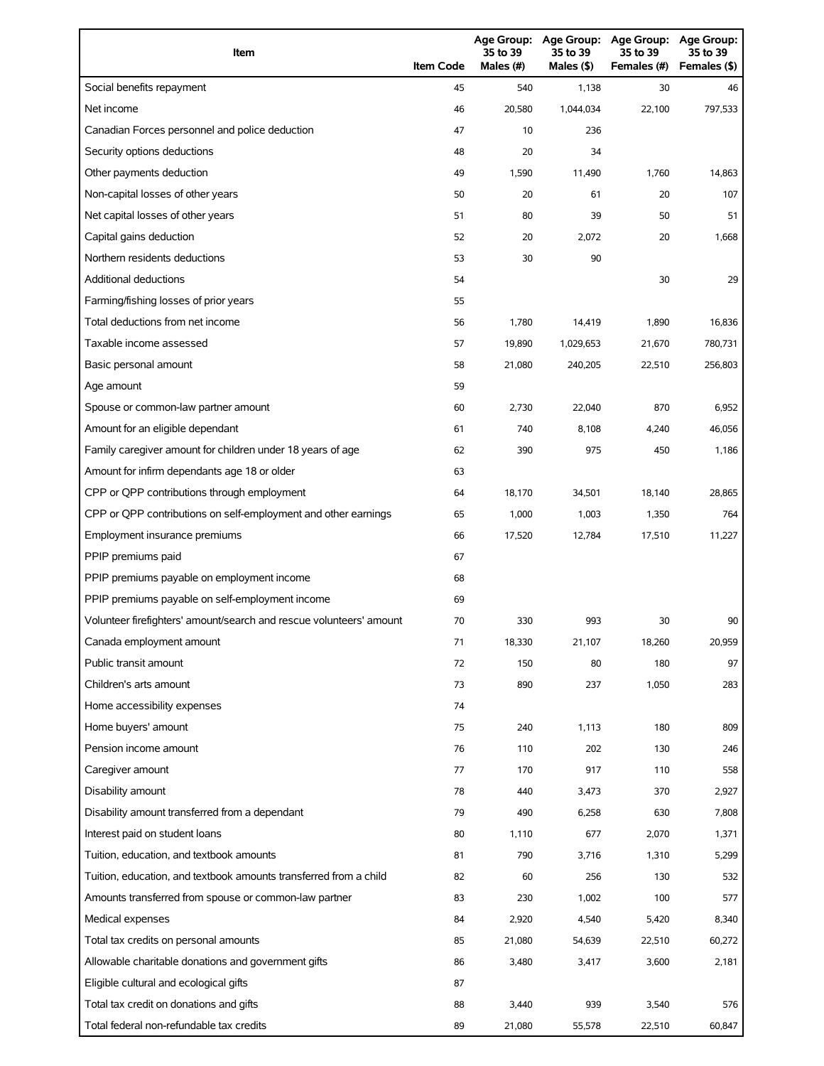| Item                                                                | <b>Item Code</b> | 35 to 39<br>Males (#) | Age Group: Age Group:<br>35 to 39<br>Males (\$) | <b>Age Group:</b><br>35 to 39<br>Females (#) | Age Group:<br>35 to 39<br>Females (\$) |
|---------------------------------------------------------------------|------------------|-----------------------|-------------------------------------------------|----------------------------------------------|----------------------------------------|
| Social benefits repayment                                           | 45               | 540                   | 1,138                                           | 30                                           | 46                                     |
| Net income                                                          | 46               | 20.580                | 1,044,034                                       | 22,100                                       | 797,533                                |
| Canadian Forces personnel and police deduction                      | 47               | 10                    | 236                                             |                                              |                                        |
| Security options deductions                                         | 48               | 20                    | 34                                              |                                              |                                        |
| Other payments deduction                                            | 49               | 1,590                 | 11,490                                          | 1,760                                        | 14,863                                 |
| Non-capital losses of other years                                   | 50               | 20                    | 61                                              | 20                                           | 107                                    |
| Net capital losses of other years                                   | 51               | 80                    | 39                                              | 50                                           | 51                                     |
| Capital gains deduction                                             | 52               | 20                    | 2,072                                           | 20                                           | 1,668                                  |
| Northern residents deductions                                       | 53               | 30                    | 90                                              |                                              |                                        |
| <b>Additional deductions</b>                                        | 54               |                       |                                                 | 30                                           | 29                                     |
| Farming/fishing losses of prior years                               | 55               |                       |                                                 |                                              |                                        |
| Total deductions from net income                                    | 56               | 1,780                 | 14,419                                          | 1,890                                        | 16,836                                 |
| Taxable income assessed                                             | 57               | 19,890                | 1,029,653                                       | 21,670                                       | 780,731                                |
| Basic personal amount                                               | 58               | 21,080                | 240,205                                         | 22,510                                       | 256,803                                |
| Age amount                                                          | 59               |                       |                                                 |                                              |                                        |
| Spouse or common-law partner amount                                 | 60               | 2,730                 | 22,040                                          | 870                                          | 6,952                                  |
| Amount for an eligible dependant                                    | 61               | 740                   | 8,108                                           | 4,240                                        | 46,056                                 |
| Family caregiver amount for children under 18 years of age          | 62               | 390                   | 975                                             | 450                                          | 1,186                                  |
| Amount for infirm dependants age 18 or older                        | 63               |                       |                                                 |                                              |                                        |
| CPP or QPP contributions through employment                         | 64               | 18,170                | 34,501                                          | 18,140                                       | 28,865                                 |
| CPP or QPP contributions on self-employment and other earnings      | 65               | 1,000                 | 1,003                                           | 1,350                                        | 764                                    |
| Employment insurance premiums                                       | 66               | 17,520                | 12,784                                          | 17,510                                       | 11,227                                 |
| PPIP premiums paid                                                  | 67               |                       |                                                 |                                              |                                        |
| PPIP premiums payable on employment income                          | 68               |                       |                                                 |                                              |                                        |
| PPIP premiums payable on self-employment income                     | 69               |                       |                                                 |                                              |                                        |
| Volunteer firefighters' amount/search and rescue volunteers' amount | 70               | 330                   | 993                                             | 30                                           | 90                                     |
| Canada employment amount                                            | 71               | 18,330                | 21,107                                          | 18,260                                       | 20,959                                 |
| Public transit amount                                               | 72               | 150                   | 80                                              | 180                                          | 97                                     |
| Children's arts amount                                              | 73               | 890                   | 237                                             | 1,050                                        | 283                                    |
| Home accessibility expenses                                         | 74               |                       |                                                 |                                              |                                        |
| Home buyers' amount                                                 | 75               | 240                   | 1,113                                           | 180                                          | 809                                    |
| Pension income amount                                               | 76               | 110                   | 202                                             | 130                                          | 246                                    |
| Caregiver amount                                                    | 77               | 170                   | 917                                             | 110                                          | 558                                    |
| Disability amount                                                   | 78               | 440                   | 3,473                                           | 370                                          | 2,927                                  |
| Disability amount transferred from a dependant                      | 79               | 490                   | 6,258                                           | 630                                          | 7,808                                  |
| Interest paid on student loans                                      | 80               | 1,110                 | 677                                             | 2,070                                        | 1,371                                  |
| Tuition, education, and textbook amounts                            | 81               | 790                   | 3,716                                           | 1,310                                        | 5,299                                  |
| Tuition, education, and textbook amounts transferred from a child   | 82               | 60                    | 256                                             | 130                                          | 532                                    |
| Amounts transferred from spouse or common-law partner               | 83               | 230                   | 1,002                                           | 100                                          | 577                                    |
| Medical expenses                                                    | 84               | 2,920                 | 4,540                                           | 5,420                                        | 8,340                                  |
| Total tax credits on personal amounts                               | 85               | 21,080                | 54,639                                          | 22,510                                       | 60,272                                 |
| Allowable charitable donations and government gifts                 | 86               | 3,480                 | 3,417                                           | 3,600                                        | 2,181                                  |
| Eligible cultural and ecological gifts                              | 87               |                       |                                                 |                                              |                                        |
| Total tax credit on donations and gifts                             | 88               | 3,440                 | 939                                             | 3,540                                        | 576                                    |
| Total federal non-refundable tax credits                            | 89               | 21,080                | 55,578                                          | 22,510                                       | 60,847                                 |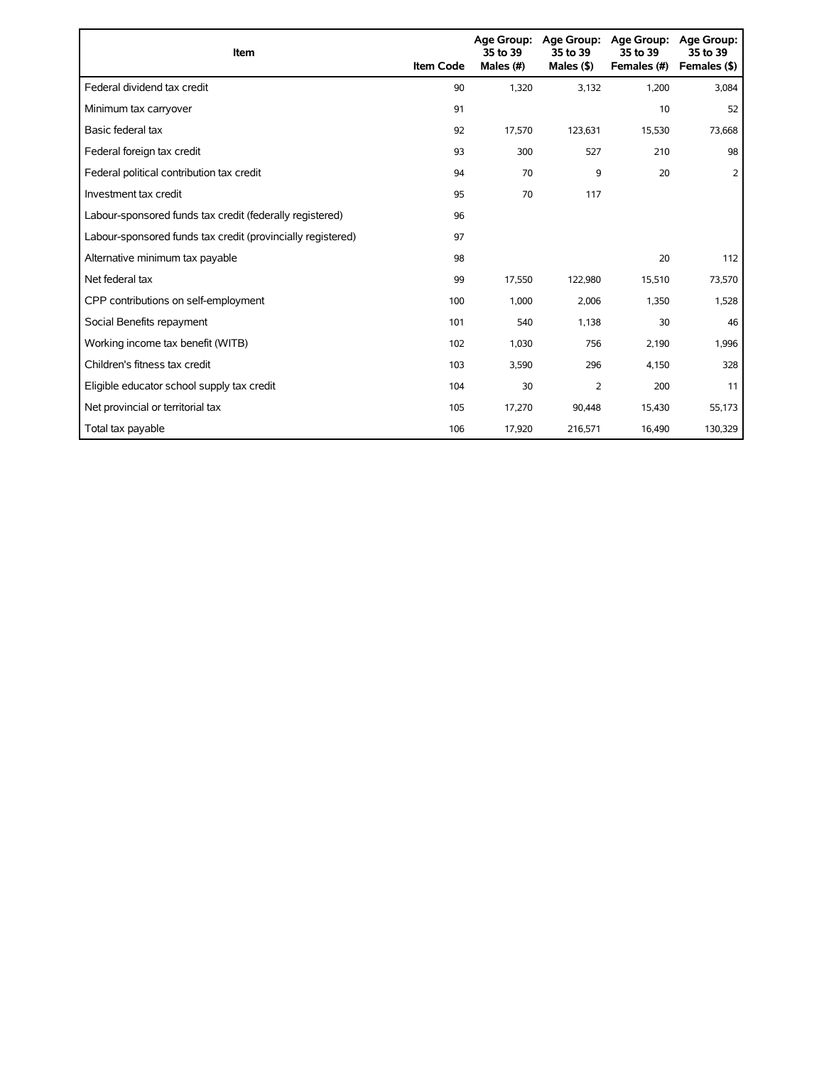| Item                                                        | <b>Item Code</b> | 35 to 39<br>Males (#) | Age Group: Age Group:<br>35 to 39<br>Males $(§)$ | Age Group:<br>35 to 39<br>Females (#) | Age Group:<br>35 to 39<br>Females (\$) |
|-------------------------------------------------------------|------------------|-----------------------|--------------------------------------------------|---------------------------------------|----------------------------------------|
| Federal dividend tax credit                                 | 90               | 1,320                 | 3,132                                            | 1,200                                 | 3,084                                  |
| Minimum tax carryover                                       | 91               |                       |                                                  | 10                                    | 52                                     |
| Basic federal tax                                           | 92               | 17,570                | 123,631                                          | 15,530                                | 73,668                                 |
| Federal foreign tax credit                                  | 93               | 300                   | 527                                              | 210                                   | 98                                     |
| Federal political contribution tax credit                   | 94               | 70                    | 9                                                | 20                                    | 2                                      |
| Investment tax credit                                       | 95               | 70                    | 117                                              |                                       |                                        |
| Labour-sponsored funds tax credit (federally registered)    | 96               |                       |                                                  |                                       |                                        |
| Labour-sponsored funds tax credit (provincially registered) | 97               |                       |                                                  |                                       |                                        |
| Alternative minimum tax payable                             | 98               |                       |                                                  | 20                                    | 112                                    |
| Net federal tax                                             | 99               | 17,550                | 122,980                                          | 15,510                                | 73,570                                 |
| CPP contributions on self-employment                        | 100              | 1,000                 | 2,006                                            | 1,350                                 | 1,528                                  |
| Social Benefits repayment                                   | 101              | 540                   | 1,138                                            | 30                                    | 46                                     |
| Working income tax benefit (WITB)                           | 102              | 1,030                 | 756                                              | 2,190                                 | 1,996                                  |
| Children's fitness tax credit                               | 103              | 3,590                 | 296                                              | 4,150                                 | 328                                    |
| Eligible educator school supply tax credit                  | 104              | 30                    | 2                                                | 200                                   | 11                                     |
| Net provincial or territorial tax                           | 105              | 17,270                | 90,448                                           | 15,430                                | 55,173                                 |
| Total tax payable                                           | 106              | 17,920                | 216,571                                          | 16,490                                | 130,329                                |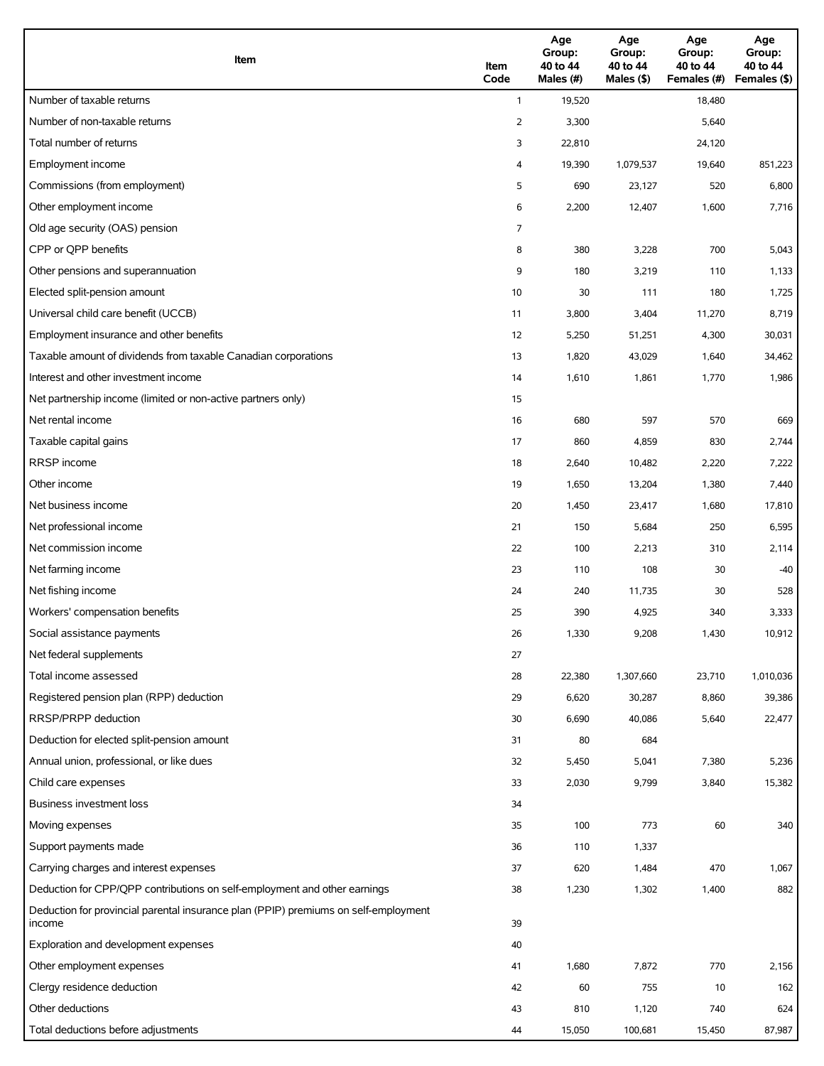| Item                                                                                          | Item<br>Code   | Age<br>Group:<br>40 to 44<br>Males (#) | Age<br>Group:<br>40 to 44<br>Males (\$) | Age<br>Group:<br>40 to 44<br>Females (#) | Age<br>Group:<br>40 to 44<br>Females (\$) |
|-----------------------------------------------------------------------------------------------|----------------|----------------------------------------|-----------------------------------------|------------------------------------------|-------------------------------------------|
| Number of taxable returns                                                                     | $\mathbf{1}$   | 19,520                                 |                                         | 18,480                                   |                                           |
| Number of non-taxable returns                                                                 | $\overline{2}$ | 3,300                                  |                                         | 5,640                                    |                                           |
| Total number of returns                                                                       | 3              | 22,810                                 |                                         | 24,120                                   |                                           |
| Employment income                                                                             | 4              | 19,390                                 | 1,079,537                               | 19,640                                   | 851,223                                   |
| Commissions (from employment)                                                                 | 5              | 690                                    | 23,127                                  | 520                                      | 6,800                                     |
| Other employment income                                                                       | 6              | 2,200                                  | 12,407                                  | 1,600                                    | 7,716                                     |
| Old age security (OAS) pension                                                                | 7              |                                        |                                         |                                          |                                           |
| CPP or QPP benefits                                                                           | 8              | 380                                    | 3,228                                   | 700                                      | 5,043                                     |
| Other pensions and superannuation                                                             | 9              | 180                                    | 3,219                                   | 110                                      | 1,133                                     |
| Elected split-pension amount                                                                  | 10             | 30                                     | 111                                     | 180                                      | 1,725                                     |
| Universal child care benefit (UCCB)                                                           | 11             | 3,800                                  | 3,404                                   | 11,270                                   | 8,719                                     |
| Employment insurance and other benefits                                                       | 12             | 5,250                                  | 51,251                                  | 4,300                                    | 30,031                                    |
| Taxable amount of dividends from taxable Canadian corporations                                | 13             | 1,820                                  | 43,029                                  | 1,640                                    | 34,462                                    |
| Interest and other investment income                                                          | 14             | 1,610                                  | 1,861                                   | 1,770                                    | 1,986                                     |
| Net partnership income (limited or non-active partners only)                                  | 15             |                                        |                                         |                                          |                                           |
| Net rental income                                                                             | 16             | 680                                    | 597                                     | 570                                      | 669                                       |
| Taxable capital gains                                                                         | 17             | 860                                    | 4,859                                   | 830                                      | 2,744                                     |
| <b>RRSP</b> income                                                                            | 18             | 2,640                                  | 10,482                                  | 2,220                                    | 7,222                                     |
| Other income                                                                                  | 19             | 1,650                                  | 13,204                                  | 1,380                                    | 7,440                                     |
| Net business income                                                                           | 20             | 1,450                                  | 23,417                                  | 1,680                                    | 17,810                                    |
| Net professional income                                                                       | 21             | 150                                    | 5,684                                   | 250                                      | 6,595                                     |
| Net commission income                                                                         | 22             | 100                                    | 2,213                                   | 310                                      | 2,114                                     |
| Net farming income                                                                            | 23             | 110                                    | 108                                     | 30                                       | $-40$                                     |
| Net fishing income                                                                            | 24             | 240                                    | 11,735                                  | 30                                       | 528                                       |
| Workers' compensation benefits                                                                | 25             | 390                                    | 4,925                                   | 340                                      | 3,333                                     |
| Social assistance payments                                                                    | 26             | 1,330                                  | 9,208                                   | 1,430                                    | 10,912                                    |
| Net federal supplements                                                                       | 27             |                                        |                                         |                                          |                                           |
| Total income assessed                                                                         | 28             | 22,380                                 | 1,307,660                               | 23,710                                   | 1,010,036                                 |
| Registered pension plan (RPP) deduction                                                       | 29             | 6,620                                  | 30,287                                  | 8,860                                    | 39,386                                    |
| RRSP/PRPP deduction                                                                           | 30             | 6,690                                  | 40,086                                  | 5,640                                    | 22,477                                    |
| Deduction for elected split-pension amount                                                    | 31             | 80                                     | 684                                     |                                          |                                           |
| Annual union, professional, or like dues                                                      | 32             | 5,450                                  | 5,041                                   | 7,380                                    | 5,236                                     |
| Child care expenses                                                                           | 33             | 2,030                                  | 9,799                                   | 3,840                                    | 15,382                                    |
| Business investment loss                                                                      | 34             |                                        |                                         |                                          |                                           |
| Moving expenses                                                                               | 35             | 100                                    | 773                                     | 60                                       | 340                                       |
| Support payments made                                                                         | 36             | 110                                    | 1,337                                   |                                          |                                           |
| Carrying charges and interest expenses                                                        | 37             | 620                                    | 1,484                                   | 470                                      | 1,067                                     |
| Deduction for CPP/QPP contributions on self-employment and other earnings                     | 38             | 1,230                                  | 1,302                                   | 1,400                                    | 882                                       |
| Deduction for provincial parental insurance plan (PPIP) premiums on self-employment<br>income | 39             |                                        |                                         |                                          |                                           |
| Exploration and development expenses                                                          | 40             |                                        |                                         |                                          |                                           |
| Other employment expenses                                                                     | 41             | 1,680                                  | 7,872                                   | 770                                      | 2,156                                     |
| Clergy residence deduction                                                                    | 42             | 60                                     | 755                                     | 10                                       | 162                                       |
| Other deductions                                                                              | 43             | 810                                    | 1,120                                   | 740                                      | 624                                       |
| Total deductions before adjustments                                                           | 44             | 15,050                                 | 100,681                                 | 15,450                                   | 87,987                                    |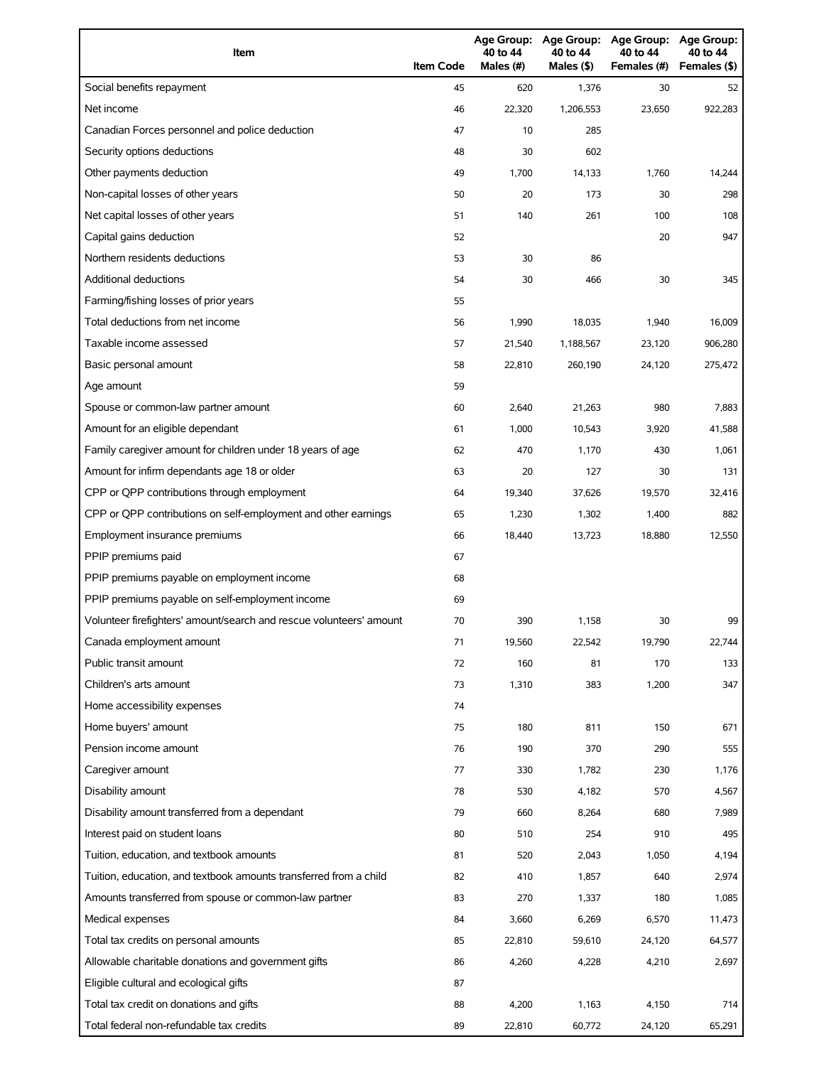| Item                                                                | <b>Item Code</b> | 40 to 44<br>Males (#) | 40 to 44<br>Males (\$) | Age Group: Age Group: Age Group:<br>40 to 44<br>Females (#) | Age Group:<br>40 to 44<br>Females (\$) |
|---------------------------------------------------------------------|------------------|-----------------------|------------------------|-------------------------------------------------------------|----------------------------------------|
| Social benefits repayment                                           | 45               | 620                   | 1,376                  | 30                                                          | 52                                     |
| Net income                                                          | 46               | 22,320                | 1,206,553              | 23,650                                                      | 922,283                                |
| Canadian Forces personnel and police deduction                      | 47               | 10                    | 285                    |                                                             |                                        |
| Security options deductions                                         | 48               | 30                    | 602                    |                                                             |                                        |
| Other payments deduction                                            | 49               | 1,700                 | 14,133                 | 1,760                                                       | 14,244                                 |
| Non-capital losses of other years                                   | 50               | 20                    | 173                    | 30                                                          | 298                                    |
| Net capital losses of other years                                   | 51               | 140                   | 261                    | 100                                                         | 108                                    |
| Capital gains deduction                                             | 52               |                       |                        | 20                                                          | 947                                    |
| Northern residents deductions                                       | 53               | 30                    | 86                     |                                                             |                                        |
| <b>Additional deductions</b>                                        | 54               | 30                    | 466                    | 30                                                          | 345                                    |
| Farming/fishing losses of prior years                               | 55               |                       |                        |                                                             |                                        |
| Total deductions from net income                                    | 56               | 1,990                 | 18,035                 | 1,940                                                       | 16,009                                 |
| Taxable income assessed                                             | 57               | 21,540                | 1,188,567              | 23,120                                                      | 906,280                                |
| Basic personal amount                                               | 58               | 22,810                | 260,190                | 24,120                                                      | 275,472                                |
| Age amount                                                          | 59               |                       |                        |                                                             |                                        |
| Spouse or common-law partner amount                                 | 60               | 2,640                 | 21,263                 | 980                                                         | 7,883                                  |
| Amount for an eligible dependant                                    | 61               | 1,000                 | 10,543                 | 3,920                                                       | 41,588                                 |
| Family caregiver amount for children under 18 years of age          | 62               | 470                   | 1,170                  | 430                                                         | 1,061                                  |
| Amount for infirm dependants age 18 or older                        | 63               | 20                    | 127                    | 30                                                          | 131                                    |
| CPP or QPP contributions through employment                         | 64               | 19,340                | 37,626                 | 19,570                                                      | 32,416                                 |
| CPP or QPP contributions on self-employment and other earnings      | 65               | 1,230                 | 1,302                  | 1,400                                                       | 882                                    |
| Employment insurance premiums                                       | 66               | 18,440                | 13,723                 | 18,880                                                      | 12,550                                 |
| PPIP premiums paid                                                  | 67               |                       |                        |                                                             |                                        |
| PPIP premiums payable on employment income                          | 68               |                       |                        |                                                             |                                        |
| PPIP premiums payable on self-employment income                     | 69               |                       |                        |                                                             |                                        |
| Volunteer firefighters' amount/search and rescue volunteers' amount | 70               | 390                   | 1,158                  | 30                                                          | 99                                     |
| Canada employment amount                                            | 71               | 19,560                | 22,542                 | 19,790                                                      | 22,744                                 |
| Public transit amount                                               | 72               | 160                   | 81                     | 170                                                         | 133                                    |
| Children's arts amount                                              | 73               | 1,310                 | 383                    | 1,200                                                       | 347                                    |
| Home accessibility expenses                                         | 74               |                       |                        |                                                             |                                        |
| Home buyers' amount                                                 | 75               | 180                   | 811                    | 150                                                         | 671                                    |
| Pension income amount                                               | 76               | 190                   | 370                    | 290                                                         | 555                                    |
| Caregiver amount                                                    | 77               | 330                   | 1,782                  | 230                                                         | 1,176                                  |
| Disability amount                                                   | 78               | 530                   | 4,182                  | 570                                                         | 4,567                                  |
| Disability amount transferred from a dependant                      | 79               | 660                   | 8,264                  | 680                                                         | 7,989                                  |
| Interest paid on student loans                                      | 80               | 510                   | 254                    | 910                                                         | 495                                    |
| Tuition, education, and textbook amounts                            | 81               | 520                   | 2,043                  | 1,050                                                       | 4,194                                  |
| Tuition, education, and textbook amounts transferred from a child   | 82               | 410                   | 1,857                  | 640                                                         | 2,974                                  |
| Amounts transferred from spouse or common-law partner               | 83               | 270                   | 1,337                  | 180                                                         | 1,085                                  |
| Medical expenses                                                    | 84               | 3,660                 | 6,269                  | 6,570                                                       | 11,473                                 |
| Total tax credits on personal amounts                               | 85               | 22,810                | 59,610                 | 24,120                                                      | 64,577                                 |
| Allowable charitable donations and government gifts                 | 86               | 4,260                 | 4,228                  | 4,210                                                       | 2,697                                  |
| Eligible cultural and ecological gifts                              | 87               |                       |                        |                                                             |                                        |
| Total tax credit on donations and gifts                             | 88               | 4,200                 | 1,163                  | 4,150                                                       | 714                                    |
| Total federal non-refundable tax credits                            | 89               | 22,810                | 60,772                 | 24,120                                                      | 65,291                                 |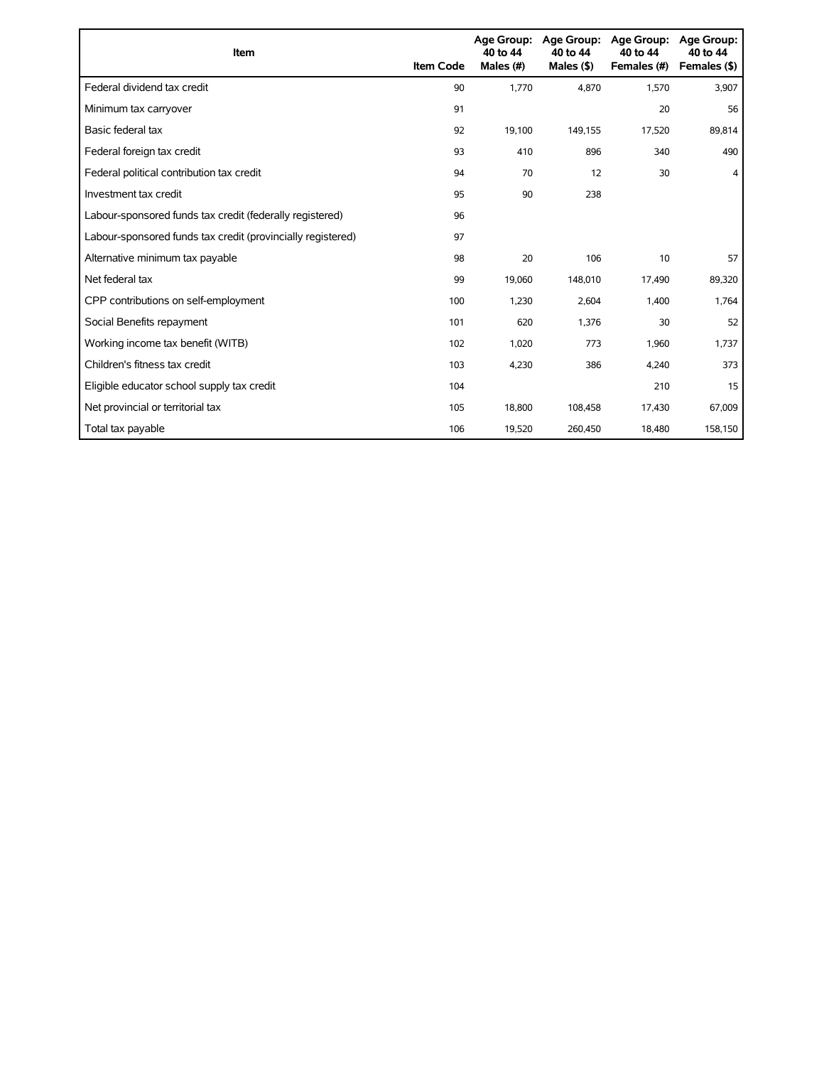| Item                                                        | <b>Item Code</b> | 40 to 44<br>Males (#) | Age Group: Age Group:<br>40 to 44<br>Males $($ \$) | <b>Age Group:</b><br>40 to 44<br>Females (#) | <b>Age Group:</b><br>40 to 44<br>Females (\$) |
|-------------------------------------------------------------|------------------|-----------------------|----------------------------------------------------|----------------------------------------------|-----------------------------------------------|
| Federal dividend tax credit                                 | 90               | 1,770                 | 4.870                                              | 1,570                                        | 3,907                                         |
| Minimum tax carryover                                       | 91               |                       |                                                    | 20                                           | 56                                            |
| Basic federal tax                                           | 92               | 19,100                | 149,155                                            | 17,520                                       | 89,814                                        |
| Federal foreign tax credit                                  | 93               | 410                   | 896                                                | 340                                          | 490                                           |
| Federal political contribution tax credit                   | 94               | 70                    | 12                                                 | 30                                           | 4                                             |
| Investment tax credit                                       | 95               | 90                    | 238                                                |                                              |                                               |
| Labour-sponsored funds tax credit (federally registered)    | 96               |                       |                                                    |                                              |                                               |
| Labour-sponsored funds tax credit (provincially registered) | 97               |                       |                                                    |                                              |                                               |
| Alternative minimum tax payable                             | 98               | 20                    | 106                                                | 10                                           | 57                                            |
| Net federal tax                                             | 99               | 19,060                | 148,010                                            | 17,490                                       | 89,320                                        |
| CPP contributions on self-employment                        | 100              | 1,230                 | 2,604                                              | 1,400                                        | 1,764                                         |
| Social Benefits repayment                                   | 101              | 620                   | 1,376                                              | 30                                           | 52                                            |
| Working income tax benefit (WITB)                           | 102              | 1,020                 | 773                                                | 1,960                                        | 1,737                                         |
| Children's fitness tax credit                               | 103              | 4,230                 | 386                                                | 4,240                                        | 373                                           |
| Eligible educator school supply tax credit                  | 104              |                       |                                                    | 210                                          | 15                                            |
| Net provincial or territorial tax                           | 105              | 18,800                | 108,458                                            | 17,430                                       | 67,009                                        |
| Total tax payable                                           | 106              | 19,520                | 260,450                                            | 18,480                                       | 158,150                                       |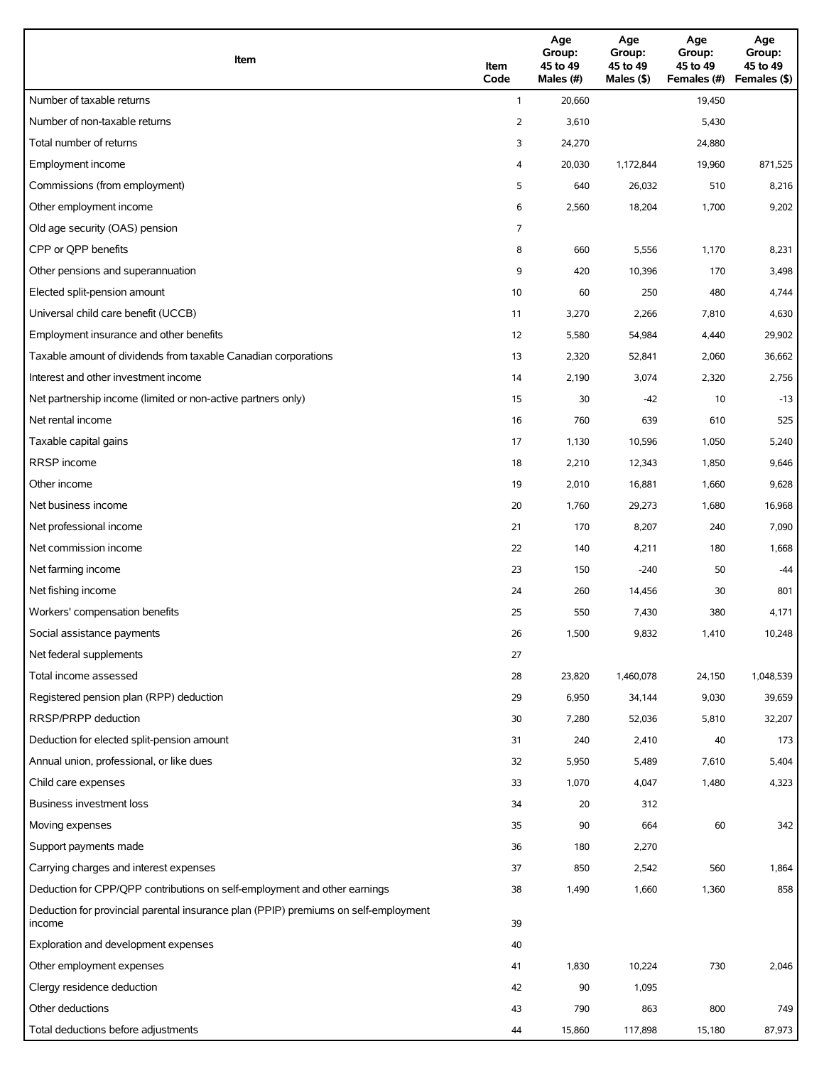| Item                                                                                          | Item<br>Code   | Age<br>Group:<br>45 to 49<br>Males (#) | Age<br>Group:<br>45 to 49<br>Males (\$) | Age<br>Group:<br>45 to 49<br>Females (#) | Age<br>Group:<br>45 to 49<br>Females (\$) |
|-----------------------------------------------------------------------------------------------|----------------|----------------------------------------|-----------------------------------------|------------------------------------------|-------------------------------------------|
| Number of taxable returns                                                                     | $\mathbf{1}$   | 20,660                                 |                                         | 19,450                                   |                                           |
| Number of non-taxable returns                                                                 | $\overline{2}$ | 3,610                                  |                                         | 5,430                                    |                                           |
| Total number of returns                                                                       | 3              | 24,270                                 |                                         | 24,880                                   |                                           |
| Employment income                                                                             | 4              | 20,030                                 | 1,172,844                               | 19,960                                   | 871,525                                   |
| Commissions (from employment)                                                                 | 5              | 640                                    | 26,032                                  | 510                                      | 8,216                                     |
| Other employment income                                                                       | 6              | 2,560                                  | 18,204                                  | 1,700                                    | 9,202                                     |
| Old age security (OAS) pension                                                                | 7              |                                        |                                         |                                          |                                           |
| CPP or QPP benefits                                                                           | 8              | 660                                    | 5,556                                   | 1,170                                    | 8,231                                     |
| Other pensions and superannuation                                                             | 9              | 420                                    | 10,396                                  | 170                                      | 3,498                                     |
| Elected split-pension amount                                                                  | 10             | 60                                     | 250                                     | 480                                      | 4,744                                     |
| Universal child care benefit (UCCB)                                                           | 11             | 3,270                                  | 2,266                                   | 7,810                                    | 4,630                                     |
| Employment insurance and other benefits                                                       | 12             | 5,580                                  | 54,984                                  | 4,440                                    | 29,902                                    |
| Taxable amount of dividends from taxable Canadian corporations                                | 13             | 2,320                                  | 52,841                                  | 2,060                                    | 36,662                                    |
| Interest and other investment income                                                          | 14             | 2,190                                  | 3,074                                   | 2,320                                    | 2,756                                     |
| Net partnership income (limited or non-active partners only)                                  | 15             | 30                                     | $-42$                                   | 10                                       | $-13$                                     |
| Net rental income                                                                             | 16             | 760                                    | 639                                     | 610                                      | 525                                       |
| Taxable capital gains                                                                         | 17             | 1,130                                  | 10,596                                  | 1,050                                    | 5,240                                     |
| <b>RRSP</b> income                                                                            | 18             | 2,210                                  | 12,343                                  | 1,850                                    | 9,646                                     |
| Other income                                                                                  | 19             | 2,010                                  | 16,881                                  | 1,660                                    | 9,628                                     |
| Net business income                                                                           | 20             | 1,760                                  | 29,273                                  | 1,680                                    | 16,968                                    |
| Net professional income                                                                       | 21             | 170                                    | 8,207                                   | 240                                      | 7,090                                     |
| Net commission income                                                                         | 22             | 140                                    | 4,211                                   | 180                                      | 1,668                                     |
| Net farming income                                                                            | 23             | 150                                    | $-240$                                  | 50                                       | $-44$                                     |
| Net fishing income                                                                            | 24             | 260                                    | 14,456                                  | 30                                       | 801                                       |
| Workers' compensation benefits                                                                | 25             | 550                                    | 7,430                                   | 380                                      | 4,171                                     |
| Social assistance payments                                                                    | 26             | 1,500                                  | 9,832                                   | 1,410                                    | 10,248                                    |
| Net federal supplements                                                                       | 27             |                                        |                                         |                                          |                                           |
| Total income assessed                                                                         | 28             | 23,820                                 | 1,460,078                               | 24,150                                   | 1,048,539                                 |
| Registered pension plan (RPP) deduction                                                       | 29             | 6,950                                  | 34,144                                  | 9,030                                    | 39,659                                    |
| RRSP/PRPP deduction                                                                           | 30             | 7,280                                  | 52,036                                  | 5,810                                    | 32,207                                    |
| Deduction for elected split-pension amount                                                    | 31             | 240                                    | 2,410                                   | 40                                       | 173                                       |
| Annual union, professional, or like dues                                                      | 32             | 5,950                                  | 5,489                                   | 7,610                                    | 5,404                                     |
| Child care expenses                                                                           | 33             | 1,070                                  | 4,047                                   | 1,480                                    | 4,323                                     |
| Business investment loss                                                                      | 34             | 20                                     | 312                                     |                                          |                                           |
| Moving expenses                                                                               | 35             | 90                                     | 664                                     | 60                                       | 342                                       |
| Support payments made                                                                         | 36             | 180                                    | 2,270                                   |                                          |                                           |
| Carrying charges and interest expenses                                                        | 37             | 850                                    | 2,542                                   | 560                                      | 1,864                                     |
| Deduction for CPP/QPP contributions on self-employment and other earnings                     | 38             | 1,490                                  | 1,660                                   | 1,360                                    | 858                                       |
| Deduction for provincial parental insurance plan (PPIP) premiums on self-employment<br>income | 39             |                                        |                                         |                                          |                                           |
| Exploration and development expenses                                                          | 40             |                                        |                                         |                                          |                                           |
| Other employment expenses                                                                     | 41             | 1,830                                  | 10,224                                  | 730                                      | 2,046                                     |
| Clergy residence deduction                                                                    | 42             | 90                                     | 1,095                                   |                                          |                                           |
| Other deductions                                                                              | 43             | 790                                    | 863                                     | 800                                      | 749                                       |
| Total deductions before adjustments                                                           | 44             | 15,860                                 | 117,898                                 | 15,180                                   | 87,973                                    |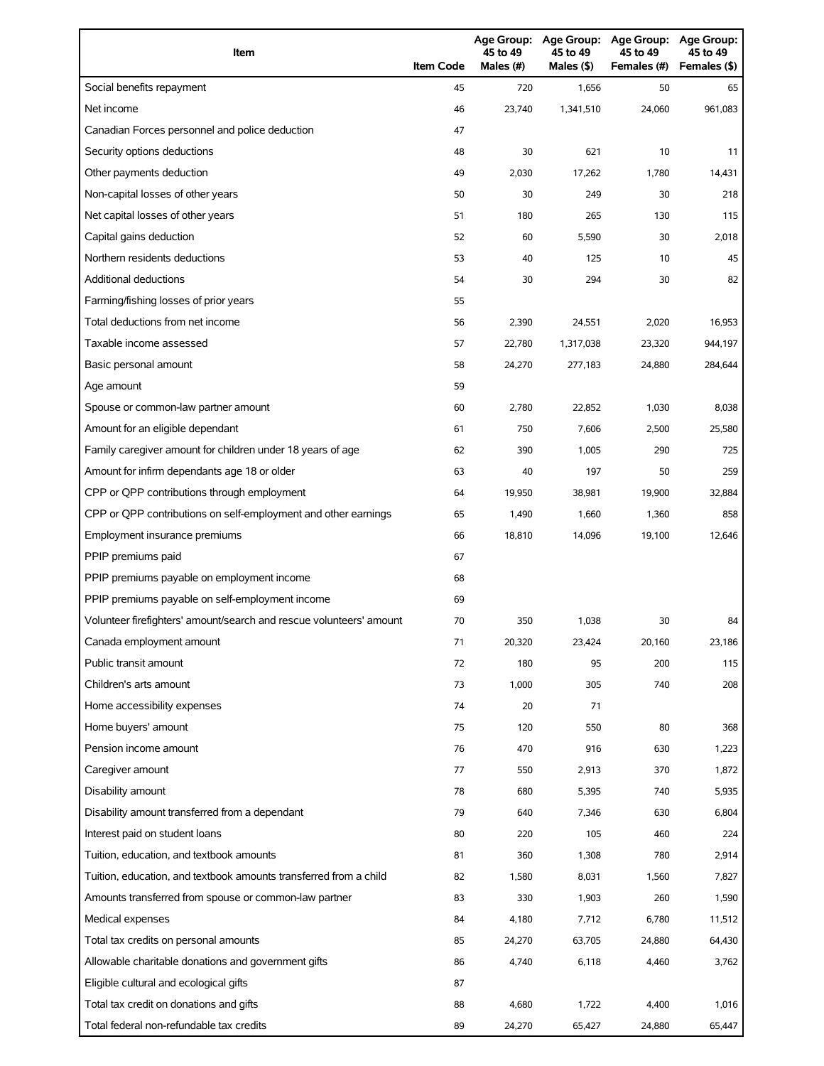| Item                                                                | <b>Item Code</b> | 45 to 49<br>Males (#) | 45 to 49<br>Males (\$) | Age Group: Age Group: Age Group:<br>45 to 49<br>Females (#) | Age Group:<br>45 to 49<br>Females (\$) |
|---------------------------------------------------------------------|------------------|-----------------------|------------------------|-------------------------------------------------------------|----------------------------------------|
| Social benefits repayment                                           | 45               | 720                   | 1,656                  | 50                                                          | 65                                     |
| Net income                                                          | 46               | 23,740                | 1,341,510              | 24,060                                                      | 961,083                                |
| Canadian Forces personnel and police deduction                      | 47               |                       |                        |                                                             |                                        |
| Security options deductions                                         | 48               | 30                    | 621                    | 10                                                          | 11                                     |
| Other payments deduction                                            | 49               | 2,030                 | 17,262                 | 1,780                                                       | 14,431                                 |
| Non-capital losses of other years                                   | 50               | 30                    | 249                    | 30                                                          | 218                                    |
| Net capital losses of other years                                   | 51               | 180                   | 265                    | 130                                                         | 115                                    |
| Capital gains deduction                                             | 52               | 60                    | 5,590                  | 30                                                          | 2,018                                  |
| Northern residents deductions                                       | 53               | 40                    | 125                    | 10                                                          | 45                                     |
| Additional deductions                                               | 54               | 30                    | 294                    | 30                                                          | 82                                     |
| Farming/fishing losses of prior years                               | 55               |                       |                        |                                                             |                                        |
| Total deductions from net income                                    | 56               | 2,390                 | 24,551                 | 2,020                                                       | 16,953                                 |
| Taxable income assessed                                             | 57               | 22,780                | 1,317,038              | 23,320                                                      | 944,197                                |
| Basic personal amount                                               | 58               | 24,270                | 277,183                | 24,880                                                      | 284,644                                |
| Age amount                                                          | 59               |                       |                        |                                                             |                                        |
| Spouse or common-law partner amount                                 | 60               | 2,780                 | 22,852                 | 1,030                                                       | 8,038                                  |
| Amount for an eligible dependant                                    | 61               | 750                   | 7,606                  | 2,500                                                       | 25,580                                 |
| Family caregiver amount for children under 18 years of age          | 62               | 390                   | 1,005                  | 290                                                         | 725                                    |
| Amount for infirm dependants age 18 or older                        | 63               | 40                    | 197                    | 50                                                          | 259                                    |
| CPP or QPP contributions through employment                         | 64               | 19,950                | 38,981                 | 19,900                                                      | 32,884                                 |
| CPP or QPP contributions on self-employment and other earnings      | 65               | 1,490                 | 1,660                  | 1,360                                                       | 858                                    |
| Employment insurance premiums                                       | 66               | 18,810                | 14,096                 | 19,100                                                      | 12,646                                 |
| PPIP premiums paid                                                  | 67               |                       |                        |                                                             |                                        |
| PPIP premiums payable on employment income                          | 68               |                       |                        |                                                             |                                        |
| PPIP premiums payable on self-employment income                     | 69               |                       |                        |                                                             |                                        |
| Volunteer firefighters' amount/search and rescue volunteers' amount | 70               | 350                   | 1,038                  | 30                                                          | 84                                     |
| Canada employment amount                                            | 71               | 20,320                | 23,424                 | 20,160                                                      | 23,186                                 |
| Public transit amount                                               | 72               | 180                   | 95                     | 200                                                         | 115                                    |
| Children's arts amount                                              | 73               | 1,000                 | 305                    | 740                                                         | 208                                    |
| Home accessibility expenses                                         | 74               | 20                    | 71                     |                                                             |                                        |
| Home buyers' amount                                                 | 75               | 120                   | 550                    | 80                                                          | 368                                    |
| Pension income amount                                               | 76               | 470                   | 916                    | 630                                                         | 1,223                                  |
| Caregiver amount                                                    | 77               | 550                   | 2,913                  | 370                                                         | 1,872                                  |
| Disability amount                                                   | 78               | 680                   | 5,395                  | 740                                                         | 5,935                                  |
| Disability amount transferred from a dependant                      | 79               | 640                   | 7,346                  | 630                                                         | 6,804                                  |
| Interest paid on student loans                                      | 80               | 220                   | 105                    | 460                                                         | 224                                    |
| Tuition, education, and textbook amounts                            | 81               | 360                   | 1,308                  | 780                                                         | 2,914                                  |
| Tuition, education, and textbook amounts transferred from a child   | 82               | 1,580                 | 8,031                  | 1,560                                                       | 7,827                                  |
| Amounts transferred from spouse or common-law partner               | 83               | 330                   | 1,903                  | 260                                                         | 1,590                                  |
| Medical expenses                                                    | 84               | 4,180                 | 7,712                  | 6,780                                                       | 11,512                                 |
| Total tax credits on personal amounts                               | 85               | 24,270                | 63,705                 | 24,880                                                      | 64,430                                 |
| Allowable charitable donations and government gifts                 | 86               | 4,740                 | 6,118                  | 4,460                                                       | 3,762                                  |
| Eligible cultural and ecological gifts                              | 87               |                       |                        |                                                             |                                        |
| Total tax credit on donations and gifts                             | 88               | 4,680                 | 1,722                  | 4,400                                                       | 1,016                                  |
| Total federal non-refundable tax credits                            | 89               | 24,270                | 65,427                 | 24,880                                                      | 65,447                                 |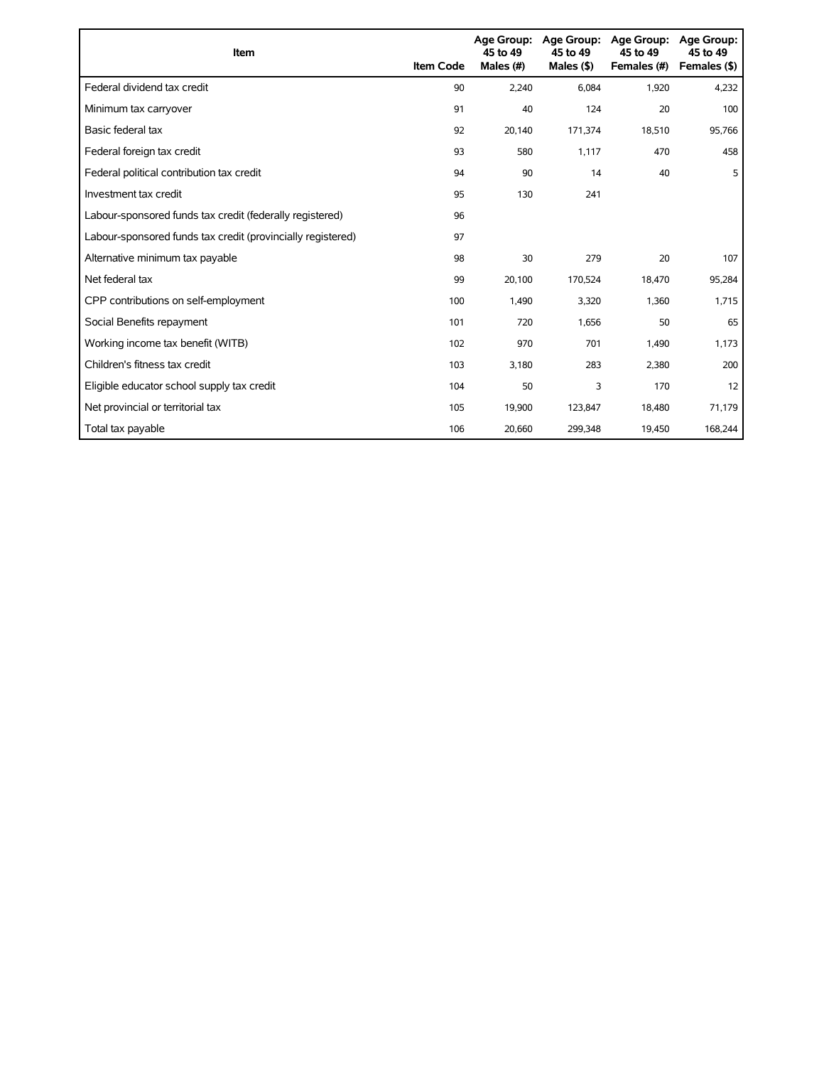| Item                                                        | <b>Item Code</b> | 45 to 49<br>Males (#) | Age Group: Age Group:<br>45 to 49<br>Males $($ \$) | <b>Age Group:</b><br>45 to 49<br>Females (#) | <b>Age Group:</b><br>45 to 49<br>Females (\$) |
|-------------------------------------------------------------|------------------|-----------------------|----------------------------------------------------|----------------------------------------------|-----------------------------------------------|
| Federal dividend tax credit                                 | 90               | 2,240                 | 6,084                                              | 1,920                                        | 4,232                                         |
| Minimum tax carryover                                       | 91               | 40                    | 124                                                | 20                                           | 100                                           |
| Basic federal tax                                           | 92               | 20.140                | 171,374                                            | 18,510                                       | 95,766                                        |
| Federal foreign tax credit                                  | 93               | 580                   | 1,117                                              | 470                                          | 458                                           |
| Federal political contribution tax credit                   | 94               | 90                    | 14                                                 | 40                                           | 5                                             |
| Investment tax credit                                       | 95               | 130                   | 241                                                |                                              |                                               |
| Labour-sponsored funds tax credit (federally registered)    | 96               |                       |                                                    |                                              |                                               |
| Labour-sponsored funds tax credit (provincially registered) | 97               |                       |                                                    |                                              |                                               |
| Alternative minimum tax payable                             | 98               | 30                    | 279                                                | 20                                           | 107                                           |
| Net federal tax                                             | 99               | 20,100                | 170,524                                            | 18,470                                       | 95,284                                        |
| CPP contributions on self-employment                        | 100              | 1,490                 | 3,320                                              | 1,360                                        | 1,715                                         |
| Social Benefits repayment                                   | 101              | 720                   | 1,656                                              | 50                                           | 65                                            |
| Working income tax benefit (WITB)                           | 102              | 970                   | 701                                                | 1,490                                        | 1,173                                         |
| Children's fitness tax credit                               | 103              | 3,180                 | 283                                                | 2,380                                        | 200                                           |
| Eligible educator school supply tax credit                  | 104              | 50                    | 3                                                  | 170                                          | 12                                            |
| Net provincial or territorial tax                           | 105              | 19,900                | 123,847                                            | 18,480                                       | 71,179                                        |
| Total tax payable                                           | 106              | 20,660                | 299,348                                            | 19,450                                       | 168,244                                       |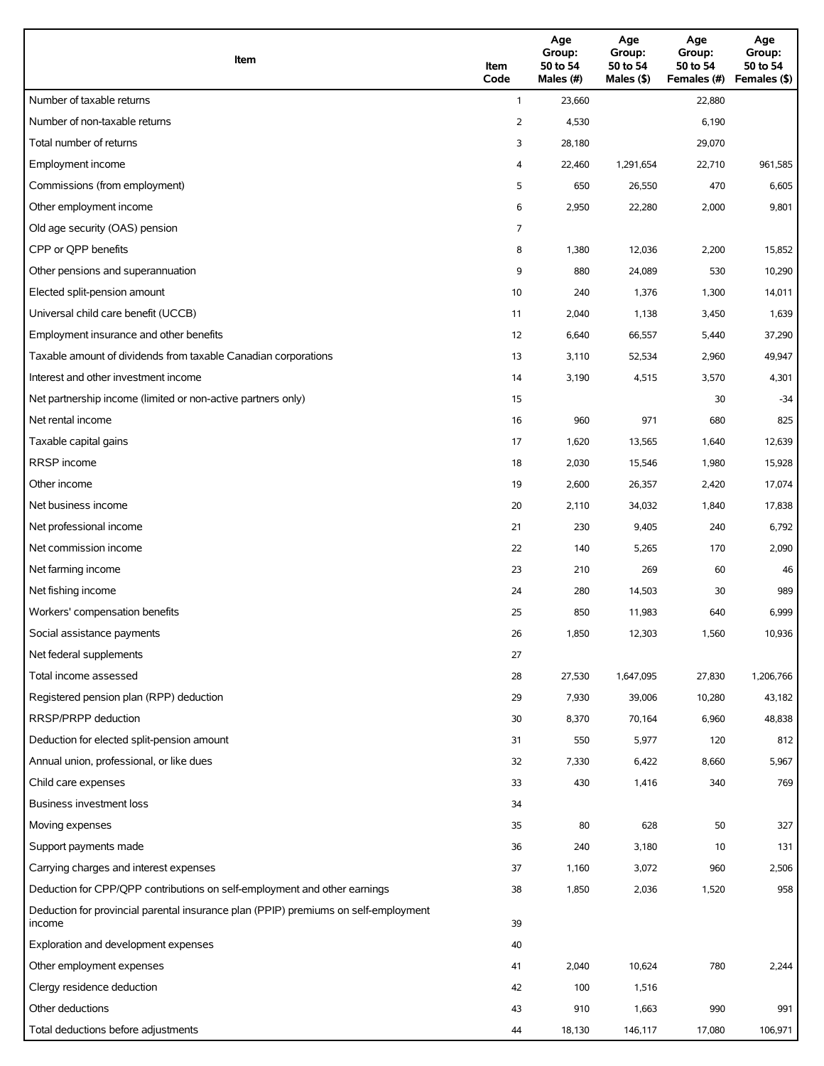| Item                                                                                          | Item<br>Code | Age<br>Group:<br>50 to 54<br>Males (#) | Age<br>Group:<br>50 to 54<br>Males (\$) | Age<br>Group:<br>50 to 54<br>Females (#) | Age<br>Group:<br>50 to 54<br>Females (\$) |
|-----------------------------------------------------------------------------------------------|--------------|----------------------------------------|-----------------------------------------|------------------------------------------|-------------------------------------------|
| Number of taxable returns                                                                     | $\mathbf{1}$ | 23,660                                 |                                         | 22,880                                   |                                           |
| Number of non-taxable returns                                                                 | 2            | 4,530                                  |                                         | 6,190                                    |                                           |
| Total number of returns                                                                       | 3            | 28,180                                 |                                         | 29,070                                   |                                           |
| Employment income                                                                             | 4            | 22,460                                 | 1,291,654                               | 22,710                                   | 961,585                                   |
| Commissions (from employment)                                                                 | 5            | 650                                    | 26,550                                  | 470                                      | 6,605                                     |
| Other employment income                                                                       | 6            | 2,950                                  | 22,280                                  | 2,000                                    | 9,801                                     |
| Old age security (OAS) pension                                                                | 7            |                                        |                                         |                                          |                                           |
| CPP or OPP benefits                                                                           | 8            | 1,380                                  | 12,036                                  | 2,200                                    | 15,852                                    |
| Other pensions and superannuation                                                             | 9            | 880                                    | 24,089                                  | 530                                      | 10,290                                    |
| Elected split-pension amount                                                                  | 10           | 240                                    | 1,376                                   | 1,300                                    | 14,011                                    |
| Universal child care benefit (UCCB)                                                           | 11           | 2,040                                  | 1,138                                   | 3,450                                    | 1,639                                     |
| Employment insurance and other benefits                                                       | 12           | 6,640                                  | 66,557                                  | 5,440                                    | 37,290                                    |
| Taxable amount of dividends from taxable Canadian corporations                                | 13           | 3,110                                  | 52,534                                  | 2,960                                    | 49,947                                    |
| Interest and other investment income                                                          | 14           | 3,190                                  | 4,515                                   | 3,570                                    | 4,301                                     |
| Net partnership income (limited or non-active partners only)                                  | 15           |                                        |                                         | 30                                       | $-34$                                     |
| Net rental income                                                                             | 16           | 960                                    | 971                                     | 680                                      | 825                                       |
| Taxable capital gains                                                                         | 17           | 1,620                                  | 13,565                                  | 1,640                                    | 12,639                                    |
| <b>RRSP</b> income                                                                            | 18           | 2,030                                  | 15,546                                  | 1,980                                    | 15,928                                    |
| Other income                                                                                  | 19           | 2,600                                  | 26,357                                  | 2,420                                    | 17,074                                    |
| Net business income                                                                           | 20           | 2,110                                  | 34,032                                  | 1,840                                    | 17,838                                    |
| Net professional income                                                                       | 21           | 230                                    | 9,405                                   | 240                                      | 6,792                                     |
| Net commission income                                                                         | 22           | 140                                    | 5,265                                   | 170                                      | 2,090                                     |
| Net farming income                                                                            | 23           | 210                                    | 269                                     | 60                                       | 46                                        |
| Net fishing income                                                                            | 24           | 280                                    | 14,503                                  | 30                                       | 989                                       |
| Workers' compensation benefits                                                                | 25           | 850                                    | 11,983                                  | 640                                      | 6,999                                     |
| Social assistance payments                                                                    | 26           | 1,850                                  | 12,303                                  | 1,560                                    | 10,936                                    |
| Net federal supplements                                                                       | 27           |                                        |                                         |                                          |                                           |
| Total income assessed                                                                         | 28           | 27,530                                 | 1,647,095                               | 27,830                                   | 1,206,766                                 |
| Registered pension plan (RPP) deduction                                                       | 29           | 7,930                                  | 39,006                                  | 10,280                                   | 43,182                                    |
| RRSP/PRPP deduction                                                                           | 30           | 8,370                                  | 70,164                                  | 6,960                                    | 48,838                                    |
| Deduction for elected split-pension amount                                                    | 31           | 550                                    | 5,977                                   | 120                                      | 812                                       |
| Annual union, professional, or like dues                                                      | 32           | 7,330                                  | 6,422                                   | 8,660                                    | 5,967                                     |
| Child care expenses                                                                           | 33           | 430                                    | 1,416                                   | 340                                      | 769                                       |
| Business investment loss                                                                      | 34           |                                        |                                         |                                          |                                           |
| Moving expenses                                                                               | 35           | 80                                     | 628                                     | 50                                       | 327                                       |
| Support payments made                                                                         | 36           | 240                                    | 3,180                                   | 10                                       | 131                                       |
| Carrying charges and interest expenses                                                        | 37           | 1,160                                  | 3,072                                   | 960                                      | 2,506                                     |
| Deduction for CPP/QPP contributions on self-employment and other earnings                     | 38           | 1,850                                  | 2,036                                   | 1,520                                    | 958                                       |
| Deduction for provincial parental insurance plan (PPIP) premiums on self-employment<br>income | 39           |                                        |                                         |                                          |                                           |
| Exploration and development expenses                                                          | 40           |                                        |                                         |                                          |                                           |
| Other employment expenses                                                                     | 41           | 2,040                                  | 10,624                                  | 780                                      | 2,244                                     |
| Clergy residence deduction                                                                    | 42           | 100                                    | 1,516                                   |                                          |                                           |
| Other deductions                                                                              | 43           | 910                                    | 1,663                                   | 990                                      | 991                                       |
| Total deductions before adjustments                                                           | 44           | 18,130                                 | 146,117                                 | 17,080                                   | 106,971                                   |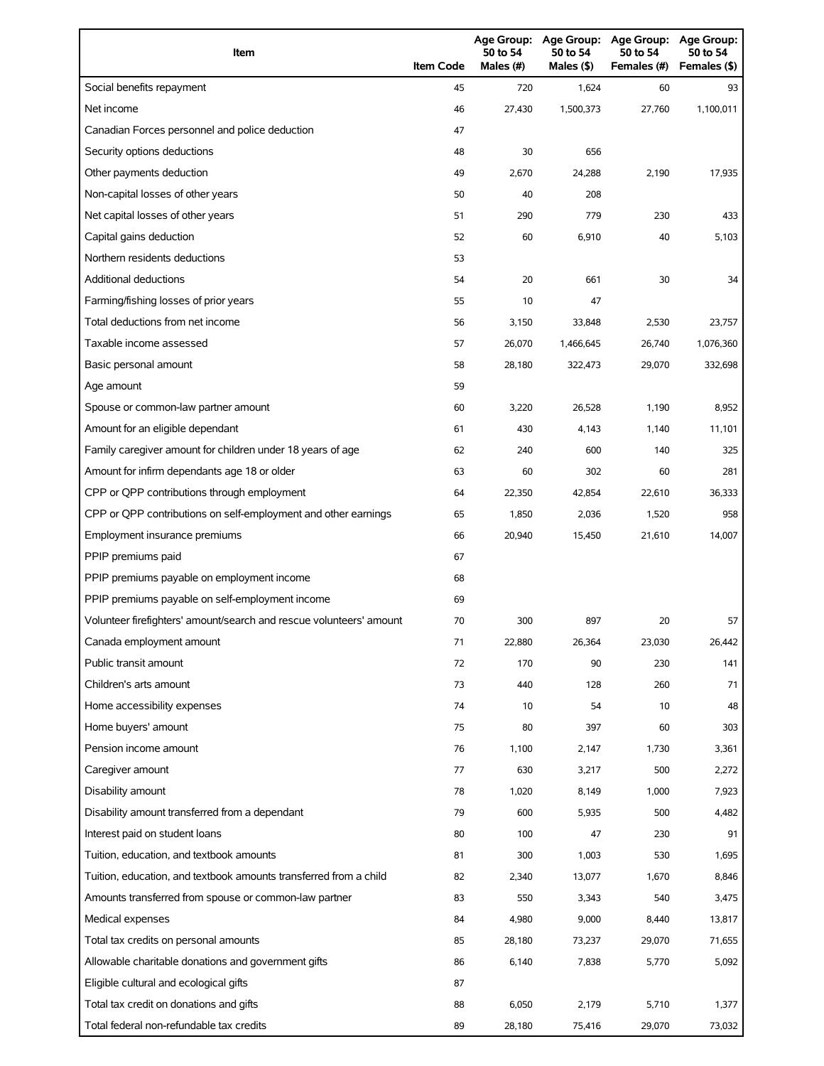| Item                                                                | <b>Item Code</b> | 50 to 54<br>Males (#) | 50 to 54<br>Males (\$) | Age Group: Age Group: Age Group:<br>50 to 54<br>Females (#) | Age Group:<br>50 to 54<br>Females (\$) |
|---------------------------------------------------------------------|------------------|-----------------------|------------------------|-------------------------------------------------------------|----------------------------------------|
| Social benefits repayment                                           | 45               | 720                   | 1,624                  | 60                                                          | 93                                     |
| Net income                                                          | 46               | 27,430                | 1,500,373              | 27,760                                                      | 1,100,011                              |
| Canadian Forces personnel and police deduction                      | 47               |                       |                        |                                                             |                                        |
| Security options deductions                                         | 48               | 30                    | 656                    |                                                             |                                        |
| Other payments deduction                                            | 49               | 2,670                 | 24,288                 | 2,190                                                       | 17,935                                 |
| Non-capital losses of other years                                   | 50               | 40                    | 208                    |                                                             |                                        |
| Net capital losses of other years                                   | 51               | 290                   | 779                    | 230                                                         | 433                                    |
| Capital gains deduction                                             | 52               | 60                    | 6,910                  | 40                                                          | 5,103                                  |
| Northern residents deductions                                       | 53               |                       |                        |                                                             |                                        |
| Additional deductions                                               | 54               | 20                    | 661                    | 30                                                          | 34                                     |
| Farming/fishing losses of prior years                               | 55               | 10                    | 47                     |                                                             |                                        |
| Total deductions from net income                                    | 56               | 3,150                 | 33,848                 | 2,530                                                       | 23,757                                 |
| Taxable income assessed                                             | 57               | 26,070                | 1,466,645              | 26,740                                                      | 1,076,360                              |
| Basic personal amount                                               | 58               | 28,180                | 322,473                | 29,070                                                      | 332,698                                |
| Age amount                                                          | 59               |                       |                        |                                                             |                                        |
| Spouse or common-law partner amount                                 | 60               | 3,220                 | 26.528                 | 1,190                                                       | 8,952                                  |
| Amount for an eligible dependant                                    | 61               | 430                   | 4,143                  | 1,140                                                       | 11,101                                 |
| Family caregiver amount for children under 18 years of age          | 62               | 240                   | 600                    | 140                                                         | 325                                    |
| Amount for infirm dependants age 18 or older                        | 63               | 60                    | 302                    | 60                                                          | 281                                    |
| CPP or QPP contributions through employment                         | 64               | 22,350                | 42,854                 | 22,610                                                      | 36,333                                 |
| CPP or QPP contributions on self-employment and other earnings      | 65               | 1,850                 | 2,036                  | 1,520                                                       | 958                                    |
| Employment insurance premiums                                       | 66               | 20,940                | 15,450                 | 21,610                                                      | 14,007                                 |
| PPIP premiums paid                                                  | 67               |                       |                        |                                                             |                                        |
| PPIP premiums payable on employment income                          | 68               |                       |                        |                                                             |                                        |
| PPIP premiums payable on self-employment income                     | 69               |                       |                        |                                                             |                                        |
| Volunteer firefighters' amount/search and rescue volunteers' amount | 70               | 300                   | 897                    | 20                                                          | 57                                     |
| Canada employment amount                                            | 71               | 22,880                | 26,364                 | 23,030                                                      | 26,442                                 |
| Public transit amount                                               | 72               | 170                   | 90                     | 230                                                         | 141                                    |
| Children's arts amount                                              | 73               | 440                   | 128                    | 260                                                         | 71                                     |
| Home accessibility expenses                                         | 74               | 10                    | 54                     | 10                                                          | 48                                     |
| Home buyers' amount                                                 | 75               | 80                    | 397                    | 60                                                          | 303                                    |
| Pension income amount                                               | 76               | 1,100                 | 2,147                  | 1,730                                                       | 3,361                                  |
| Caregiver amount                                                    | 77               | 630                   | 3,217                  | 500                                                         | 2,272                                  |
| Disability amount                                                   | 78               | 1,020                 | 8,149                  | 1,000                                                       | 7,923                                  |
| Disability amount transferred from a dependant                      | 79               | 600                   | 5,935                  | 500                                                         | 4,482                                  |
| Interest paid on student loans                                      | 80               | 100                   | 47                     | 230                                                         | 91                                     |
| Tuition, education, and textbook amounts                            | 81               | 300                   | 1,003                  | 530                                                         | 1,695                                  |
| Tuition, education, and textbook amounts transferred from a child   | 82               | 2,340                 | 13,077                 | 1,670                                                       | 8,846                                  |
| Amounts transferred from spouse or common-law partner               | 83               | 550                   | 3,343                  | 540                                                         | 3,475                                  |
| Medical expenses                                                    | 84               | 4,980                 | 9,000                  | 8,440                                                       | 13,817                                 |
| Total tax credits on personal amounts                               | 85               | 28,180                | 73,237                 | 29,070                                                      | 71,655                                 |
| Allowable charitable donations and government gifts                 | 86               | 6,140                 | 7,838                  | 5,770                                                       | 5,092                                  |
| Eligible cultural and ecological gifts                              | 87               |                       |                        |                                                             |                                        |
| Total tax credit on donations and gifts                             | 88               | 6,050                 | 2,179                  | 5,710                                                       | 1,377                                  |
| Total federal non-refundable tax credits                            | 89               | 28,180                | 75,416                 | 29,070                                                      | 73,032                                 |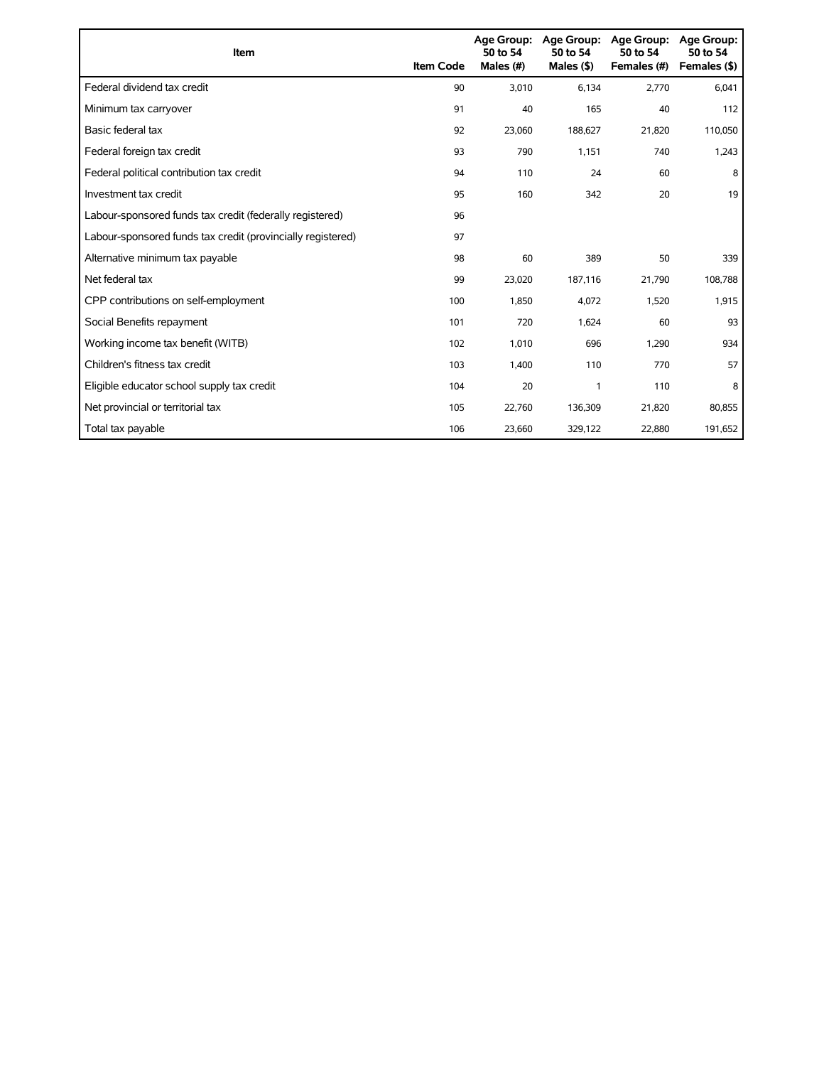| Item                                                        | <b>Item Code</b> | <b>Age Group:</b><br>50 to 54<br>Males (#) | <b>Age Group:</b><br>50 to 54<br>Males $($ \$) | <b>Age Group:</b><br>50 to 54<br>Females (#) | <b>Age Group:</b><br>50 to 54<br>Females (\$) |
|-------------------------------------------------------------|------------------|--------------------------------------------|------------------------------------------------|----------------------------------------------|-----------------------------------------------|
| Federal dividend tax credit                                 | 90               | 3,010                                      | 6,134                                          | 2,770                                        | 6,041                                         |
| Minimum tax carryover                                       | 91               | 40                                         | 165                                            | 40                                           | 112                                           |
| Basic federal tax                                           | 92               | 23,060                                     | 188,627                                        | 21,820                                       | 110,050                                       |
| Federal foreign tax credit                                  | 93               | 790                                        | 1,151                                          | 740                                          | 1,243                                         |
| Federal political contribution tax credit                   | 94               | 110                                        | 24                                             | 60                                           | 8                                             |
| Investment tax credit                                       | 95               | 160                                        | 342                                            | 20                                           | 19                                            |
| Labour-sponsored funds tax credit (federally registered)    | 96               |                                            |                                                |                                              |                                               |
| Labour-sponsored funds tax credit (provincially registered) | 97               |                                            |                                                |                                              |                                               |
| Alternative minimum tax payable                             | 98               | 60                                         | 389                                            | 50                                           | 339                                           |
| Net federal tax                                             | 99               | 23,020                                     | 187,116                                        | 21,790                                       | 108,788                                       |
| CPP contributions on self-employment                        | 100              | 1,850                                      | 4,072                                          | 1,520                                        | 1,915                                         |
| Social Benefits repayment                                   | 101              | 720                                        | 1,624                                          | 60                                           | 93                                            |
| Working income tax benefit (WITB)                           | 102              | 1,010                                      | 696                                            | 1,290                                        | 934                                           |
| Children's fitness tax credit                               | 103              | 1,400                                      | 110                                            | 770                                          | 57                                            |
| Eligible educator school supply tax credit                  | 104              | 20                                         | 1                                              | 110                                          | 8                                             |
| Net provincial or territorial tax                           | 105              | 22,760                                     | 136,309                                        | 21,820                                       | 80,855                                        |
| Total tax payable                                           | 106              | 23,660                                     | 329,122                                        | 22,880                                       | 191,652                                       |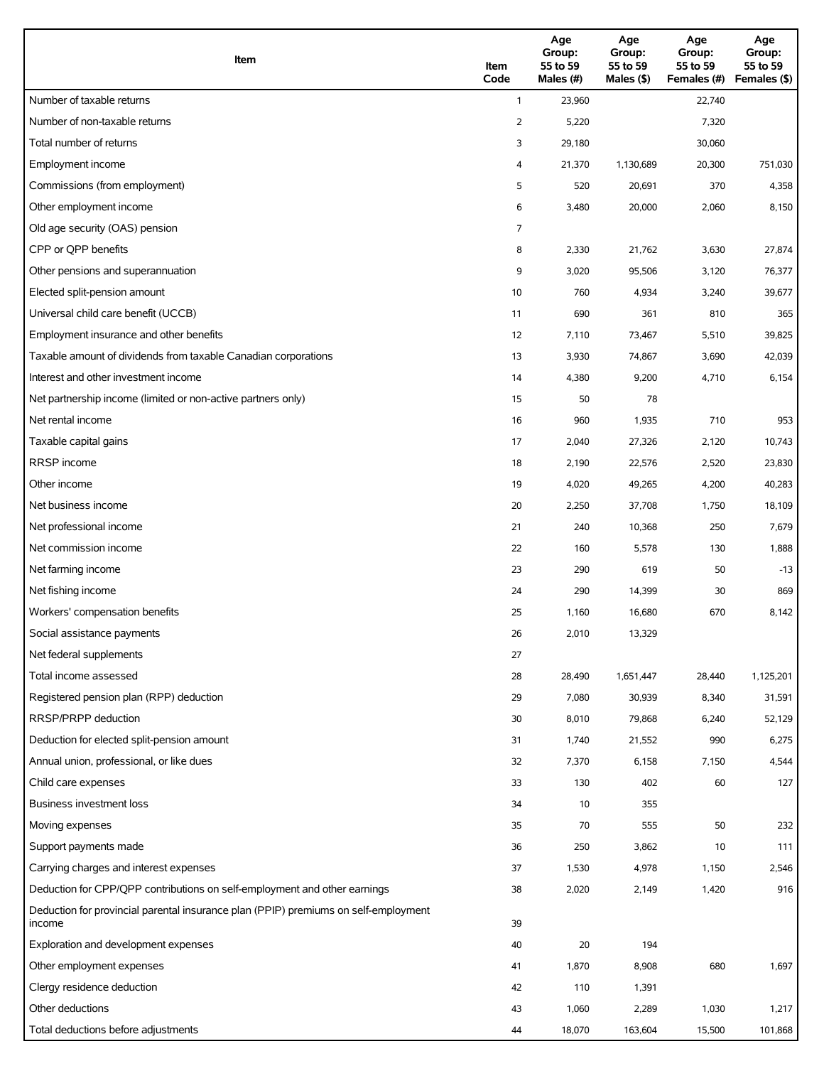| Item                                                                                          | Item<br>Code   | Age<br>Group:<br>55 to 59<br>Males (#) | Age<br>Group:<br>55 to 59<br>Males (\$) | Age<br>Group:<br>55 to 59<br>Females (#) | Age<br>Group:<br>55 to 59<br>Females (\$) |
|-----------------------------------------------------------------------------------------------|----------------|----------------------------------------|-----------------------------------------|------------------------------------------|-------------------------------------------|
| Number of taxable returns                                                                     | $\mathbf{1}$   | 23,960                                 |                                         | 22,740                                   |                                           |
| Number of non-taxable returns                                                                 | $\overline{2}$ | 5,220                                  |                                         | 7,320                                    |                                           |
| Total number of returns                                                                       | 3              | 29,180                                 |                                         | 30,060                                   |                                           |
| Employment income                                                                             | 4              | 21,370                                 | 1,130,689                               | 20,300                                   | 751,030                                   |
| Commissions (from employment)                                                                 | 5              | 520                                    | 20,691                                  | 370                                      | 4,358                                     |
| Other employment income                                                                       | 6              | 3,480                                  | 20,000                                  | 2,060                                    | 8,150                                     |
| Old age security (OAS) pension                                                                | 7              |                                        |                                         |                                          |                                           |
| CPP or QPP benefits                                                                           | 8              | 2,330                                  | 21,762                                  | 3,630                                    | 27,874                                    |
| Other pensions and superannuation                                                             | 9              | 3,020                                  | 95,506                                  | 3,120                                    | 76,377                                    |
| Elected split-pension amount                                                                  | 10             | 760                                    | 4,934                                   | 3,240                                    | 39,677                                    |
| Universal child care benefit (UCCB)                                                           | 11             | 690                                    | 361                                     | 810                                      | 365                                       |
| Employment insurance and other benefits                                                       | 12             | 7,110                                  | 73,467                                  | 5,510                                    | 39,825                                    |
| Taxable amount of dividends from taxable Canadian corporations                                | 13             | 3,930                                  | 74,867                                  | 3,690                                    | 42,039                                    |
| Interest and other investment income                                                          | 14             | 4,380                                  | 9,200                                   | 4,710                                    | 6,154                                     |
| Net partnership income (limited or non-active partners only)                                  | 15             | 50                                     | 78                                      |                                          |                                           |
| Net rental income                                                                             | 16             | 960                                    | 1,935                                   | 710                                      | 953                                       |
| Taxable capital gains                                                                         | 17             | 2,040                                  | 27,326                                  | 2,120                                    | 10,743                                    |
| <b>RRSP</b> income                                                                            | 18             | 2,190                                  | 22,576                                  | 2,520                                    | 23,830                                    |
| Other income                                                                                  | 19             | 4,020                                  | 49,265                                  | 4,200                                    | 40,283                                    |
| Net business income                                                                           | 20             | 2,250                                  | 37,708                                  | 1,750                                    | 18,109                                    |
| Net professional income                                                                       | 21             | 240                                    | 10,368                                  | 250                                      | 7,679                                     |
| Net commission income                                                                         | 22             | 160                                    | 5,578                                   | 130                                      | 1,888                                     |
| Net farming income                                                                            | 23             | 290                                    | 619                                     | 50                                       | $-13$                                     |
| Net fishing income                                                                            | 24             | 290                                    | 14,399                                  | 30                                       | 869                                       |
| Workers' compensation benefits                                                                | 25             | 1,160                                  | 16,680                                  | 670                                      | 8,142                                     |
| Social assistance payments                                                                    | 26             | 2,010                                  | 13,329                                  |                                          |                                           |
| Net federal supplements                                                                       | 27             |                                        |                                         |                                          |                                           |
| Total income assessed                                                                         | 28             | 28,490                                 | 1,651,447                               | 28,440                                   | 1,125,201                                 |
| Registered pension plan (RPP) deduction                                                       | 29             | 7,080                                  | 30,939                                  | 8,340                                    | 31,591                                    |
| RRSP/PRPP deduction                                                                           | 30             | 8,010                                  | 79,868                                  | 6,240                                    | 52,129                                    |
| Deduction for elected split-pension amount                                                    | 31             | 1,740                                  | 21,552                                  | 990                                      | 6,275                                     |
| Annual union, professional, or like dues                                                      | 32             | 7,370                                  | 6,158                                   | 7,150                                    | 4,544                                     |
| Child care expenses                                                                           | 33             | 130                                    | 402                                     | 60                                       | 127                                       |
| Business investment loss                                                                      | 34             | 10                                     | 355                                     |                                          |                                           |
| Moving expenses                                                                               | 35             | 70                                     | 555                                     | 50                                       | 232                                       |
| Support payments made                                                                         | 36             | 250                                    | 3,862                                   | 10                                       | 111                                       |
| Carrying charges and interest expenses                                                        | 37             | 1,530                                  | 4,978                                   | 1,150                                    | 2,546                                     |
| Deduction for CPP/QPP contributions on self-employment and other earnings                     | 38             | 2,020                                  | 2,149                                   | 1,420                                    | 916                                       |
| Deduction for provincial parental insurance plan (PPIP) premiums on self-employment<br>income | 39             |                                        |                                         |                                          |                                           |
| Exploration and development expenses                                                          | 40             | 20                                     | 194                                     |                                          |                                           |
| Other employment expenses                                                                     | 41             | 1,870                                  | 8,908                                   | 680                                      | 1,697                                     |
| Clergy residence deduction                                                                    | 42             | 110                                    | 1,391                                   |                                          |                                           |
| Other deductions                                                                              | 43             | 1,060                                  | 2,289                                   | 1,030                                    | 1,217                                     |
| Total deductions before adjustments                                                           | 44             | 18,070                                 | 163,604                                 | 15,500                                   | 101,868                                   |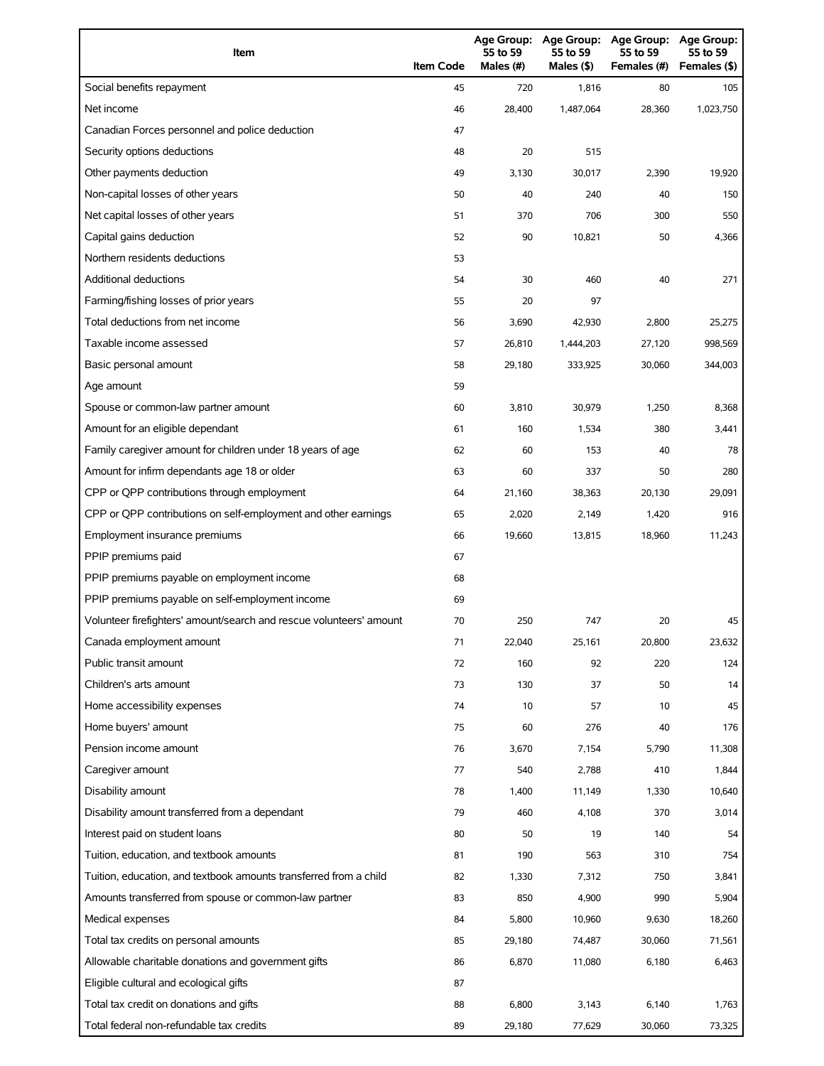| Item                                                                | <b>Item Code</b> | 55 to 59<br>Males (#) | Age Group: Age Group:<br>55 to 59<br>Males (\$) | <b>Age Group:</b><br>55 to 59<br>Females (#) | <b>Age Group:</b><br>55 to 59<br>Females (\$) |
|---------------------------------------------------------------------|------------------|-----------------------|-------------------------------------------------|----------------------------------------------|-----------------------------------------------|
| Social benefits repayment                                           | 45               | 720                   | 1,816                                           | 80                                           | 105                                           |
| Net income                                                          | 46               | 28,400                | 1,487,064                                       | 28,360                                       | 1,023,750                                     |
| Canadian Forces personnel and police deduction                      | 47               |                       |                                                 |                                              |                                               |
| Security options deductions                                         | 48               | 20                    | 515                                             |                                              |                                               |
| Other payments deduction                                            | 49               | 3,130                 | 30,017                                          | 2,390                                        | 19,920                                        |
| Non-capital losses of other years                                   | 50               | 40                    | 240                                             | 40                                           | 150                                           |
| Net capital losses of other years                                   | 51               | 370                   | 706                                             | 300                                          | 550                                           |
| Capital gains deduction                                             | 52               | 90                    | 10,821                                          | 50                                           | 4,366                                         |
| Northern residents deductions                                       | 53               |                       |                                                 |                                              |                                               |
| <b>Additional deductions</b>                                        | 54               | 30                    | 460                                             | 40                                           | 271                                           |
| Farming/fishing losses of prior years                               | 55               | 20                    | 97                                              |                                              |                                               |
| Total deductions from net income                                    | 56               | 3,690                 | 42,930                                          | 2,800                                        | 25,275                                        |
| Taxable income assessed                                             | 57               | 26,810                | 1,444,203                                       | 27,120                                       | 998,569                                       |
| Basic personal amount                                               | 58               | 29,180                | 333,925                                         | 30,060                                       | 344,003                                       |
| Age amount                                                          | 59               |                       |                                                 |                                              |                                               |
| Spouse or common-law partner amount                                 | 60               | 3,810                 | 30,979                                          | 1,250                                        | 8,368                                         |
| Amount for an eligible dependant                                    | 61               | 160                   | 1,534                                           | 380                                          | 3,441                                         |
| Family caregiver amount for children under 18 years of age          | 62               | 60                    | 153                                             | 40                                           | 78                                            |
| Amount for infirm dependants age 18 or older                        | 63               | 60                    | 337                                             | 50                                           | 280                                           |
| CPP or QPP contributions through employment                         | 64               | 21,160                | 38,363                                          | 20,130                                       | 29,091                                        |
| CPP or QPP contributions on self-employment and other earnings      | 65               | 2,020                 | 2,149                                           | 1,420                                        | 916                                           |
| Employment insurance premiums                                       | 66               | 19,660                | 13,815                                          | 18,960                                       | 11,243                                        |
| PPIP premiums paid                                                  | 67               |                       |                                                 |                                              |                                               |
| PPIP premiums payable on employment income                          | 68               |                       |                                                 |                                              |                                               |
| PPIP premiums payable on self-employment income                     | 69               |                       |                                                 |                                              |                                               |
| Volunteer firefighters' amount/search and rescue volunteers' amount | 70               | 250                   | 747                                             | 20                                           | 45                                            |
| Canada employment amount                                            | 71               | 22,040                | 25,161                                          | 20,800                                       | 23,632                                        |
| Public transit amount                                               | 72               | 160                   | 92                                              | 220                                          | 124                                           |
| Children's arts amount                                              | 73               | 130                   | 37                                              | 50                                           | 14                                            |
| Home accessibility expenses                                         | 74               | 10                    | 57                                              | 10                                           | 45                                            |
| Home buyers' amount                                                 | 75               | 60                    | 276                                             | 40                                           | 176                                           |
| Pension income amount                                               | 76               | 3,670                 | 7,154                                           | 5,790                                        | 11,308                                        |
| Caregiver amount                                                    | 77               | 540                   | 2,788                                           | 410                                          | 1,844                                         |
| Disability amount                                                   | 78               | 1,400                 | 11,149                                          | 1,330                                        | 10,640                                        |
| Disability amount transferred from a dependant                      | 79               | 460                   | 4,108                                           | 370                                          | 3,014                                         |
| Interest paid on student loans                                      | 80               | 50                    | 19                                              | 140                                          | 54                                            |
| Tuition, education, and textbook amounts                            | 81               | 190                   | 563                                             | 310                                          | 754                                           |
| Tuition, education, and textbook amounts transferred from a child   | 82               | 1,330                 | 7,312                                           | 750                                          | 3,841                                         |
| Amounts transferred from spouse or common-law partner               | 83               | 850                   | 4,900                                           | 990                                          | 5,904                                         |
| Medical expenses                                                    | 84               | 5,800                 | 10,960                                          | 9,630                                        | 18,260                                        |
| Total tax credits on personal amounts                               | 85               | 29,180                | 74,487                                          | 30,060                                       | 71,561                                        |
| Allowable charitable donations and government gifts                 | 86               | 6,870                 | 11,080                                          | 6,180                                        | 6,463                                         |
| Eligible cultural and ecological gifts                              | 87               |                       |                                                 |                                              |                                               |
| Total tax credit on donations and gifts                             | 88               | 6,800                 | 3,143                                           | 6,140                                        | 1,763                                         |
| Total federal non-refundable tax credits                            | 89               | 29,180                | 77,629                                          | 30,060                                       | 73,325                                        |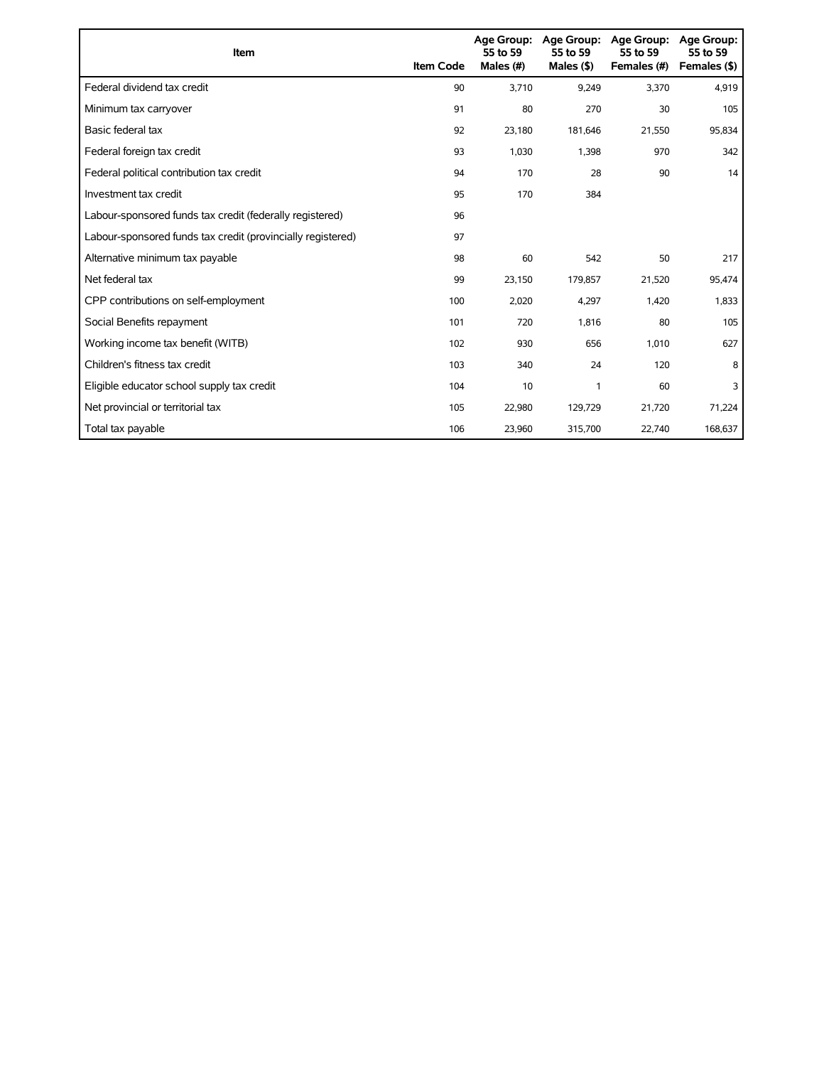| Item                                                        | <b>Item Code</b> | 55 to 59<br>Males (#) | Age Group: Age Group:<br>55 to 59<br>Males $($ \$) | <b>Age Group:</b><br>55 to 59<br>Females (#) | <b>Age Group:</b><br>55 to 59<br>Females (\$) |
|-------------------------------------------------------------|------------------|-----------------------|----------------------------------------------------|----------------------------------------------|-----------------------------------------------|
| Federal dividend tax credit                                 | 90               | 3,710                 | 9,249                                              | 3,370                                        | 4,919                                         |
| Minimum tax carryover                                       | 91               | 80                    | 270                                                | 30                                           | 105                                           |
| Basic federal tax                                           | 92               | 23,180                | 181,646                                            | 21,550                                       | 95,834                                        |
| Federal foreign tax credit                                  | 93               | 1,030                 | 1,398                                              | 970                                          | 342                                           |
| Federal political contribution tax credit                   | 94               | 170                   | 28                                                 | 90                                           | 14                                            |
| Investment tax credit                                       | 95               | 170                   | 384                                                |                                              |                                               |
| Labour-sponsored funds tax credit (federally registered)    | 96               |                       |                                                    |                                              |                                               |
| Labour-sponsored funds tax credit (provincially registered) | 97               |                       |                                                    |                                              |                                               |
| Alternative minimum tax payable                             | 98               | 60                    | 542                                                | 50                                           | 217                                           |
| Net federal tax                                             | 99               | 23,150                | 179,857                                            | 21,520                                       | 95,474                                        |
| CPP contributions on self-employment                        | 100              | 2,020                 | 4,297                                              | 1,420                                        | 1,833                                         |
| Social Benefits repayment                                   | 101              | 720                   | 1,816                                              | 80                                           | 105                                           |
| Working income tax benefit (WITB)                           | 102              | 930                   | 656                                                | 1,010                                        | 627                                           |
| Children's fitness tax credit                               | 103              | 340                   | 24                                                 | 120                                          | 8                                             |
| Eligible educator school supply tax credit                  | 104              | 10                    | 1                                                  | 60                                           | 3                                             |
| Net provincial or territorial tax                           | 105              | 22,980                | 129,729                                            | 21,720                                       | 71,224                                        |
| Total tax payable                                           | 106              | 23,960                | 315,700                                            | 22,740                                       | 168,637                                       |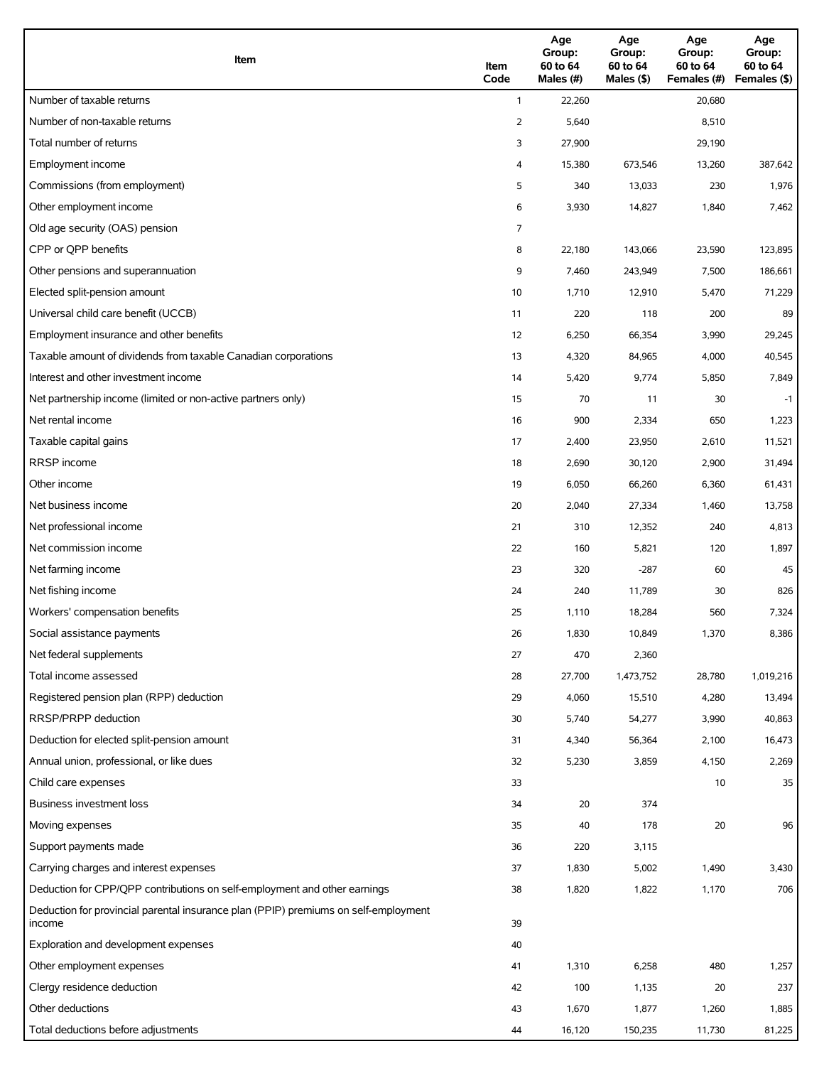| Item                                                                                          | Item<br>Code | Age<br>Group:<br>60 to 64<br>Males (#) | Age<br>Group:<br>60 to 64<br>Males (\$) | Age<br>Group:<br>60 to 64<br>Females (#) | Age<br>Group:<br>60 to 64<br>Females (\$) |
|-----------------------------------------------------------------------------------------------|--------------|----------------------------------------|-----------------------------------------|------------------------------------------|-------------------------------------------|
| Number of taxable returns                                                                     | $\mathbf{1}$ | 22,260                                 |                                         | 20,680                                   |                                           |
| Number of non-taxable returns                                                                 | 2            | 5,640                                  |                                         | 8,510                                    |                                           |
| Total number of returns                                                                       | 3            | 27,900                                 |                                         | 29,190                                   |                                           |
| Employment income                                                                             | 4            | 15,380                                 | 673,546                                 | 13,260                                   | 387,642                                   |
| Commissions (from employment)                                                                 | 5            | 340                                    | 13,033                                  | 230                                      | 1,976                                     |
| Other employment income                                                                       | 6            | 3,930                                  | 14,827                                  | 1,840                                    | 7,462                                     |
| Old age security (OAS) pension                                                                | 7            |                                        |                                         |                                          |                                           |
| CPP or OPP benefits                                                                           | 8            | 22,180                                 | 143,066                                 | 23,590                                   | 123,895                                   |
| Other pensions and superannuation                                                             | 9            | 7,460                                  | 243,949                                 | 7,500                                    | 186,661                                   |
| Elected split-pension amount                                                                  | 10           | 1,710                                  | 12,910                                  | 5,470                                    | 71,229                                    |
| Universal child care benefit (UCCB)                                                           | 11           | 220                                    | 118                                     | 200                                      | 89                                        |
| Employment insurance and other benefits                                                       | 12           | 6,250                                  | 66,354                                  | 3,990                                    | 29,245                                    |
| Taxable amount of dividends from taxable Canadian corporations                                | 13           | 4,320                                  | 84,965                                  | 4,000                                    | 40,545                                    |
| Interest and other investment income                                                          | 14           | 5,420                                  | 9,774                                   | 5,850                                    | 7,849                                     |
| Net partnership income (limited or non-active partners only)                                  | 15           | 70                                     | 11                                      | 30                                       | $-1$                                      |
| Net rental income                                                                             | 16           | 900                                    | 2,334                                   | 650                                      | 1,223                                     |
| Taxable capital gains                                                                         | 17           | 2,400                                  | 23,950                                  | 2,610                                    | 11,521                                    |
| <b>RRSP</b> income                                                                            | 18           | 2,690                                  | 30,120                                  | 2,900                                    | 31,494                                    |
| Other income                                                                                  | 19           | 6,050                                  | 66,260                                  | 6,360                                    | 61,431                                    |
| Net business income                                                                           | 20           | 2,040                                  | 27,334                                  | 1,460                                    | 13,758                                    |
| Net professional income                                                                       | 21           | 310                                    | 12,352                                  | 240                                      | 4,813                                     |
| Net commission income                                                                         | 22           | 160                                    | 5,821                                   | 120                                      | 1,897                                     |
| Net farming income                                                                            | 23           | 320                                    | $-287$                                  | 60                                       | 45                                        |
| Net fishing income                                                                            | 24           | 240                                    | 11,789                                  | 30                                       | 826                                       |
| Workers' compensation benefits                                                                | 25           | 1,110                                  | 18,284                                  | 560                                      | 7,324                                     |
| Social assistance payments                                                                    | 26           | 1,830                                  | 10,849                                  | 1,370                                    | 8,386                                     |
| Net federal supplements                                                                       | 27           | 470                                    | 2,360                                   |                                          |                                           |
| Total income assessed                                                                         | 28           | 27,700                                 | 1,473,752                               | 28,780                                   | 1,019,216                                 |
| Registered pension plan (RPP) deduction                                                       | 29           | 4,060                                  | 15,510                                  | 4,280                                    | 13,494                                    |
| RRSP/PRPP deduction                                                                           | 30           | 5,740                                  | 54,277                                  | 3,990                                    | 40,863                                    |
| Deduction for elected split-pension amount                                                    | 31           | 4,340                                  | 56,364                                  | 2,100                                    | 16,473                                    |
| Annual union, professional, or like dues                                                      | 32           | 5,230                                  | 3,859                                   | 4,150                                    | 2,269                                     |
| Child care expenses                                                                           | 33           |                                        |                                         | 10                                       | 35                                        |
| Business investment loss                                                                      | 34           | 20                                     | 374                                     |                                          |                                           |
| Moving expenses                                                                               | 35           | 40                                     | 178                                     | 20                                       | 96                                        |
| Support payments made                                                                         | 36           | 220                                    | 3,115                                   |                                          |                                           |
| Carrying charges and interest expenses                                                        | 37           | 1,830                                  | 5,002                                   | 1,490                                    | 3,430                                     |
| Deduction for CPP/QPP contributions on self-employment and other earnings                     | 38           | 1,820                                  | 1,822                                   | 1,170                                    | 706                                       |
| Deduction for provincial parental insurance plan (PPIP) premiums on self-employment<br>income | 39           |                                        |                                         |                                          |                                           |
| Exploration and development expenses                                                          | 40           |                                        |                                         |                                          |                                           |
| Other employment expenses                                                                     | 41           | 1,310                                  | 6,258                                   | 480                                      | 1,257                                     |
| Clergy residence deduction                                                                    | 42           | 100                                    | 1,135                                   | 20                                       | 237                                       |
| Other deductions                                                                              | 43           | 1,670                                  | 1,877                                   | 1,260                                    | 1,885                                     |
| Total deductions before adjustments                                                           | 44           | 16,120                                 | 150,235                                 | 11,730                                   | 81,225                                    |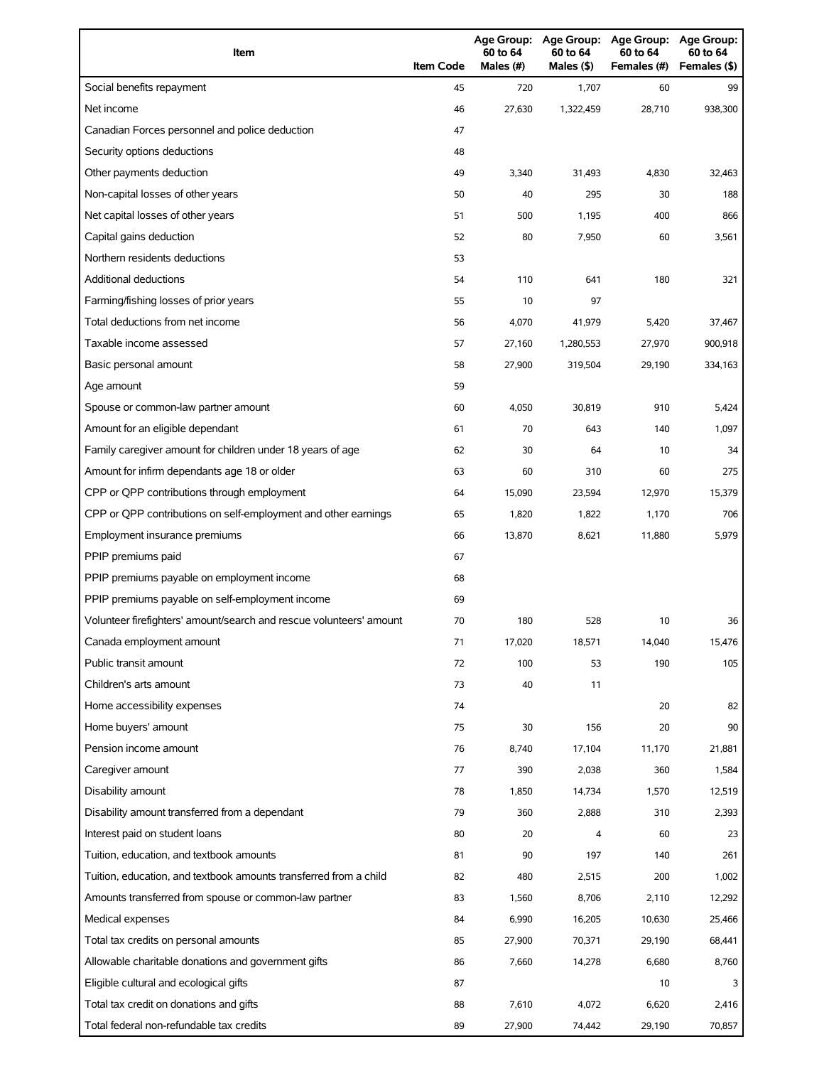| Item                                                                | <b>Item Code</b> | 60 to 64<br>Males $(H)$ | Age Group: Age Group:<br>60 to 64<br>Males (\$) | <b>Age Group:</b><br>60 to 64<br>Females (#) | <b>Age Group:</b><br>60 to 64<br>Females (\$) |
|---------------------------------------------------------------------|------------------|-------------------------|-------------------------------------------------|----------------------------------------------|-----------------------------------------------|
| Social benefits repayment                                           | 45               | 720                     | 1,707                                           | 60                                           | 99                                            |
| Net income                                                          | 46               | 27,630                  | 1,322,459                                       | 28,710                                       | 938,300                                       |
| Canadian Forces personnel and police deduction                      | 47               |                         |                                                 |                                              |                                               |
| Security options deductions                                         | 48               |                         |                                                 |                                              |                                               |
| Other payments deduction                                            | 49               | 3,340                   | 31,493                                          | 4,830                                        | 32,463                                        |
| Non-capital losses of other years                                   | 50               | 40                      | 295                                             | 30                                           | 188                                           |
| Net capital losses of other years                                   | 51               | 500                     | 1,195                                           | 400                                          | 866                                           |
| Capital gains deduction                                             | 52               | 80                      | 7,950                                           | 60                                           | 3,561                                         |
| Northern residents deductions                                       | 53               |                         |                                                 |                                              |                                               |
| <b>Additional deductions</b>                                        | 54               | 110                     | 641                                             | 180                                          | 321                                           |
| Farming/fishing losses of prior years                               | 55               | 10                      | 97                                              |                                              |                                               |
| Total deductions from net income                                    | 56               | 4,070                   | 41,979                                          | 5,420                                        | 37,467                                        |
| Taxable income assessed                                             | 57               | 27,160                  | 1,280,553                                       | 27,970                                       | 900,918                                       |
| Basic personal amount                                               | 58               | 27,900                  | 319,504                                         | 29,190                                       | 334,163                                       |
| Age amount                                                          | 59               |                         |                                                 |                                              |                                               |
| Spouse or common-law partner amount                                 | 60               | 4,050                   | 30,819                                          | 910                                          | 5,424                                         |
| Amount for an eligible dependant                                    | 61               | 70                      | 643                                             | 140                                          | 1,097                                         |
| Family caregiver amount for children under 18 years of age          | 62               | 30                      | 64                                              | 10                                           | 34                                            |
| Amount for infirm dependants age 18 or older                        | 63               | 60                      | 310                                             | 60                                           | 275                                           |
| CPP or QPP contributions through employment                         | 64               | 15,090                  | 23,594                                          | 12,970                                       | 15,379                                        |
| CPP or QPP contributions on self-employment and other earnings      | 65               | 1,820                   | 1,822                                           | 1,170                                        | 706                                           |
| Employment insurance premiums                                       | 66               | 13,870                  | 8,621                                           | 11,880                                       | 5,979                                         |
| PPIP premiums paid                                                  | 67               |                         |                                                 |                                              |                                               |
| PPIP premiums payable on employment income                          | 68               |                         |                                                 |                                              |                                               |
| PPIP premiums payable on self-employment income                     | 69               |                         |                                                 |                                              |                                               |
| Volunteer firefighters' amount/search and rescue volunteers' amount | 70               | 180                     | 528                                             | 10                                           | 36                                            |
| Canada employment amount                                            | 71               | 17,020                  | 18,571                                          | 14,040                                       | 15,476                                        |
| Public transit amount                                               | 72               | 100                     | 53                                              | 190                                          | 105                                           |
| Children's arts amount                                              | 73               | 40                      | 11                                              |                                              |                                               |
| Home accessibility expenses                                         | 74               |                         |                                                 | 20                                           | 82                                            |
| Home buyers' amount                                                 | 75               | 30                      | 156                                             | 20                                           | 90                                            |
| Pension income amount                                               | 76               | 8,740                   | 17,104                                          | 11,170                                       | 21,881                                        |
| Caregiver amount                                                    | 77               | 390                     | 2,038                                           | 360                                          | 1,584                                         |
| Disability amount                                                   | 78               | 1,850                   | 14,734                                          | 1,570                                        | 12,519                                        |
| Disability amount transferred from a dependant                      | 79               | 360                     | 2,888                                           | 310                                          | 2,393                                         |
| Interest paid on student loans                                      | 80               | 20                      | 4                                               | 60                                           | 23                                            |
| Tuition, education, and textbook amounts                            | 81               | 90                      | 197                                             | 140                                          | 261                                           |
| Tuition, education, and textbook amounts transferred from a child   | 82               | 480                     | 2,515                                           | 200                                          | 1,002                                         |
| Amounts transferred from spouse or common-law partner               | 83               | 1,560                   | 8,706                                           | 2,110                                        | 12,292                                        |
| Medical expenses                                                    | 84               | 6,990                   | 16,205                                          | 10,630                                       | 25,466                                        |
| Total tax credits on personal amounts                               | 85               | 27,900                  | 70,371                                          | 29,190                                       | 68,441                                        |
| Allowable charitable donations and government gifts                 | 86               | 7,660                   | 14,278                                          | 6,680                                        | 8,760                                         |
| Eligible cultural and ecological gifts                              | 87               |                         |                                                 | 10                                           | 3                                             |
| Total tax credit on donations and gifts                             | 88               | 7,610                   | 4,072                                           | 6,620                                        | 2,416                                         |
| Total federal non-refundable tax credits                            | 89               | 27,900                  | 74,442                                          | 29,190                                       | 70,857                                        |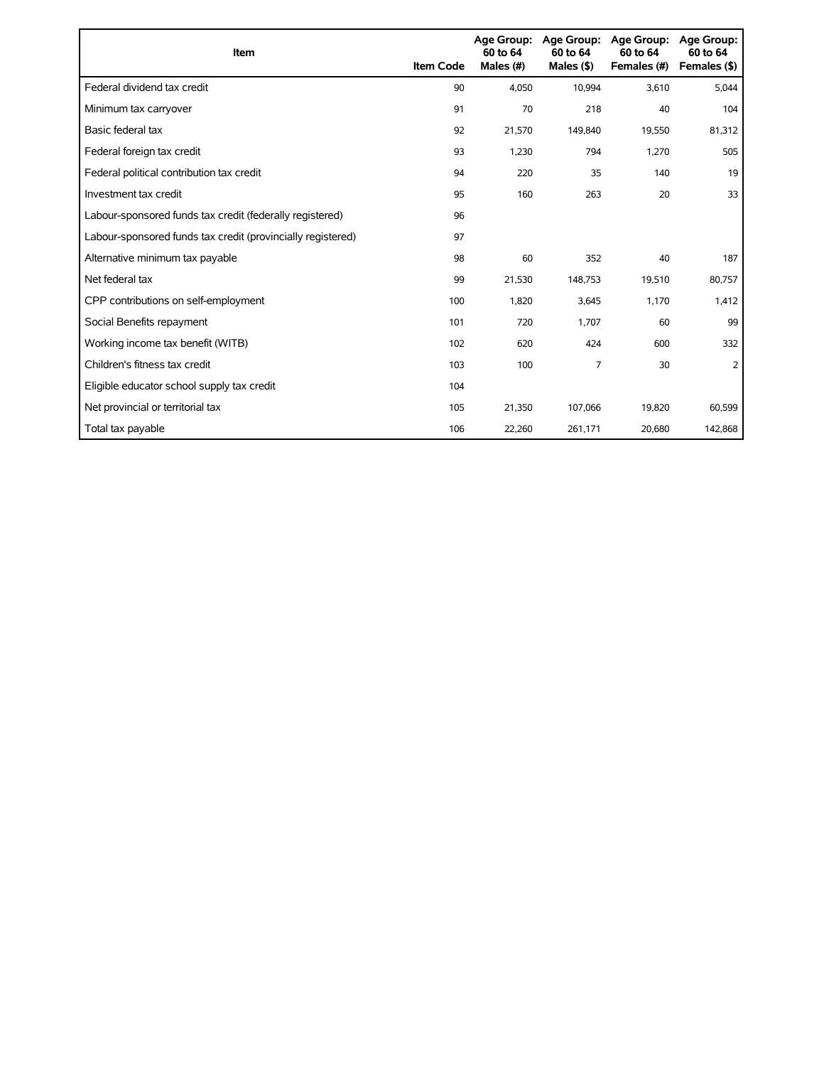| Item                                                        | <b>Item Code</b> | 60 to 64<br>Males (#) | Age Group: Age Group:<br>60 to 64<br>Males $(§)$ | Age Group:<br>60 to 64<br>Females (#) | Age Group:<br>60 to 64<br>Females (\$) |
|-------------------------------------------------------------|------------------|-----------------------|--------------------------------------------------|---------------------------------------|----------------------------------------|
| Federal dividend tax credit                                 | 90               | 4,050                 | 10,994                                           | 3,610                                 | 5,044                                  |
| Minimum tax carryover                                       | 91               | 70                    | 218                                              | 40                                    | 104                                    |
| Basic federal tax                                           | 92               | 21,570                | 149,840                                          | 19,550                                | 81,312                                 |
| Federal foreign tax credit                                  | 93               | 1.230                 | 794                                              | 1,270                                 | 505                                    |
| Federal political contribution tax credit                   | 94               | 220                   | 35                                               | 140                                   | 19                                     |
| Investment tax credit                                       | 95               | 160                   | 263                                              | 20                                    | 33                                     |
| Labour-sponsored funds tax credit (federally registered)    | 96               |                       |                                                  |                                       |                                        |
| Labour-sponsored funds tax credit (provincially registered) | 97               |                       |                                                  |                                       |                                        |
| Alternative minimum tax payable                             | 98               | 60                    | 352                                              | 40                                    | 187                                    |
| Net federal tax                                             | 99               | 21,530                | 148,753                                          | 19,510                                | 80,757                                 |
| CPP contributions on self-employment                        | 100              | 1,820                 | 3,645                                            | 1,170                                 | 1,412                                  |
| Social Benefits repayment                                   | 101              | 720                   | 1,707                                            | 60                                    | 99                                     |
| Working income tax benefit (WITB)                           | 102              | 620                   | 424                                              | 600                                   | 332                                    |
| Children's fitness tax credit                               | 103              | 100                   | 7                                                | 30                                    | 2                                      |
| Eligible educator school supply tax credit                  | 104              |                       |                                                  |                                       |                                        |
| Net provincial or territorial tax                           | 105              | 21,350                | 107,066                                          | 19,820                                | 60,599                                 |
| Total tax payable                                           | 106              | 22,260                | 261,171                                          | 20,680                                | 142,868                                |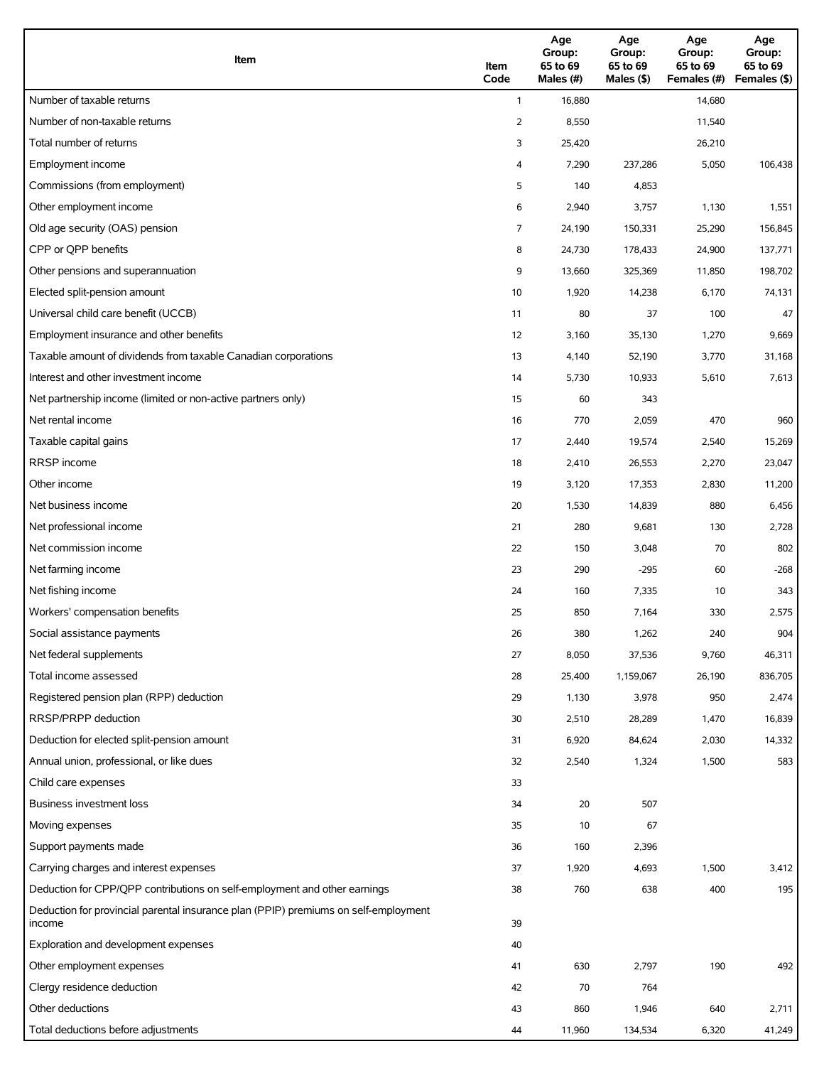| Item                                                                                          | Item<br>Code   | Age<br>Group:<br>65 to 69<br>Males (#) | Age<br>Group:<br>65 to 69<br>Males (\$) | Age<br>Group:<br>65 to 69<br>Females (#) | Age<br>Group:<br>65 to 69<br>Females (\$) |
|-----------------------------------------------------------------------------------------------|----------------|----------------------------------------|-----------------------------------------|------------------------------------------|-------------------------------------------|
| Number of taxable returns                                                                     | $\mathbf{1}$   | 16,880                                 |                                         | 14,680                                   |                                           |
| Number of non-taxable returns                                                                 | $\overline{2}$ | 8,550                                  |                                         | 11,540                                   |                                           |
| Total number of returns                                                                       | 3              | 25,420                                 |                                         | 26,210                                   |                                           |
| Employment income                                                                             | 4              | 7,290                                  | 237,286                                 | 5,050                                    | 106,438                                   |
| Commissions (from employment)                                                                 | 5              | 140                                    | 4,853                                   |                                          |                                           |
| Other employment income                                                                       | 6              | 2,940                                  | 3,757                                   | 1,130                                    | 1,551                                     |
| Old age security (OAS) pension                                                                | 7              | 24,190                                 | 150,331                                 | 25,290                                   | 156,845                                   |
| CPP or QPP benefits                                                                           | 8              | 24,730                                 | 178,433                                 | 24,900                                   | 137,771                                   |
| Other pensions and superannuation                                                             | 9              | 13,660                                 | 325,369                                 | 11,850                                   | 198,702                                   |
| Elected split-pension amount                                                                  | 10             | 1,920                                  | 14,238                                  | 6,170                                    | 74,131                                    |
| Universal child care benefit (UCCB)                                                           | 11             | 80                                     | 37                                      | 100                                      | 47                                        |
| Employment insurance and other benefits                                                       | 12             | 3,160                                  | 35,130                                  | 1,270                                    | 9,669                                     |
| Taxable amount of dividends from taxable Canadian corporations                                | 13             | 4,140                                  | 52,190                                  | 3,770                                    | 31,168                                    |
| Interest and other investment income                                                          | 14             | 5,730                                  | 10,933                                  | 5,610                                    | 7,613                                     |
| Net partnership income (limited or non-active partners only)                                  | 15             | 60                                     | 343                                     |                                          |                                           |
| Net rental income                                                                             | 16             | 770                                    | 2,059                                   | 470                                      | 960                                       |
| Taxable capital gains                                                                         | 17             | 2,440                                  | 19,574                                  | 2,540                                    | 15,269                                    |
| <b>RRSP</b> income                                                                            | 18             | 2,410                                  | 26,553                                  | 2,270                                    | 23,047                                    |
| Other income                                                                                  | 19             | 3,120                                  | 17,353                                  | 2,830                                    | 11,200                                    |
| Net business income                                                                           | 20             | 1,530                                  | 14,839                                  | 880                                      | 6,456                                     |
| Net professional income                                                                       | 21             | 280                                    | 9,681                                   | 130                                      | 2,728                                     |
| Net commission income                                                                         | 22             | 150                                    | 3,048                                   | 70                                       | 802                                       |
| Net farming income                                                                            | 23             | 290                                    | $-295$                                  | 60                                       | $-268$                                    |
| Net fishing income                                                                            | 24             | 160                                    | 7,335                                   | 10                                       | 343                                       |
| Workers' compensation benefits                                                                | 25             | 850                                    | 7,164                                   | 330                                      | 2,575                                     |
| Social assistance payments                                                                    | 26             | 380                                    | 1,262                                   | 240                                      | 904                                       |
| Net federal supplements                                                                       | 27             | 8,050                                  | 37,536                                  | 9,760                                    | 46,311                                    |
| Total income assessed                                                                         | 28             | 25,400                                 | 1,159,067                               | 26,190                                   | 836,705                                   |
| Registered pension plan (RPP) deduction                                                       | 29             | 1,130                                  | 3,978                                   | 950                                      | 2,474                                     |
| RRSP/PRPP deduction                                                                           | 30             | 2,510                                  | 28,289                                  | 1,470                                    | 16,839                                    |
| Deduction for elected split-pension amount                                                    | 31             | 6,920                                  | 84,624                                  | 2,030                                    | 14,332                                    |
| Annual union, professional, or like dues                                                      | 32             | 2,540                                  | 1,324                                   | 1,500                                    | 583                                       |
| Child care expenses                                                                           | 33             |                                        |                                         |                                          |                                           |
| Business investment loss                                                                      | 34             | 20                                     | 507                                     |                                          |                                           |
| Moving expenses                                                                               | 35             | 10                                     | 67                                      |                                          |                                           |
| Support payments made                                                                         | 36             | 160                                    | 2,396                                   |                                          |                                           |
| Carrying charges and interest expenses                                                        | 37             | 1,920                                  | 4,693                                   | 1,500                                    | 3,412                                     |
| Deduction for CPP/QPP contributions on self-employment and other earnings                     | 38             | 760                                    | 638                                     | 400                                      | 195                                       |
| Deduction for provincial parental insurance plan (PPIP) premiums on self-employment<br>income | 39             |                                        |                                         |                                          |                                           |
| Exploration and development expenses                                                          | 40             |                                        |                                         |                                          |                                           |
| Other employment expenses                                                                     | 41             | 630                                    | 2,797                                   | 190                                      | 492                                       |
| Clergy residence deduction                                                                    | 42             | 70                                     | 764                                     |                                          |                                           |
| Other deductions                                                                              | 43             | 860                                    | 1,946                                   | 640                                      | 2,711                                     |
| Total deductions before adjustments                                                           | 44             | 11,960                                 | 134,534                                 | 6,320                                    | 41,249                                    |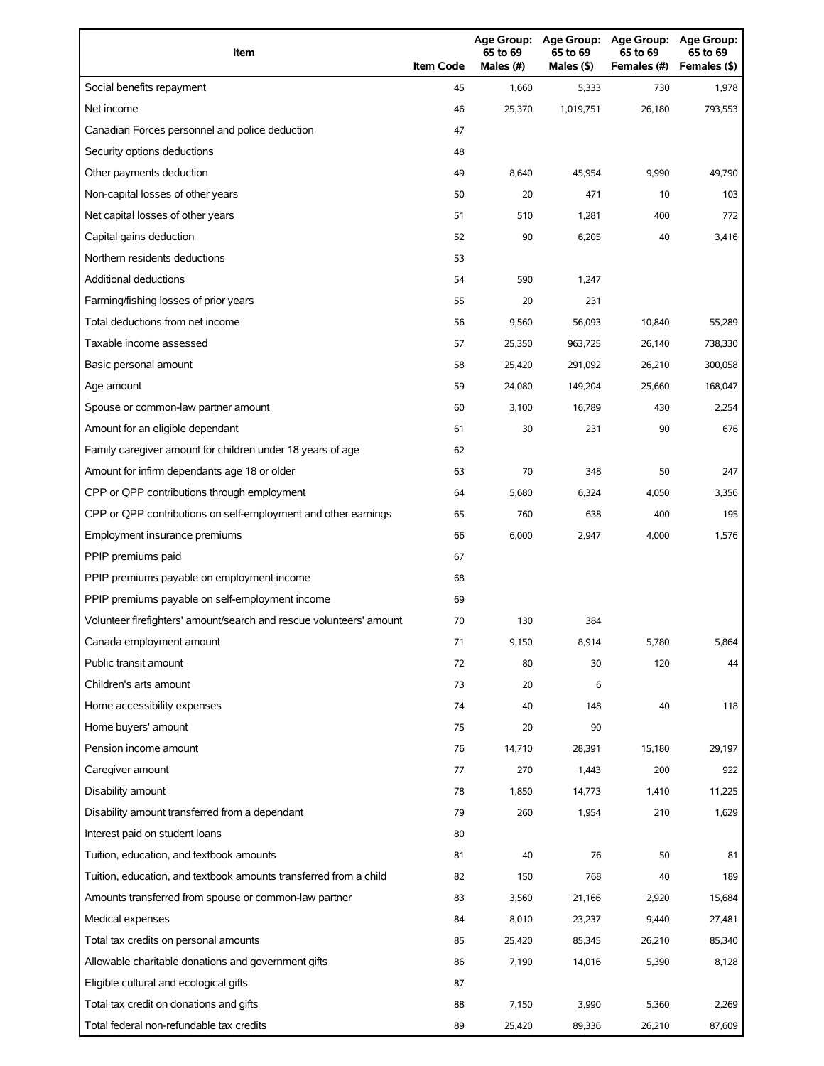| Item                                                                | <b>Item Code</b> | Age Group:<br>65 to 69<br>Males (#) | <b>Age Group:</b><br>65 to 69<br>Males (\$) | <b>Age Group:</b><br>65 to 69<br>Females (#) | <b>Age Group:</b><br>65 to 69<br>Females (\$) |
|---------------------------------------------------------------------|------------------|-------------------------------------|---------------------------------------------|----------------------------------------------|-----------------------------------------------|
| Social benefits repayment                                           | 45               | 1,660                               | 5,333                                       | 730                                          | 1,978                                         |
| Net income                                                          | 46               | 25,370                              | 1,019,751                                   | 26,180                                       | 793,553                                       |
| Canadian Forces personnel and police deduction                      | 47               |                                     |                                             |                                              |                                               |
| Security options deductions                                         | 48               |                                     |                                             |                                              |                                               |
| Other payments deduction                                            | 49               | 8,640                               | 45,954                                      | 9,990                                        | 49,790                                        |
| Non-capital losses of other years                                   | 50               | 20                                  | 471                                         | 10                                           | 103                                           |
| Net capital losses of other years                                   | 51               | 510                                 | 1,281                                       | 400                                          | 772                                           |
| Capital gains deduction                                             | 52               | 90                                  | 6,205                                       | 40                                           | 3,416                                         |
| Northern residents deductions                                       | 53               |                                     |                                             |                                              |                                               |
| Additional deductions                                               | 54               | 590                                 | 1,247                                       |                                              |                                               |
| Farming/fishing losses of prior years                               | 55               | 20                                  | 231                                         |                                              |                                               |
| Total deductions from net income                                    | 56               | 9,560                               | 56,093                                      | 10,840                                       | 55,289                                        |
| Taxable income assessed                                             | 57               | 25,350                              | 963,725                                     | 26,140                                       | 738,330                                       |
| Basic personal amount                                               | 58               | 25,420                              | 291,092                                     | 26,210                                       | 300,058                                       |
| Age amount                                                          | 59               | 24,080                              | 149,204                                     | 25,660                                       | 168,047                                       |
| Spouse or common-law partner amount                                 | 60               | 3,100                               | 16,789                                      | 430                                          | 2,254                                         |
| Amount for an eligible dependant                                    | 61               | 30                                  | 231                                         | 90                                           | 676                                           |
| Family caregiver amount for children under 18 years of age          | 62               |                                     |                                             |                                              |                                               |
| Amount for infirm dependants age 18 or older                        | 63               | 70                                  | 348                                         | 50                                           | 247                                           |
| CPP or QPP contributions through employment                         | 64               | 5,680                               | 6,324                                       | 4,050                                        | 3,356                                         |
| CPP or QPP contributions on self-employment and other earnings      | 65               | 760                                 | 638                                         | 400                                          | 195                                           |
| Employment insurance premiums                                       | 66               | 6,000                               | 2,947                                       | 4,000                                        | 1,576                                         |
| PPIP premiums paid                                                  | 67               |                                     |                                             |                                              |                                               |
| PPIP premiums payable on employment income                          | 68               |                                     |                                             |                                              |                                               |
| PPIP premiums payable on self-employment income                     | 69               |                                     |                                             |                                              |                                               |
| Volunteer firefighters' amount/search and rescue volunteers' amount | 70               | 130                                 | 384                                         |                                              |                                               |
| Canada employment amount                                            | 71               | 9,150                               | 8,914                                       | 5,780                                        | 5,864                                         |
| Public transit amount                                               | 72               | 80                                  | 30                                          | 120                                          | 44                                            |
| Children's arts amount                                              | 73               | 20                                  | 6                                           |                                              |                                               |
| Home accessibility expenses                                         | 74               | 40                                  | 148                                         | 40                                           | 118                                           |
| Home buyers' amount                                                 | 75               | 20                                  | 90                                          |                                              |                                               |
| Pension income amount                                               | 76               | 14,710                              | 28,391                                      | 15,180                                       | 29,197                                        |
| Caregiver amount                                                    | 77               | 270                                 | 1,443                                       | 200                                          | 922                                           |
| Disability amount                                                   | 78               | 1,850                               | 14,773                                      | 1,410                                        | 11,225                                        |
| Disability amount transferred from a dependant                      | 79               | 260                                 | 1,954                                       | 210                                          | 1,629                                         |
| Interest paid on student loans                                      | 80               |                                     |                                             |                                              |                                               |
| Tuition, education, and textbook amounts                            | 81               | 40                                  | 76                                          | 50                                           | 81                                            |
| Tuition, education, and textbook amounts transferred from a child   | 82               | 150                                 | 768                                         | 40                                           | 189                                           |
| Amounts transferred from spouse or common-law partner               | 83               | 3,560                               | 21,166                                      | 2,920                                        | 15,684                                        |
| Medical expenses                                                    | 84               | 8,010                               | 23,237                                      | 9,440                                        | 27,481                                        |
| Total tax credits on personal amounts                               | 85               | 25,420                              | 85,345                                      | 26,210                                       | 85,340                                        |
| Allowable charitable donations and government gifts                 | 86               | 7,190                               | 14,016                                      | 5,390                                        | 8,128                                         |
| Eligible cultural and ecological gifts                              | 87               |                                     |                                             |                                              |                                               |
| Total tax credit on donations and gifts                             | 88               | 7,150                               | 3,990                                       | 5,360                                        | 2,269                                         |
| Total federal non-refundable tax credits                            | 89               | 25,420                              | 89,336                                      | 26,210                                       | 87,609                                        |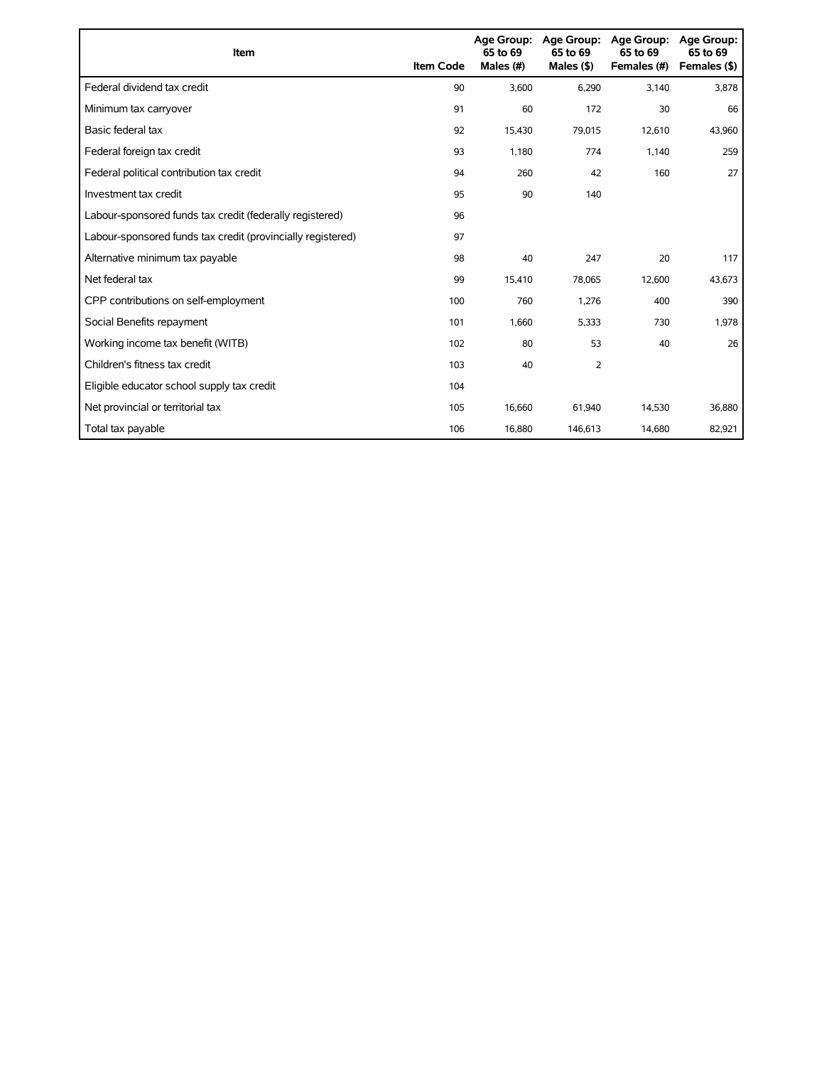| Item                                                        | <b>Item Code</b> | 65 to 69<br>Males (#) | Age Group: Age Group:<br>65 to 69<br>Males $(§)$ | Age Group:<br>65 to 69<br>Females (#) | Age Group:<br>65 to 69<br>Females (\$) |
|-------------------------------------------------------------|------------------|-----------------------|--------------------------------------------------|---------------------------------------|----------------------------------------|
| Federal dividend tax credit                                 | 90               | 3,600                 | 6,290                                            | 3,140                                 | 3,878                                  |
| Minimum tax carryover                                       | 91               | 60                    | 172                                              | 30                                    | 66                                     |
| Basic federal tax                                           | 92               | 15,430                | 79,015                                           | 12,610                                | 43,960                                 |
| Federal foreign tax credit                                  | 93               | 1,180                 | 774                                              | 1,140                                 | 259                                    |
| Federal political contribution tax credit                   | 94               | 260                   | 42                                               | 160                                   | 27                                     |
| Investment tax credit                                       | 95               | 90                    | 140                                              |                                       |                                        |
| Labour-sponsored funds tax credit (federally registered)    | 96               |                       |                                                  |                                       |                                        |
| Labour-sponsored funds tax credit (provincially registered) | 97               |                       |                                                  |                                       |                                        |
| Alternative minimum tax payable                             | 98               | 40                    | 247                                              | 20                                    | 117                                    |
| Net federal tax                                             | 99               | 15,410                | 78,065                                           | 12,600                                | 43,673                                 |
| CPP contributions on self-employment                        | 100              | 760                   | 1,276                                            | 400                                   | 390                                    |
| Social Benefits repayment                                   | 101              | 1,660                 | 5,333                                            | 730                                   | 1,978                                  |
| Working income tax benefit (WITB)                           | 102              | 80                    | 53                                               | 40                                    | 26                                     |
| Children's fitness tax credit                               | 103              | 40                    | $\overline{2}$                                   |                                       |                                        |
| Eligible educator school supply tax credit                  | 104              |                       |                                                  |                                       |                                        |
| Net provincial or territorial tax                           | 105              | 16,660                | 61,940                                           | 14,530                                | 36,880                                 |
| Total tax payable                                           | 106              | 16,880                | 146,613                                          | 14,680                                | 82,921                                 |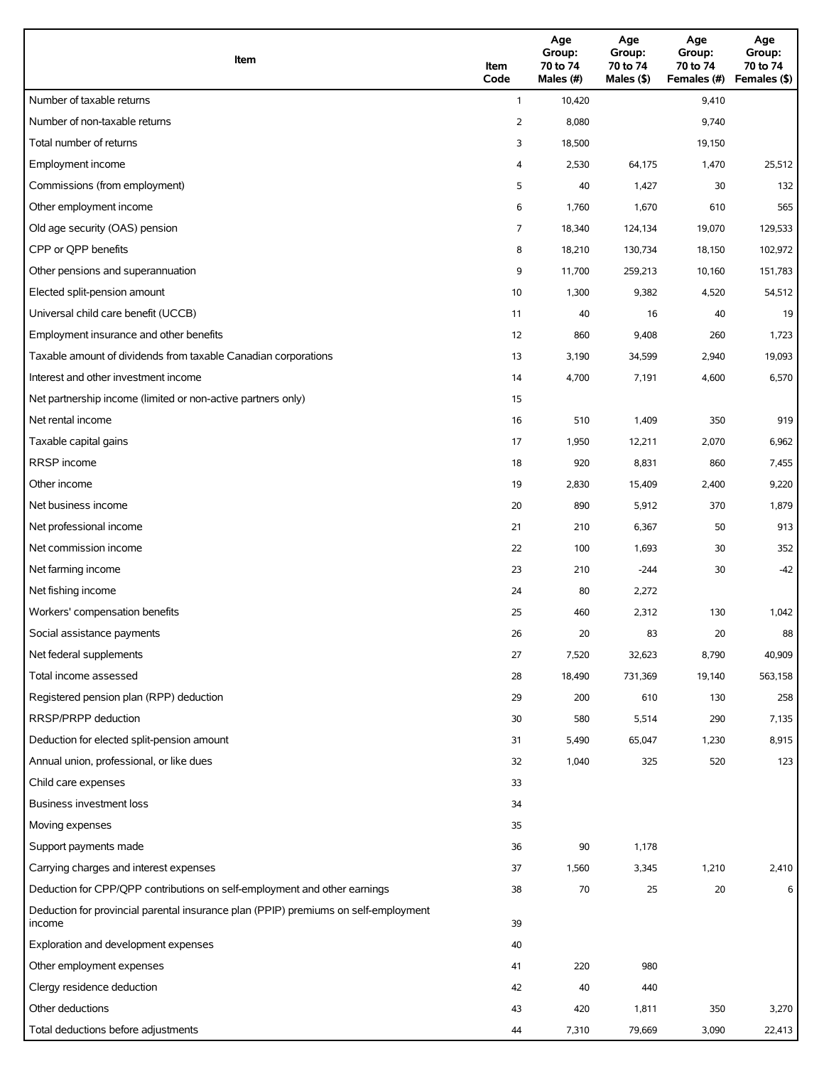| Item                                                                                          | Item<br>Code   | Age<br>Group:<br>70 to 74<br>Males (#) | Age<br>Group:<br>70 to 74<br>Males (\$) | Age<br>Group:<br>70 to 74<br>Females (#) | Age<br>Group:<br>70 to 74<br>Females (\$) |
|-----------------------------------------------------------------------------------------------|----------------|----------------------------------------|-----------------------------------------|------------------------------------------|-------------------------------------------|
| Number of taxable returns                                                                     | $\mathbf{1}$   | 10,420                                 |                                         | 9,410                                    |                                           |
| Number of non-taxable returns                                                                 | $\overline{2}$ | 8,080                                  |                                         | 9,740                                    |                                           |
| Total number of returns                                                                       | 3              | 18,500                                 |                                         | 19,150                                   |                                           |
| Employment income                                                                             | 4              | 2,530                                  | 64,175                                  | 1,470                                    | 25,512                                    |
| Commissions (from employment)                                                                 | 5              | 40                                     | 1,427                                   | 30                                       | 132                                       |
| Other employment income                                                                       | 6              | 1,760                                  | 1,670                                   | 610                                      | 565                                       |
| Old age security (OAS) pension                                                                | 7              | 18,340                                 | 124,134                                 | 19,070                                   | 129,533                                   |
| CPP or QPP benefits                                                                           | 8              | 18,210                                 | 130,734                                 | 18,150                                   | 102,972                                   |
| Other pensions and superannuation                                                             | 9              | 11,700                                 | 259,213                                 | 10,160                                   | 151,783                                   |
| Elected split-pension amount                                                                  | 10             | 1,300                                  | 9,382                                   | 4,520                                    | 54,512                                    |
| Universal child care benefit (UCCB)                                                           | 11             | 40                                     | 16                                      | 40                                       | 19                                        |
| Employment insurance and other benefits                                                       | 12             | 860                                    | 9,408                                   | 260                                      | 1,723                                     |
| Taxable amount of dividends from taxable Canadian corporations                                | 13             | 3,190                                  | 34,599                                  | 2,940                                    | 19,093                                    |
| Interest and other investment income                                                          | 14             | 4,700                                  | 7,191                                   | 4,600                                    | 6,570                                     |
| Net partnership income (limited or non-active partners only)                                  | 15             |                                        |                                         |                                          |                                           |
| Net rental income                                                                             | 16             | 510                                    | 1,409                                   | 350                                      | 919                                       |
| Taxable capital gains                                                                         | 17             | 1,950                                  | 12,211                                  | 2,070                                    | 6,962                                     |
| <b>RRSP</b> income                                                                            | 18             | 920                                    | 8,831                                   | 860                                      | 7,455                                     |
| Other income                                                                                  | 19             | 2,830                                  | 15,409                                  | 2,400                                    | 9,220                                     |
| Net business income                                                                           | 20             | 890                                    | 5,912                                   | 370                                      | 1,879                                     |
| Net professional income                                                                       | 21             | 210                                    | 6,367                                   | 50                                       | 913                                       |
| Net commission income                                                                         | 22             | 100                                    | 1,693                                   | 30                                       | 352                                       |
| Net farming income                                                                            | 23             | 210                                    | $-244$                                  | 30                                       | $-42$                                     |
| Net fishing income                                                                            | 24             | 80                                     | 2,272                                   |                                          |                                           |
| Workers' compensation benefits                                                                | 25             | 460                                    | 2,312                                   | 130                                      | 1,042                                     |
| Social assistance payments                                                                    | 26             | 20                                     | 83                                      | 20                                       | 88                                        |
| Net federal supplements                                                                       | 27             | 7,520                                  | 32,623                                  | 8,790                                    | 40,909                                    |
| Total income assessed                                                                         | 28             | 18,490                                 | 731,369                                 | 19,140                                   | 563,158                                   |
| Registered pension plan (RPP) deduction                                                       | 29             | 200                                    | 610                                     | 130                                      | 258                                       |
| RRSP/PRPP deduction                                                                           | 30             | 580                                    | 5,514                                   | 290                                      | 7,135                                     |
| Deduction for elected split-pension amount                                                    | 31             | 5,490                                  | 65,047                                  | 1,230                                    | 8,915                                     |
| Annual union, professional, or like dues                                                      | 32             | 1,040                                  | 325                                     | 520                                      | 123                                       |
| Child care expenses                                                                           | 33             |                                        |                                         |                                          |                                           |
| Business investment loss                                                                      | 34             |                                        |                                         |                                          |                                           |
| Moving expenses                                                                               | 35             |                                        |                                         |                                          |                                           |
| Support payments made                                                                         | 36             | 90                                     | 1,178                                   |                                          |                                           |
| Carrying charges and interest expenses                                                        | 37             | 1,560                                  | 3,345                                   | 1,210                                    | 2,410                                     |
| Deduction for CPP/QPP contributions on self-employment and other earnings                     | 38             | 70                                     | 25                                      | 20                                       | 6                                         |
| Deduction for provincial parental insurance plan (PPIP) premiums on self-employment<br>income | 39             |                                        |                                         |                                          |                                           |
| Exploration and development expenses                                                          | 40             |                                        |                                         |                                          |                                           |
| Other employment expenses                                                                     | 41             | 220                                    | 980                                     |                                          |                                           |
| Clergy residence deduction                                                                    | 42             | 40                                     | 440                                     |                                          |                                           |
| Other deductions                                                                              | 43             | 420                                    | 1,811                                   | 350                                      | 3,270                                     |
| Total deductions before adjustments                                                           | 44             | 7,310                                  | 79,669                                  | 3,090                                    | 22,413                                    |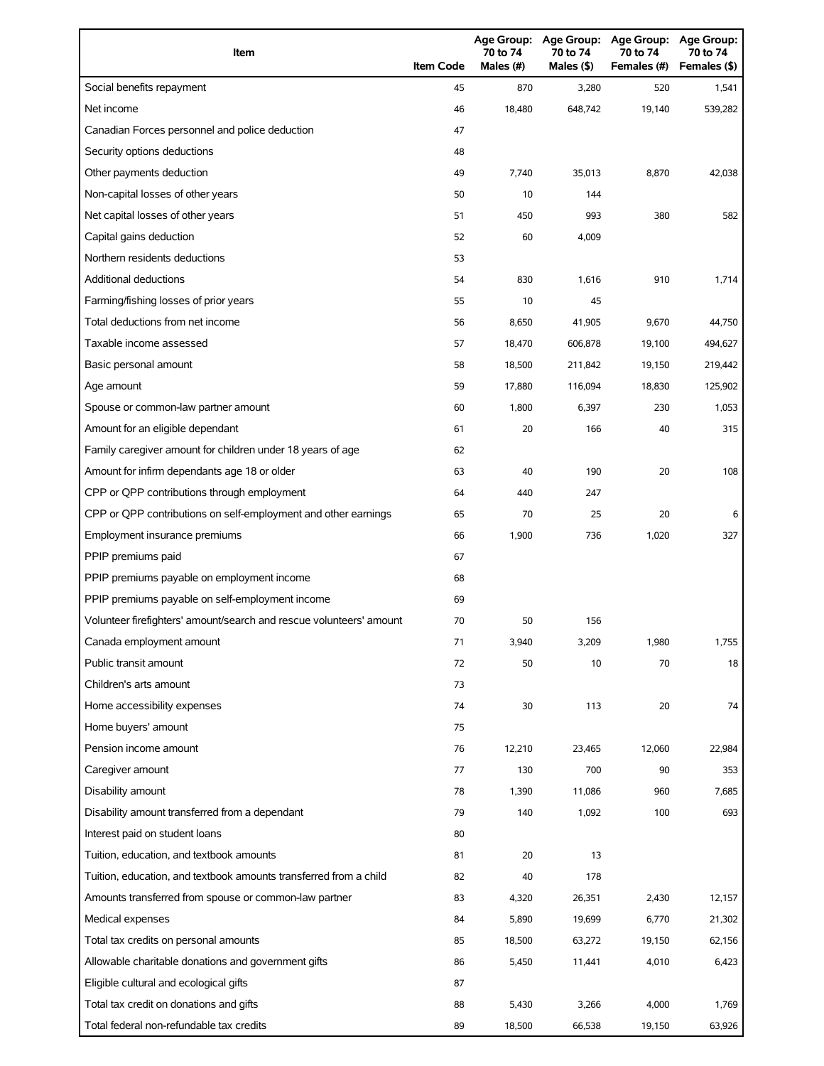| Item                                                                | <b>Item Code</b> | 70 to 74<br>Males (#) | Age Group: Age Group:<br>70 to 74<br>Males (\$) | <b>Age Group:</b><br>70 to 74<br>Females (#) | Age Group:<br>70 to 74<br>Females (\$) |
|---------------------------------------------------------------------|------------------|-----------------------|-------------------------------------------------|----------------------------------------------|----------------------------------------|
| Social benefits repayment                                           | 45               | 870                   | 3,280                                           | 520                                          | 1,541                                  |
| Net income                                                          | 46               | 18.480                | 648,742                                         | 19,140                                       | 539,282                                |
| Canadian Forces personnel and police deduction                      | 47               |                       |                                                 |                                              |                                        |
| Security options deductions                                         | 48               |                       |                                                 |                                              |                                        |
| Other payments deduction                                            | 49               | 7,740                 | 35,013                                          | 8,870                                        | 42,038                                 |
| Non-capital losses of other years                                   | 50               | 10                    | 144                                             |                                              |                                        |
| Net capital losses of other years                                   | 51               | 450                   | 993                                             | 380                                          | 582                                    |
| Capital gains deduction                                             | 52               | 60                    | 4,009                                           |                                              |                                        |
| Northern residents deductions                                       | 53               |                       |                                                 |                                              |                                        |
| <b>Additional deductions</b>                                        | 54               | 830                   | 1,616                                           | 910                                          | 1,714                                  |
| Farming/fishing losses of prior years                               | 55               | 10                    | 45                                              |                                              |                                        |
| Total deductions from net income                                    | 56               | 8,650                 | 41,905                                          | 9,670                                        | 44,750                                 |
| Taxable income assessed                                             | 57               | 18,470                | 606,878                                         | 19,100                                       | 494,627                                |
| Basic personal amount                                               | 58               | 18,500                | 211,842                                         | 19,150                                       | 219,442                                |
| Age amount                                                          | 59               | 17,880                | 116,094                                         | 18,830                                       | 125,902                                |
| Spouse or common-law partner amount                                 | 60               | 1,800                 | 6,397                                           | 230                                          | 1,053                                  |
| Amount for an eligible dependant                                    | 61               | 20                    | 166                                             | 40                                           | 315                                    |
| Family caregiver amount for children under 18 years of age          | 62               |                       |                                                 |                                              |                                        |
| Amount for infirm dependants age 18 or older                        | 63               | 40                    | 190                                             | 20                                           | 108                                    |
| CPP or QPP contributions through employment                         | 64               | 440                   | 247                                             |                                              |                                        |
| CPP or QPP contributions on self-employment and other earnings      | 65               | 70                    | 25                                              | 20                                           | 6                                      |
| Employment insurance premiums                                       | 66               | 1,900                 | 736                                             | 1,020                                        | 327                                    |
| PPIP premiums paid                                                  | 67               |                       |                                                 |                                              |                                        |
| PPIP premiums payable on employment income                          | 68               |                       |                                                 |                                              |                                        |
| PPIP premiums payable on self-employment income                     | 69               |                       |                                                 |                                              |                                        |
| Volunteer firefighters' amount/search and rescue volunteers' amount | 70               | 50                    | 156                                             |                                              |                                        |
| Canada employment amount                                            | 71               | 3,940                 | 3,209                                           | 1,980                                        | 1,755                                  |
| Public transit amount                                               | 72               | 50                    | 10                                              | 70                                           | 18                                     |
| Children's arts amount                                              | 73               |                       |                                                 |                                              |                                        |
| Home accessibility expenses                                         | 74               | 30                    | 113                                             | 20                                           | 74                                     |
| Home buyers' amount                                                 | 75               |                       |                                                 |                                              |                                        |
| Pension income amount                                               | 76               | 12,210                | 23,465                                          | 12,060                                       | 22,984                                 |
| Caregiver amount                                                    | 77               | 130                   | 700                                             | 90                                           | 353                                    |
| Disability amount                                                   | 78               | 1,390                 | 11,086                                          | 960                                          | 7,685                                  |
| Disability amount transferred from a dependant                      | 79               | 140                   | 1,092                                           | 100                                          | 693                                    |
| Interest paid on student loans                                      | 80               |                       |                                                 |                                              |                                        |
| Tuition, education, and textbook amounts                            | 81               | 20                    | 13                                              |                                              |                                        |
| Tuition, education, and textbook amounts transferred from a child   | 82               | 40                    | 178                                             |                                              |                                        |
| Amounts transferred from spouse or common-law partner               | 83               | 4,320                 | 26,351                                          | 2,430                                        | 12,157                                 |
| Medical expenses                                                    | 84               | 5,890                 | 19,699                                          | 6,770                                        | 21,302                                 |
| Total tax credits on personal amounts                               | 85               | 18,500                | 63,272                                          | 19,150                                       | 62,156                                 |
| Allowable charitable donations and government gifts                 | 86               | 5,450                 | 11,441                                          | 4,010                                        | 6,423                                  |
| Eligible cultural and ecological gifts                              | 87               |                       |                                                 |                                              |                                        |
| Total tax credit on donations and gifts                             | 88               | 5,430                 | 3,266                                           | 4,000                                        | 1,769                                  |
| Total federal non-refundable tax credits                            | 89               | 18,500                | 66,538                                          | 19,150                                       | 63,926                                 |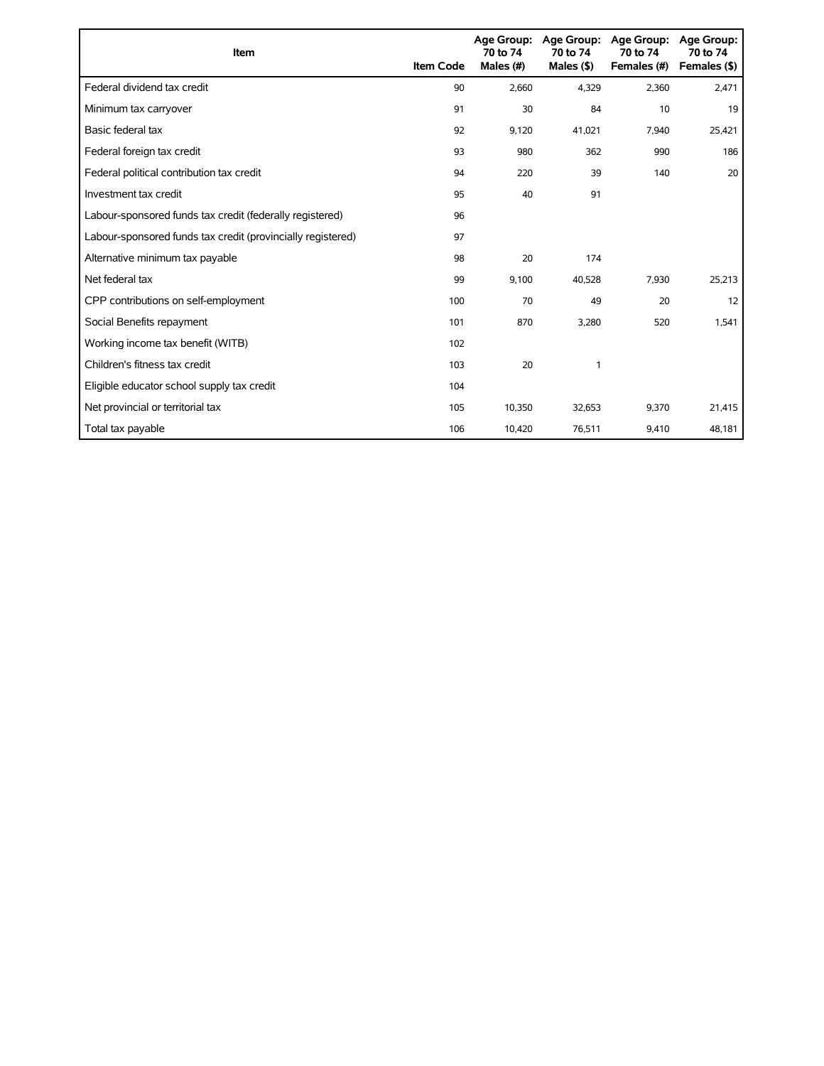| Item                                                        | <b>Item Code</b> | 70 to 74<br>Males (#) | Age Group: Age Group:<br>70 to 74<br>Males $($ \$ $)$ | Age Group:<br>70 to 74<br>Females (#) | <b>Age Group:</b><br>70 to 74<br>Females (\$) |
|-------------------------------------------------------------|------------------|-----------------------|-------------------------------------------------------|---------------------------------------|-----------------------------------------------|
| Federal dividend tax credit                                 | 90               | 2,660                 | 4,329                                                 | 2,360                                 | 2,471                                         |
| Minimum tax carryover                                       | 91               | 30                    | 84                                                    | 10                                    | 19                                            |
| Basic federal tax                                           | 92               | 9,120                 | 41,021                                                | 7,940                                 | 25,421                                        |
| Federal foreign tax credit                                  | 93               | 980                   | 362                                                   | 990                                   | 186                                           |
| Federal political contribution tax credit                   | 94               | 220                   | 39                                                    | 140                                   | 20                                            |
| Investment tax credit                                       | 95               | 40                    | 91                                                    |                                       |                                               |
| Labour-sponsored funds tax credit (federally registered)    | 96               |                       |                                                       |                                       |                                               |
| Labour-sponsored funds tax credit (provincially registered) | 97               |                       |                                                       |                                       |                                               |
| Alternative minimum tax payable                             | 98               | 20                    | 174                                                   |                                       |                                               |
| Net federal tax                                             | 99               | 9,100                 | 40,528                                                | 7,930                                 | 25,213                                        |
| CPP contributions on self-employment                        | 100              | 70                    | 49                                                    | 20                                    | 12                                            |
| Social Benefits repayment                                   | 101              | 870                   | 3,280                                                 | 520                                   | 1,541                                         |
| Working income tax benefit (WITB)                           | 102              |                       |                                                       |                                       |                                               |
| Children's fitness tax credit                               | 103              | 20                    | 1                                                     |                                       |                                               |
| Eligible educator school supply tax credit                  | 104              |                       |                                                       |                                       |                                               |
| Net provincial or territorial tax                           | 105              | 10,350                | 32,653                                                | 9,370                                 | 21,415                                        |
| Total tax payable                                           | 106              | 10,420                | 76,511                                                | 9,410                                 | 48,181                                        |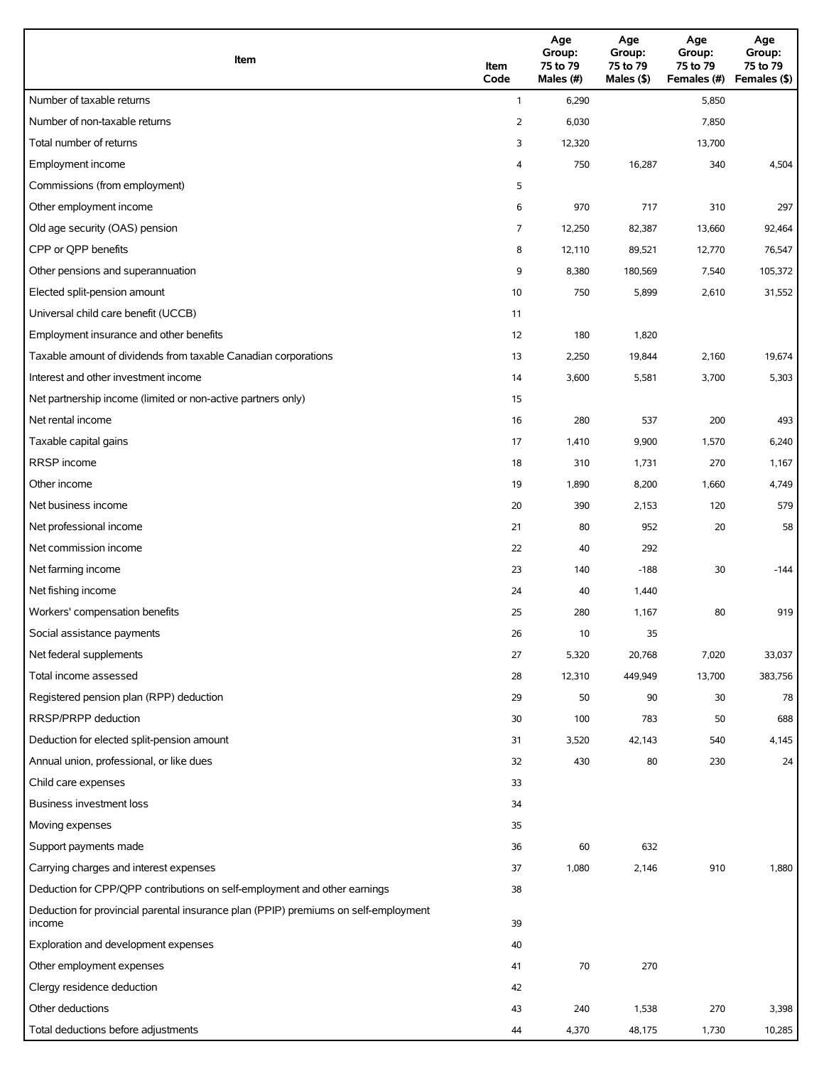| Item                                                                                          | Item<br>Code | Age<br>Group:<br>75 to 79<br>Males (#) | Age<br>Group:<br>75 to 79<br>Males (\$) | Age<br>Group:<br>75 to 79<br>Females (#) | Age<br>Group:<br>75 to 79<br>Females (\$) |
|-----------------------------------------------------------------------------------------------|--------------|----------------------------------------|-----------------------------------------|------------------------------------------|-------------------------------------------|
| Number of taxable returns                                                                     | $\mathbf{1}$ | 6,290                                  |                                         | 5,850                                    |                                           |
| Number of non-taxable returns                                                                 | 2            | 6,030                                  |                                         | 7,850                                    |                                           |
| Total number of returns                                                                       | 3            | 12,320                                 |                                         | 13,700                                   |                                           |
| Employment income                                                                             | 4            | 750                                    | 16,287                                  | 340                                      | 4,504                                     |
| Commissions (from employment)                                                                 | 5            |                                        |                                         |                                          |                                           |
| Other employment income                                                                       | 6            | 970                                    | 717                                     | 310                                      | 297                                       |
| Old age security (OAS) pension                                                                | 7            | 12,250                                 | 82,387                                  | 13,660                                   | 92,464                                    |
| CPP or QPP benefits                                                                           | 8            | 12,110                                 | 89,521                                  | 12,770                                   | 76,547                                    |
| Other pensions and superannuation                                                             | 9            | 8,380                                  | 180,569                                 | 7,540                                    | 105,372                                   |
| Elected split-pension amount                                                                  | 10           | 750                                    | 5,899                                   | 2,610                                    | 31,552                                    |
| Universal child care benefit (UCCB)                                                           | 11           |                                        |                                         |                                          |                                           |
| Employment insurance and other benefits                                                       | 12           | 180                                    | 1,820                                   |                                          |                                           |
| Taxable amount of dividends from taxable Canadian corporations                                | 13           | 2,250                                  | 19,844                                  | 2,160                                    | 19,674                                    |
| Interest and other investment income                                                          | 14           | 3,600                                  | 5,581                                   | 3,700                                    | 5,303                                     |
| Net partnership income (limited or non-active partners only)                                  | 15           |                                        |                                         |                                          |                                           |
| Net rental income                                                                             | 16           | 280                                    | 537                                     | 200                                      | 493                                       |
| Taxable capital gains                                                                         | 17           | 1,410                                  | 9,900                                   | 1,570                                    | 6,240                                     |
| RRSP income                                                                                   | 18           | 310                                    | 1,731                                   | 270                                      | 1,167                                     |
| Other income                                                                                  | 19           | 1,890                                  | 8,200                                   | 1,660                                    | 4,749                                     |
| Net business income                                                                           | 20           | 390                                    | 2,153                                   | 120                                      | 579                                       |
| Net professional income                                                                       | 21           | 80                                     | 952                                     | 20                                       | 58                                        |
| Net commission income                                                                         | 22           | 40                                     | 292                                     |                                          |                                           |
| Net farming income                                                                            | 23           | 140                                    | $-188$                                  | 30                                       | -144                                      |
| Net fishing income                                                                            | 24           | 40                                     | 1,440                                   |                                          |                                           |
| Workers' compensation benefits                                                                | 25           | 280                                    | 1,167                                   | 80                                       | 919                                       |
| Social assistance payments                                                                    | 26           | 10                                     | 35                                      |                                          |                                           |
| Net federal supplements                                                                       | 27           | 5,320                                  | 20,768                                  | 7,020                                    | 33,037                                    |
| Total income assessed                                                                         | 28           | 12,310                                 | 449,949                                 | 13,700                                   | 383,756                                   |
| Registered pension plan (RPP) deduction                                                       | 29           | 50                                     | 90                                      | 30                                       | 78                                        |
| RRSP/PRPP deduction                                                                           | 30           | 100                                    | 783                                     | 50                                       | 688                                       |
| Deduction for elected split-pension amount                                                    | 31           | 3,520                                  | 42,143                                  | 540                                      | 4,145                                     |
| Annual union, professional, or like dues                                                      | 32           | 430                                    | 80                                      | 230                                      | 24                                        |
| Child care expenses                                                                           | 33           |                                        |                                         |                                          |                                           |
| <b>Business investment loss</b>                                                               | 34           |                                        |                                         |                                          |                                           |
| Moving expenses                                                                               | 35           |                                        |                                         |                                          |                                           |
| Support payments made                                                                         | 36           | 60                                     | 632                                     |                                          |                                           |
| Carrying charges and interest expenses                                                        | 37           | 1,080                                  | 2,146                                   | 910                                      | 1,880                                     |
| Deduction for CPP/QPP contributions on self-employment and other earnings                     | 38           |                                        |                                         |                                          |                                           |
| Deduction for provincial parental insurance plan (PPIP) premiums on self-employment<br>income | 39           |                                        |                                         |                                          |                                           |
| Exploration and development expenses                                                          | 40           |                                        |                                         |                                          |                                           |
| Other employment expenses                                                                     | 41           | 70                                     | 270                                     |                                          |                                           |
| Clergy residence deduction                                                                    | 42           |                                        |                                         |                                          |                                           |
| Other deductions                                                                              | 43           | 240                                    | 1,538                                   | 270                                      | 3,398                                     |
| Total deductions before adjustments                                                           | 44           | 4,370                                  | 48,175                                  | 1,730                                    | 10,285                                    |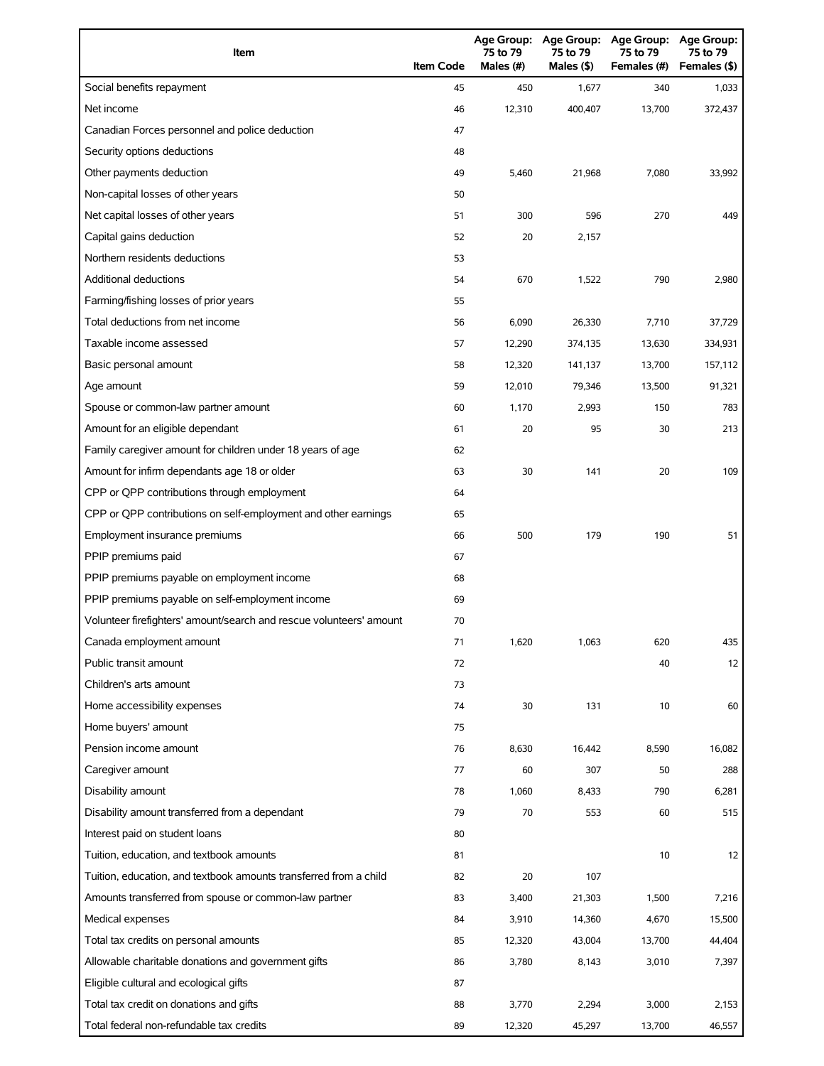| Item                                                                | <b>Item Code</b> | 75 to 79<br>Males (#) | Age Group: Age Group:<br>75 to 79<br>Males (\$) | <b>Age Group:</b><br>75 to 79<br>Females (#) | Age Group:<br>75 to 79<br>Females (\$) |
|---------------------------------------------------------------------|------------------|-----------------------|-------------------------------------------------|----------------------------------------------|----------------------------------------|
| Social benefits repayment                                           | 45               | 450                   | 1,677                                           | 340                                          | 1,033                                  |
| Net income                                                          | 46               | 12,310                | 400,407                                         | 13,700                                       | 372,437                                |
| Canadian Forces personnel and police deduction                      | 47               |                       |                                                 |                                              |                                        |
| Security options deductions                                         | 48               |                       |                                                 |                                              |                                        |
| Other payments deduction                                            | 49               | 5,460                 | 21,968                                          | 7,080                                        | 33,992                                 |
| Non-capital losses of other years                                   | 50               |                       |                                                 |                                              |                                        |
| Net capital losses of other years                                   | 51               | 300                   | 596                                             | 270                                          | 449                                    |
| Capital gains deduction                                             | 52               | 20                    | 2,157                                           |                                              |                                        |
| Northern residents deductions                                       | 53               |                       |                                                 |                                              |                                        |
| Additional deductions                                               | 54               | 670                   | 1,522                                           | 790                                          | 2,980                                  |
| Farming/fishing losses of prior years                               | 55               |                       |                                                 |                                              |                                        |
| Total deductions from net income                                    | 56               | 6,090                 | 26,330                                          | 7,710                                        | 37,729                                 |
| Taxable income assessed                                             | 57               | 12,290                | 374,135                                         | 13,630                                       | 334,931                                |
| Basic personal amount                                               | 58               | 12,320                | 141,137                                         | 13,700                                       | 157,112                                |
| Age amount                                                          | 59               | 12,010                | 79,346                                          | 13,500                                       | 91,321                                 |
| Spouse or common-law partner amount                                 | 60               | 1,170                 | 2,993                                           | 150                                          | 783                                    |
| Amount for an eligible dependant                                    | 61               | 20                    | 95                                              | 30                                           | 213                                    |
| Family caregiver amount for children under 18 years of age          | 62               |                       |                                                 |                                              |                                        |
| Amount for infirm dependants age 18 or older                        | 63               | 30                    | 141                                             | 20                                           | 109                                    |
| CPP or QPP contributions through employment                         | 64               |                       |                                                 |                                              |                                        |
| CPP or QPP contributions on self-employment and other earnings      | 65               |                       |                                                 |                                              |                                        |
| Employment insurance premiums                                       | 66               | 500                   | 179                                             | 190                                          | 51                                     |
| PPIP premiums paid                                                  | 67               |                       |                                                 |                                              |                                        |
| PPIP premiums payable on employment income                          | 68               |                       |                                                 |                                              |                                        |
| PPIP premiums payable on self-employment income                     | 69               |                       |                                                 |                                              |                                        |
| Volunteer firefighters' amount/search and rescue volunteers' amount | 70               |                       |                                                 |                                              |                                        |
| Canada employment amount                                            | 71               | 1,620                 | 1,063                                           | 620                                          | 435                                    |
| Public transit amount                                               | 72               |                       |                                                 | 40                                           | 12                                     |
| Children's arts amount                                              | 73               |                       |                                                 |                                              |                                        |
| Home accessibility expenses                                         | 74               | 30                    | 131                                             | 10                                           | 60                                     |
| Home buyers' amount                                                 | 75               |                       |                                                 |                                              |                                        |
| Pension income amount                                               | 76               | 8,630                 | 16,442                                          | 8,590                                        | 16,082                                 |
| Caregiver amount                                                    | 77               | 60                    | 307                                             | 50                                           | 288                                    |
| Disability amount                                                   | 78               | 1,060                 | 8,433                                           | 790                                          | 6,281                                  |
| Disability amount transferred from a dependant                      | 79               | 70                    | 553                                             | 60                                           | 515                                    |
| Interest paid on student loans                                      | 80               |                       |                                                 |                                              |                                        |
| Tuition, education, and textbook amounts                            | 81               |                       |                                                 | 10                                           | 12                                     |
| Tuition, education, and textbook amounts transferred from a child   | 82               | 20                    | 107                                             |                                              |                                        |
| Amounts transferred from spouse or common-law partner               | 83               | 3,400                 | 21,303                                          | 1,500                                        | 7,216                                  |
| Medical expenses                                                    | 84               | 3,910                 | 14,360                                          | 4,670                                        | 15,500                                 |
| Total tax credits on personal amounts                               | 85               | 12,320                | 43,004                                          | 13,700                                       | 44,404                                 |
| Allowable charitable donations and government gifts                 | 86               | 3,780                 | 8,143                                           | 3,010                                        | 7,397                                  |
| Eligible cultural and ecological gifts                              | 87               |                       |                                                 |                                              |                                        |
| Total tax credit on donations and gifts                             | 88               | 3,770                 | 2,294                                           | 3,000                                        | 2,153                                  |
| Total federal non-refundable tax credits                            | 89               | 12,320                | 45,297                                          | 13,700                                       | 46,557                                 |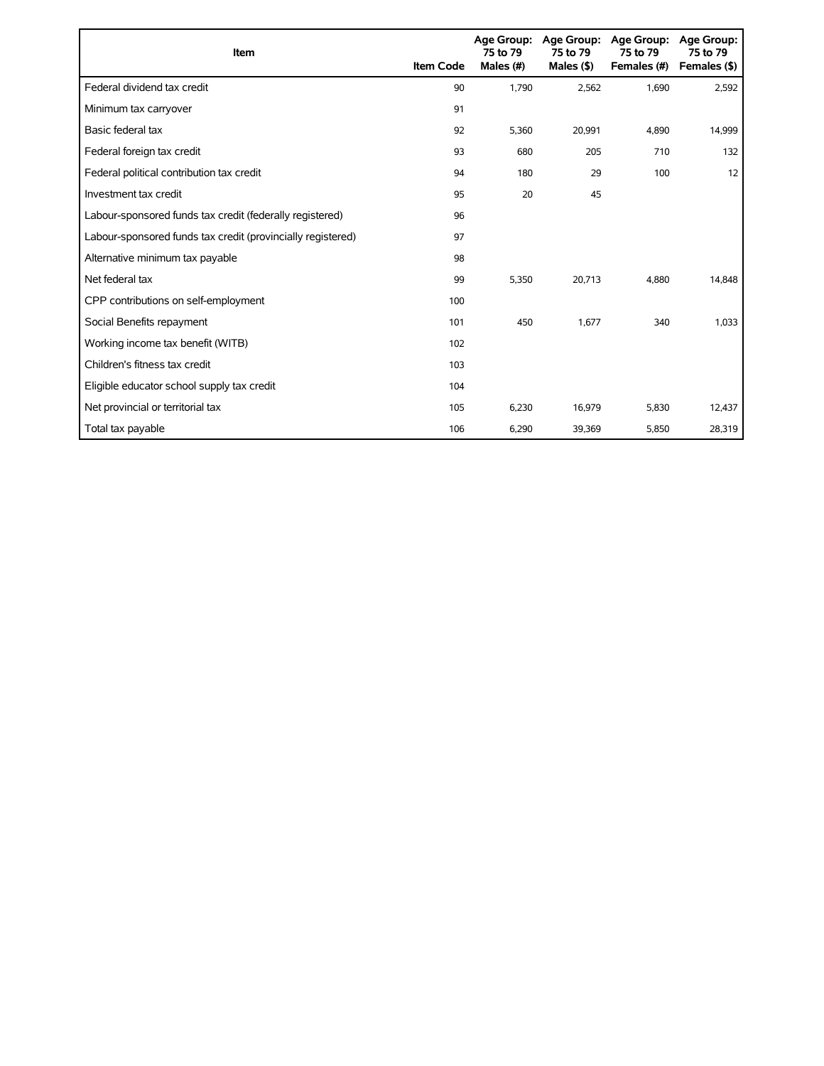| Item                                                        | <b>Item Code</b> | 75 to 79<br>Males (#) | Age Group: Age Group:<br>75 to 79<br>Males $($ \$) | <b>Age Group:</b><br>75 to 79<br>Females (#) | <b>Age Group:</b><br>75 to 79<br>Females (\$) |
|-------------------------------------------------------------|------------------|-----------------------|----------------------------------------------------|----------------------------------------------|-----------------------------------------------|
| Federal dividend tax credit                                 | 90               | 1,790                 | 2,562                                              | 1,690                                        | 2,592                                         |
| Minimum tax carryover                                       | 91               |                       |                                                    |                                              |                                               |
| Basic federal tax                                           | 92               | 5,360                 | 20,991                                             | 4,890                                        | 14,999                                        |
| Federal foreign tax credit                                  | 93               | 680                   | 205                                                | 710                                          | 132                                           |
| Federal political contribution tax credit                   | 94               | 180                   | 29                                                 | 100                                          | 12                                            |
| Investment tax credit                                       | 95               | 20                    | 45                                                 |                                              |                                               |
| Labour-sponsored funds tax credit (federally registered)    | 96               |                       |                                                    |                                              |                                               |
| Labour-sponsored funds tax credit (provincially registered) | 97               |                       |                                                    |                                              |                                               |
| Alternative minimum tax payable                             | 98               |                       |                                                    |                                              |                                               |
| Net federal tax                                             | 99               | 5,350                 | 20,713                                             | 4,880                                        | 14,848                                        |
| CPP contributions on self-employment                        | 100              |                       |                                                    |                                              |                                               |
| Social Benefits repayment                                   | 101              | 450                   | 1,677                                              | 340                                          | 1,033                                         |
| Working income tax benefit (WITB)                           | 102              |                       |                                                    |                                              |                                               |
| Children's fitness tax credit                               | 103              |                       |                                                    |                                              |                                               |
| Eligible educator school supply tax credit                  | 104              |                       |                                                    |                                              |                                               |
| Net provincial or territorial tax                           | 105              | 6,230                 | 16,979                                             | 5,830                                        | 12,437                                        |
| Total tax payable                                           | 106              | 6,290                 | 39,369                                             | 5,850                                        | 28,319                                        |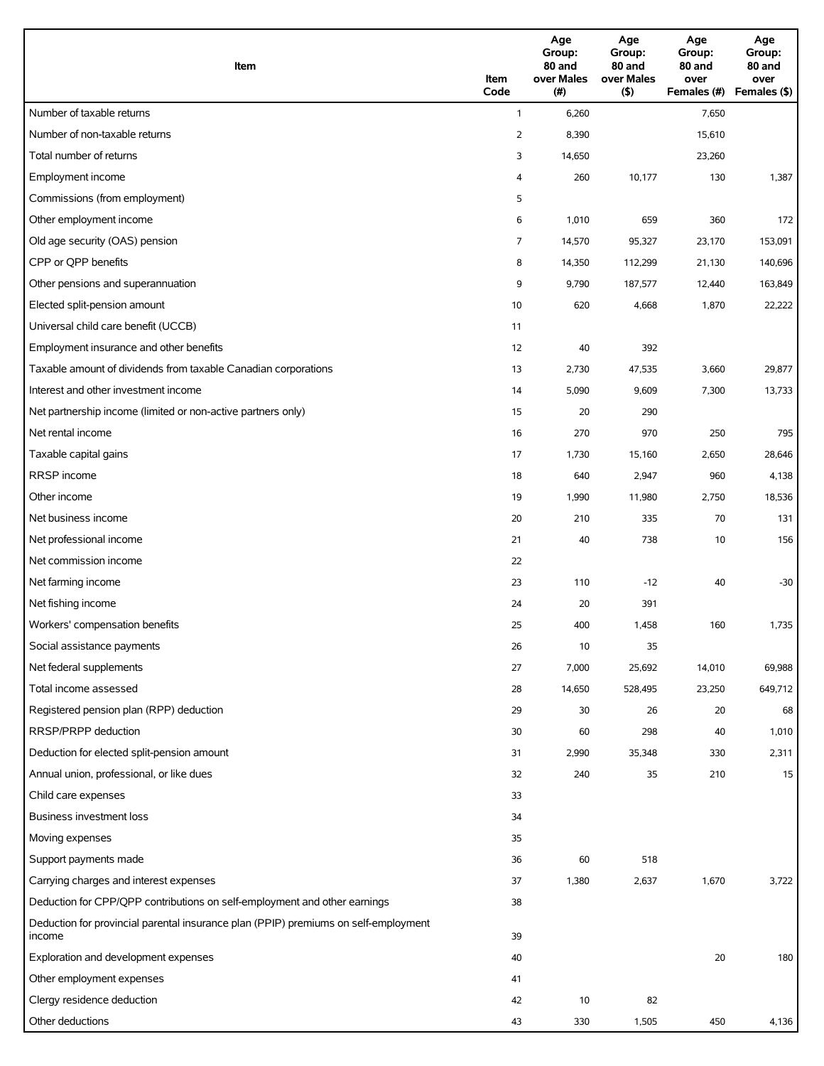| Item                                                                                          | Item<br>Code   | Age<br>Group:<br>80 and<br>over Males<br>(#) | Age<br>Group:<br>80 and<br>over Males<br>(5) | Age<br>Group:<br>80 and<br>over<br>Females (#) | Age<br>Group:<br>80 and<br>over<br>Females (\$) |
|-----------------------------------------------------------------------------------------------|----------------|----------------------------------------------|----------------------------------------------|------------------------------------------------|-------------------------------------------------|
| Number of taxable returns                                                                     | $\mathbf{1}$   | 6,260                                        |                                              | 7,650                                          |                                                 |
| Number of non-taxable returns                                                                 | $\overline{2}$ | 8,390                                        |                                              | 15,610                                         |                                                 |
| Total number of returns                                                                       | 3              | 14,650                                       |                                              | 23,260                                         |                                                 |
| Employment income                                                                             | 4              | 260                                          | 10,177                                       | 130                                            | 1,387                                           |
| Commissions (from employment)                                                                 | 5              |                                              |                                              |                                                |                                                 |
| Other employment income                                                                       | 6              | 1,010                                        | 659                                          | 360                                            | 172                                             |
| Old age security (OAS) pension                                                                | 7              | 14,570                                       | 95,327                                       | 23,170                                         | 153,091                                         |
| CPP or QPP benefits                                                                           | 8              | 14,350                                       | 112,299                                      | 21,130                                         | 140,696                                         |
| Other pensions and superannuation                                                             | 9              | 9,790                                        | 187,577                                      | 12,440                                         | 163,849                                         |
| Elected split-pension amount                                                                  | 10             | 620                                          | 4,668                                        | 1,870                                          | 22,222                                          |
| Universal child care benefit (UCCB)                                                           | 11             |                                              |                                              |                                                |                                                 |
| Employment insurance and other benefits                                                       | 12             | 40                                           | 392                                          |                                                |                                                 |
| Taxable amount of dividends from taxable Canadian corporations                                | 13             | 2,730                                        | 47,535                                       | 3,660                                          | 29,877                                          |
| Interest and other investment income                                                          | 14             | 5,090                                        | 9,609                                        | 7,300                                          | 13,733                                          |
| Net partnership income (limited or non-active partners only)                                  | 15             | 20                                           | 290                                          |                                                |                                                 |
| Net rental income                                                                             | 16             | 270                                          | 970                                          | 250                                            | 795                                             |
| Taxable capital gains                                                                         | 17             | 1,730                                        | 15,160                                       | 2,650                                          | 28,646                                          |
| RRSP income                                                                                   | 18             | 640                                          | 2,947                                        | 960                                            | 4,138                                           |
| Other income                                                                                  | 19             | 1,990                                        | 11,980                                       | 2,750                                          | 18,536                                          |
| Net business income                                                                           | 20             | 210                                          | 335                                          | 70                                             | 131                                             |
| Net professional income                                                                       | 21             | 40                                           | 738                                          | 10                                             | 156                                             |
| Net commission income                                                                         | 22             |                                              |                                              |                                                |                                                 |
| Net farming income                                                                            | 23             | 110                                          | $-12$                                        | 40                                             | $-30$                                           |
| Net fishing income                                                                            | 24             | 20                                           | 391                                          |                                                |                                                 |
| Workers' compensation benefits                                                                | 25             | 400                                          | 1,458                                        | 160                                            | 1,735                                           |
| Social assistance payments                                                                    | 26             | 10                                           | 35                                           |                                                |                                                 |
| Net federal supplements                                                                       | 27             | 7,000                                        | 25,692                                       | 14,010                                         | 69,988                                          |
| Total income assessed                                                                         | 28             | 14,650                                       | 528,495                                      | 23,250                                         | 649,712                                         |
| Registered pension plan (RPP) deduction                                                       | 29             | 30                                           | 26                                           |                                                | 68                                              |
| RRSP/PRPP deduction                                                                           |                |                                              |                                              | 20                                             |                                                 |
| Deduction for elected split-pension amount                                                    | 30             | 60                                           | 298                                          | 40                                             | 1,010                                           |
|                                                                                               | 31             | 2,990                                        | 35,348<br>35                                 | 330                                            | 2,311<br>15                                     |
| Annual union, professional, or like dues                                                      | 32             | 240                                          |                                              | 210                                            |                                                 |
| Child care expenses<br>Business investment loss                                               | 33             |                                              |                                              |                                                |                                                 |
|                                                                                               | 34             |                                              |                                              |                                                |                                                 |
| Moving expenses                                                                               | 35             |                                              |                                              |                                                |                                                 |
| Support payments made                                                                         | 36             | 60                                           | 518                                          |                                                |                                                 |
| Carrying charges and interest expenses                                                        | 37             | 1,380                                        | 2,637                                        | 1,670                                          | 3,722                                           |
| Deduction for CPP/QPP contributions on self-employment and other earnings                     | 38             |                                              |                                              |                                                |                                                 |
| Deduction for provincial parental insurance plan (PPIP) premiums on self-employment<br>income | 39             |                                              |                                              |                                                |                                                 |
| Exploration and development expenses                                                          | 40             |                                              |                                              | 20                                             | 180                                             |
| Other employment expenses                                                                     | 41             |                                              |                                              |                                                |                                                 |
| Clergy residence deduction                                                                    | 42             | 10                                           | 82                                           |                                                |                                                 |
| Other deductions                                                                              | 43             | 330                                          | 1,505                                        | 450                                            | 4,136                                           |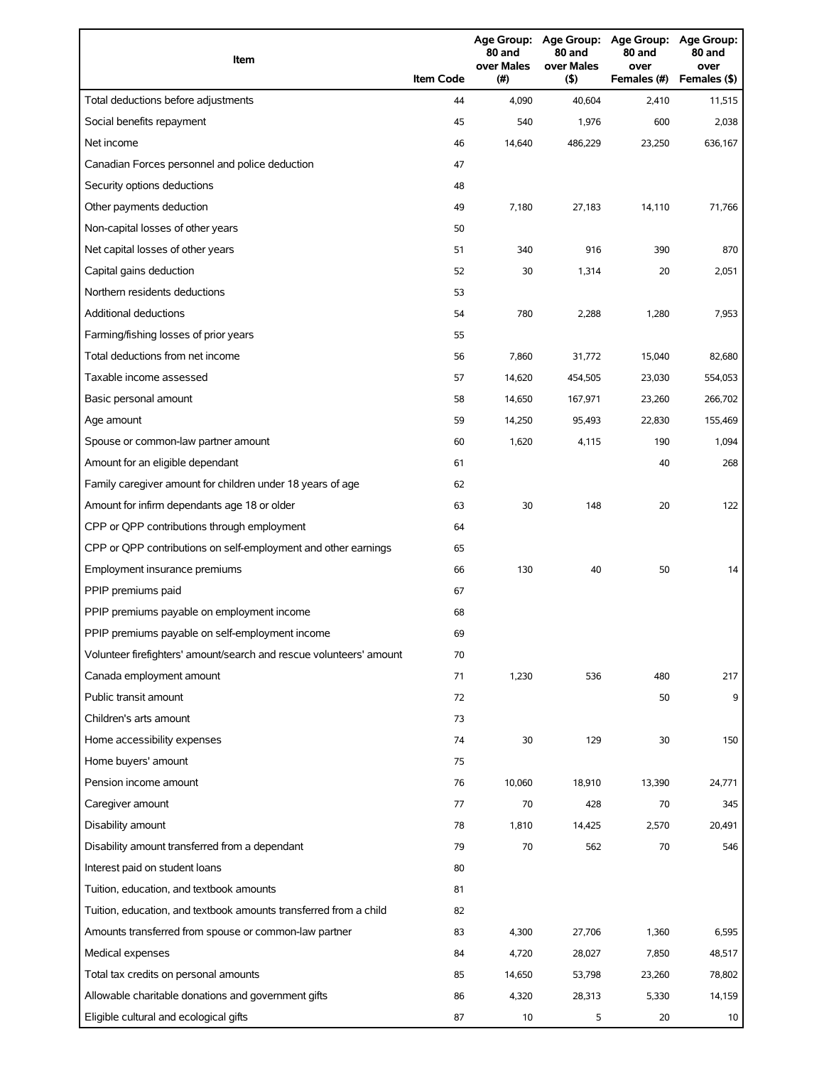| Item                                                                | <b>Item Code</b> | 80 and<br>over Males<br>(#) | 80 and<br>over Males<br>(5) | Age Group: Age Group: Age Group:<br>80 and<br>over<br>Females (#) | <b>Age Group:</b><br>80 and<br>over<br>Females (\$) |
|---------------------------------------------------------------------|------------------|-----------------------------|-----------------------------|-------------------------------------------------------------------|-----------------------------------------------------|
| Total deductions before adjustments                                 | 44               | 4,090                       | 40,604                      | 2,410                                                             | 11,515                                              |
| Social benefits repayment                                           | 45               | 540                         | 1,976                       | 600                                                               | 2,038                                               |
| Net income                                                          | 46               | 14,640                      | 486,229                     | 23,250                                                            | 636,167                                             |
| Canadian Forces personnel and police deduction                      | 47               |                             |                             |                                                                   |                                                     |
| Security options deductions                                         | 48               |                             |                             |                                                                   |                                                     |
| Other payments deduction                                            | 49               | 7,180                       | 27,183                      | 14,110                                                            | 71,766                                              |
| Non-capital losses of other years                                   | 50               |                             |                             |                                                                   |                                                     |
| Net capital losses of other years                                   | 51               | 340                         | 916                         | 390                                                               | 870                                                 |
| Capital gains deduction                                             | 52               | 30                          | 1,314                       | 20                                                                | 2,051                                               |
| Northern residents deductions                                       | 53               |                             |                             |                                                                   |                                                     |
| Additional deductions                                               | 54               | 780                         | 2,288                       | 1,280                                                             | 7,953                                               |
| Farming/fishing losses of prior years                               | 55               |                             |                             |                                                                   |                                                     |
| Total deductions from net income                                    | 56               | 7,860                       | 31,772                      | 15,040                                                            | 82,680                                              |
| Taxable income assessed                                             | 57               | 14,620                      | 454,505                     | 23,030                                                            | 554,053                                             |
| Basic personal amount                                               | 58               | 14,650                      | 167,971                     | 23,260                                                            | 266,702                                             |
| Age amount                                                          | 59               | 14,250                      | 95,493                      | 22,830                                                            | 155,469                                             |
| Spouse or common-law partner amount                                 | 60               | 1,620                       | 4,115                       | 190                                                               | 1,094                                               |
| Amount for an eligible dependant                                    | 61               |                             |                             | 40                                                                | 268                                                 |
| Family caregiver amount for children under 18 years of age          | 62               |                             |                             |                                                                   |                                                     |
| Amount for infirm dependants age 18 or older                        | 63               | 30                          | 148                         | 20                                                                | 122                                                 |
| CPP or QPP contributions through employment                         | 64               |                             |                             |                                                                   |                                                     |
| CPP or QPP contributions on self-employment and other earnings      | 65               |                             |                             |                                                                   |                                                     |
| Employment insurance premiums                                       | 66               | 130                         | 40                          | 50                                                                | 14                                                  |
| PPIP premiums paid                                                  | 67               |                             |                             |                                                                   |                                                     |
| PPIP premiums payable on employment income                          | 68               |                             |                             |                                                                   |                                                     |
| PPIP premiums payable on self-employment income                     | 69               |                             |                             |                                                                   |                                                     |
| Volunteer firefighters' amount/search and rescue volunteers' amount | 70               |                             |                             |                                                                   |                                                     |
| Canada employment amount                                            | 71               | 1,230                       | 536                         | 480                                                               | 217                                                 |
| Public transit amount                                               | 72               |                             |                             | 50                                                                | 9                                                   |
| Children's arts amount                                              | 73               |                             |                             |                                                                   |                                                     |
| Home accessibility expenses                                         | 74               | 30                          | 129                         | 30                                                                | 150                                                 |
| Home buyers' amount                                                 | 75               |                             |                             |                                                                   |                                                     |
| Pension income amount                                               | 76               | 10,060                      | 18,910                      | 13,390                                                            | 24,771                                              |
| Caregiver amount                                                    | 77               | 70                          | 428                         | 70                                                                | 345                                                 |
| Disability amount                                                   | 78               | 1,810                       | 14,425                      | 2,570                                                             | 20,491                                              |
| Disability amount transferred from a dependant                      | 79               | 70                          | 562                         | 70                                                                | 546                                                 |
| Interest paid on student loans                                      | 80               |                             |                             |                                                                   |                                                     |
| Tuition, education, and textbook amounts                            | 81               |                             |                             |                                                                   |                                                     |
| Tuition, education, and textbook amounts transferred from a child   | 82               |                             |                             |                                                                   |                                                     |
| Amounts transferred from spouse or common-law partner               | 83               | 4,300                       | 27,706                      | 1,360                                                             | 6,595                                               |
| Medical expenses                                                    | 84               | 4,720                       | 28,027                      | 7,850                                                             | 48,517                                              |
| Total tax credits on personal amounts                               | 85               | 14,650                      | 53,798                      | 23,260                                                            | 78,802                                              |
| Allowable charitable donations and government gifts                 | 86               | 4,320                       | 28,313                      | 5,330                                                             | 14,159                                              |
| Eligible cultural and ecological gifts                              | 87               | 10                          | 5                           | 20                                                                | 10                                                  |